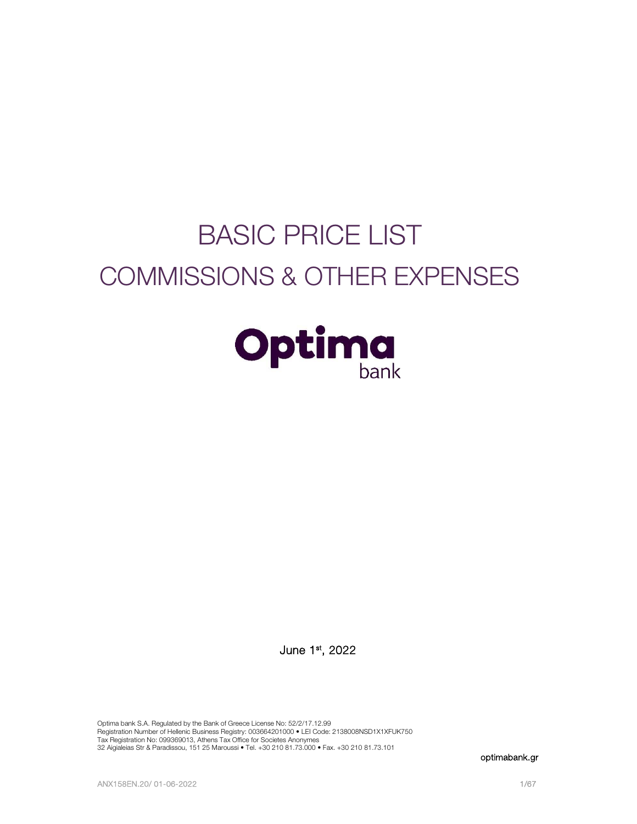# BASIC PRICE LIST COMMISSIONS & OTHER EXPENSES



June 1<sup>st</sup>, 2022

Optima bank S.A. Regulated by the Bank of Greece License No: 52/2/17.12.99 Registration Number of Hellenic Business Registry: 003664201000 • LEI Code: 2138008NSD1X1XFUK750<br>Tax Registration No: 099369013, Athens Tax Office for Societes Anonymes 32 Aigialeias Str & Paradissou, 151 25 Maroussi • Tel. +30 210 81.73.000 • Fax. +30 210 81.73.101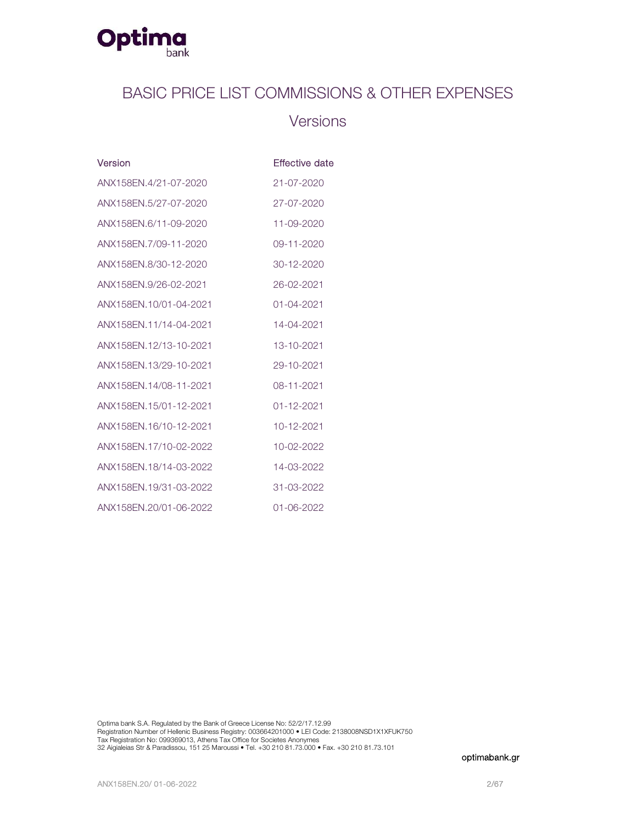

## BASIC PRICE LIST COMMISSIONS & OTHER EXPENSES

## **Versions**

| Version                | Effective date   |
|------------------------|------------------|
| ANX158EN.4/21-07-2020  | $21 - 07 - 2020$ |
| ANX158EN.5/27-07-2020  | 27-07-2020       |
| ANX158FN.6/11-09-2020  | 11-09-2020       |
| ANX158FN.7/09-11-2020  | 09-11-2020       |
| ANX158EN.8/30-12-2020  | 30-12-2020       |
| ANX158EN.9/26-02-2021  | 26-02-2021       |
| ANX158EN.10/01-04-2021 | $01 - 04 - 2021$ |
| ANX158EN.11/14-04-2021 | 14-04-2021       |
| ANX158FN.12/13-10-2021 | 13-10-2021       |
| ANX158EN.13/29-10-2021 | 29-10-2021       |
| ANX158EN.14/08-11-2021 | 08-11-2021       |
| ANX158EN.15/01-12-2021 | $01 - 12 - 2021$ |
| ANX158FN.16/10-12-2021 | 10-12-2021       |
| ANX158EN.17/10-02-2022 | 10-02-2022       |
| ANX158EN.18/14-03-2022 | 14-03-2022       |
| ANX158FN.19/31-03-2022 | $31 - 03 - 2022$ |
| ANX158EN.20/01-06-2022 | 01-06-2022       |

Optima bank S.A. Regulated by the Bank of Greece License No: 52/2/17.12.99<br>Registration Number of Hellenic Business Registry: 003664201000 • LEI Code: 2138008NSD1X1XFUK750<br>Tax Registration No: 099369013, Athens Tax Office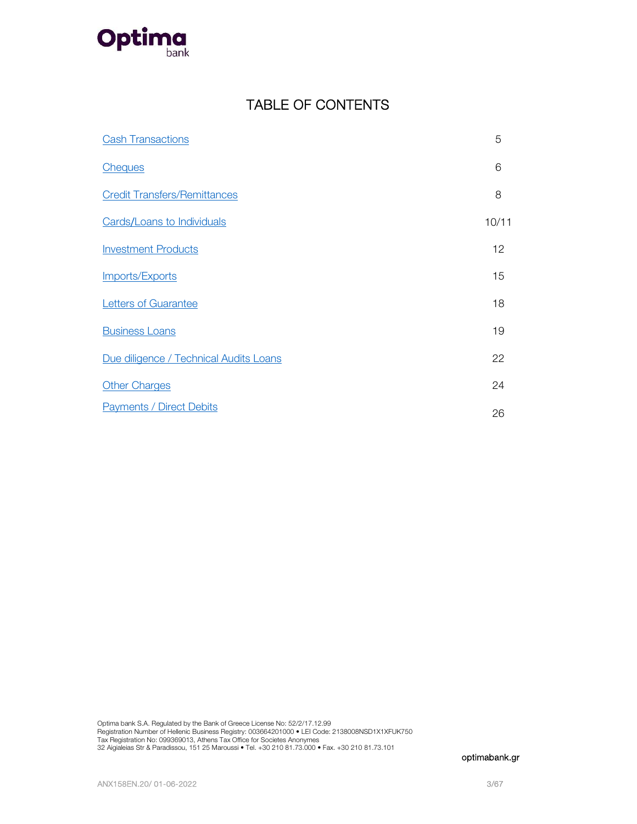

## TABLE OF CONTENTS

| <b>Cash Transactions</b>               | 5     |
|----------------------------------------|-------|
| <b>Cheques</b>                         | 6     |
| <b>Credit Transfers/Remittances</b>    | 8     |
| <b>Cards/Loans to Individuals</b>      | 10/11 |
| <b>Investment Products</b>             | 12    |
| Imports/Exports                        | 15    |
| <b>Letters of Guarantee</b>            | 18    |
| <b>Business Loans</b>                  | 19    |
| Due diligence / Technical Audits Loans | 22    |
| <b>Other Charges</b>                   | 24    |
| <b>Payments / Direct Debits</b>        | 26    |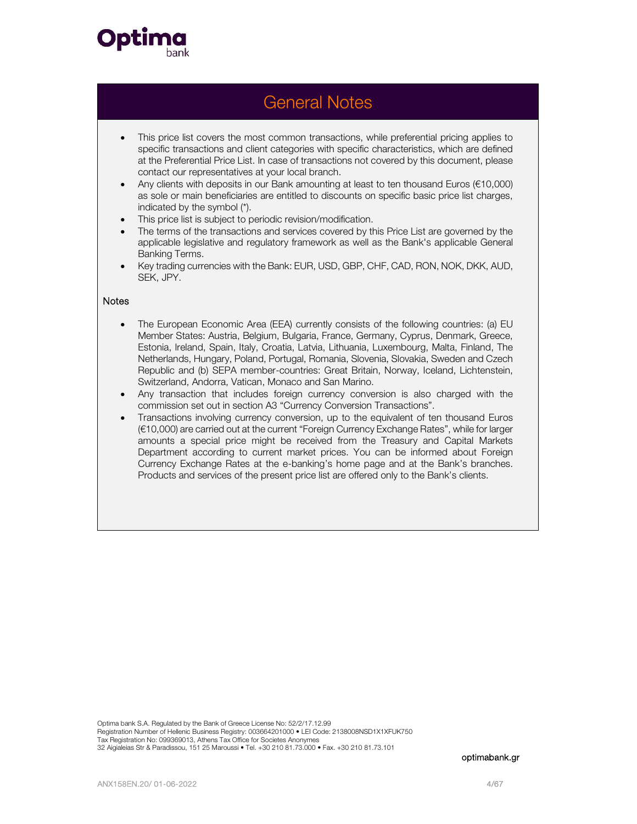

## General Notes

- This price list covers the most common transactions, while preferential pricing applies to specific transactions and client categories with specific characteristics, which are defined at the Preferential Price List. In case of transactions not covered by this document, please contact our representatives at your local branch.
- Any clients with deposits in our Bank amounting at least to ten thousand Euros (€10,000) as sole or main beneficiaries are entitled to discounts on specific basic price list charges, indicated by the symbol (\*).
- This price list is subject to periodic revision/modification.
- The terms of the transactions and services covered by this Price List are governed by the applicable legislative and regulatory framework as well as the Bank's applicable General Banking Terms.
- Key trading currencies with the Bank: EUR, USD, GBP, CHF, CAD, RON, NOK, DKK, AUD, SEK, JPY.

### **Notes**

- The European Economic Area (EEA) currently consists of the following countries: (a) EU Member States: Austria, Belgium, Bulgaria, France, Germany, Cyprus, Denmark, Greece, Estonia, Ireland, Spain, Italy, Croatia, Latvia, Lithuania, Luxembourg, Malta, Finland, The Netherlands, Hungary, Poland, Portugal, Romania, Slovenia, Slovakia, Sweden and Czech Republic and (b) SEPA member-countries: Great Britain, Norway, Iceland, Lichtenstein, Switzerland, Andorra, Vatican, Monaco and San Marino.
- Any transaction that includes foreign currency conversion is also charged with the commission set out in section A3 "Currency Conversion Transactions".
- Transactions involving currency conversion, up to the equivalent of ten thousand Euros (€10,000) are carried out at the current "Foreign Currency Exchange Rates", while for larger amounts a special price might be received from the Treasury and Capital Markets Department according to current market prices. You can be informed about Foreign Currency Exchange Rates at the e-banking's home page and at the Bank's branches. Products and services of the present price list are offered only to the Bank's clients.

Optima bank S.A. Regulated by the Bank of Greece License No: 52/2/17.12.99 Registration Number of Hellenic Business Registry: 003664201000 • LEI Code: 2138008NSD1X1XFUK750 Tax Registration No: 099369013, Athens Tax Office for Societes Anonymes 32 Aigialeias Str & Paradissou, 151 25 Maroussi • Tel. +30 210 81.73.000 • Fax. +30 210 81.73.101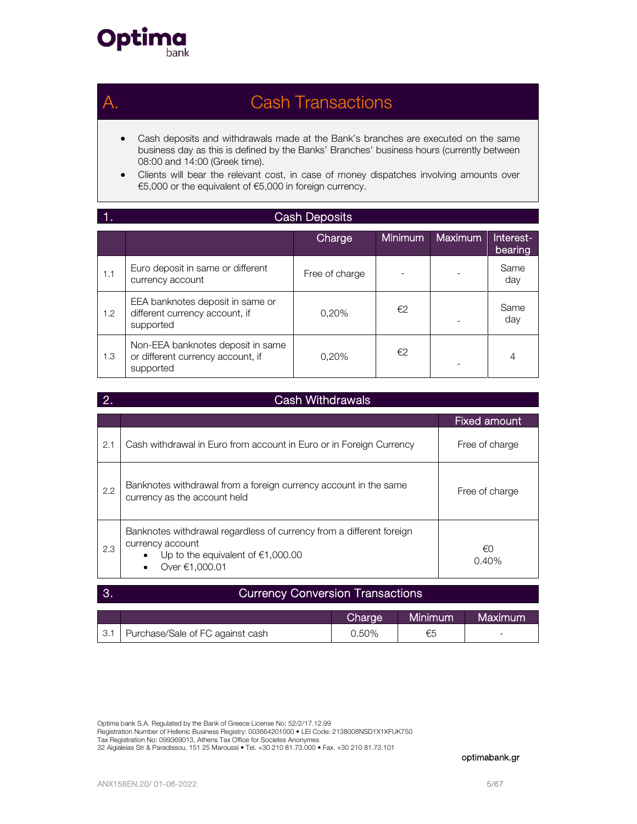

## Cash Transactions

- Cash deposits and withdrawals made at the Bank's branches are executed on the same business day as this is defined by the Banks' Branches' business hours (currently between 08:00 and 14:00 (Greek time).
- Clients will bear the relevant cost, in case of money dispatches involving amounts over €5,000 or the equivalent of €5,000 in foreign currency.

|               | <b>Cash Deposits</b>                                                                |                |                |         |                      |
|---------------|-------------------------------------------------------------------------------------|----------------|----------------|---------|----------------------|
|               |                                                                                     | Charge         | <b>Minimum</b> | Maximum | Interest-<br>bearing |
| 1.1           | Euro deposit in same or different<br>currency account                               | Free of charge |                |         | Same<br>day          |
| $1.2^{\circ}$ | EEA banknotes deposit in same or<br>different currency account, if<br>supported     | 0,20%          | €2             |         | Same<br>day          |
| 1.3           | Non-EEA banknotes deposit in same<br>or different currency account, if<br>supported | 0.20%          | €2             |         | $\overline{4}$       |

| <b>Cash Withdrawals</b> |                                                                                                                                                   |                     |  |  |
|-------------------------|---------------------------------------------------------------------------------------------------------------------------------------------------|---------------------|--|--|
|                         |                                                                                                                                                   | <b>Fixed amount</b> |  |  |
| 2.1                     | Cash withdrawal in Euro from account in Euro or in Foreign Currency                                                                               | Free of charge      |  |  |
| 2.2                     | Banknotes withdrawal from a foreign currency account in the same<br>currency as the account held                                                  | Free of charge      |  |  |
| 2.3                     | Banknotes withdrawal regardless of currency from a different foreign<br>currency account<br>Up to the equivalent of $€1,000.00$<br>Over €1,000.01 | €0<br>0.40%         |  |  |

### 3. Currency Conversion Transactions

|                  |                                  | Charge | l Minimum <sup>i</sup> | Maximum |
|------------------|----------------------------------|--------|------------------------|---------|
| 3.1 <sub>1</sub> | Purchase/Sale of FC against cash | 0.50%  | €5                     | -       |

Optima bank S.A. Regulated by the Bank of Greece License No: 52/2/17.12.99 Registration Number of Hellenic Business Registry: 003664201000 • LEI Code: 2138008NSD1X1XFUK750<br>Tax Registration No: 099369013, Athens Tax Office for Societes Anonymes 32 Aigialeias Str & Paradissou, 151 25 Maroussi • Tel. +30 210 81.73.000 • Fax. +30 210 81.73.101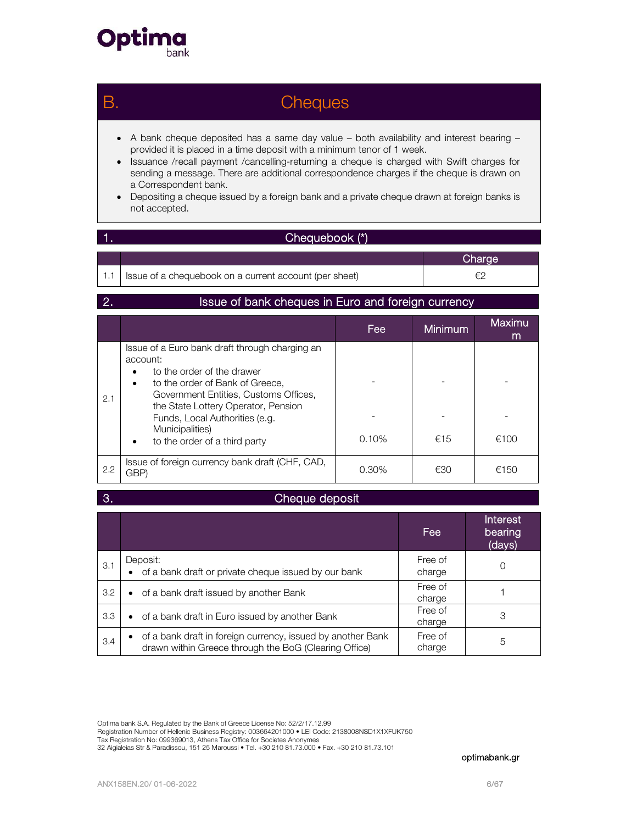

## B. Cheques

- A bank cheque deposited has a same day value both availability and interest bearing provided it is placed in a time deposit with a minimum tenor of 1 week.
- Issuance /recall payment /cancelling-returning a cheque is charged with Swift charges for sending a message. There are additional correspondence charges if the cheque is drawn on a Correspondent bank.
- Depositing a cheque issued by a foreign bank and a private cheque drawn at foreign banks is not accepted.

### 1. Chequebook (\*)

|                                                           | Charge |
|-----------------------------------------------------------|--------|
| 1.1 Ssue of a chequebook on a current account (per sheet) | €      |

### 2. Issue of bank cheques in Euro and foreign currency

|     |                                                                                                                                                                                                                                                                                                        | Fee      | <b>Minimum</b> | Maximu<br>m |
|-----|--------------------------------------------------------------------------------------------------------------------------------------------------------------------------------------------------------------------------------------------------------------------------------------------------------|----------|----------------|-------------|
| 2.1 | Issue of a Euro bank draft through charging an<br>account:<br>to the order of the drawer<br>to the order of Bank of Greece,<br>٠<br>Government Entities, Customs Offices,<br>the State Lottery Operator, Pension<br>Funds, Local Authorities (e.g.<br>Municipalities)<br>to the order of a third party | $0.10\%$ | €15            | €100        |
| 2.2 | Issue of foreign currency bank draft (CHF, CAD,<br>GBP)                                                                                                                                                                                                                                                | $0.30\%$ | €30            | €150        |

### 3. Cheque deposit

|     |                                                                                                                      | Fee               | <b>Interest</b><br>bearing<br>(days) |
|-----|----------------------------------------------------------------------------------------------------------------------|-------------------|--------------------------------------|
| 3.1 | Deposit:<br>of a bank draft or private cheque issued by our bank                                                     | Free of<br>charge |                                      |
| 3.2 | of a bank draft issued by another Bank<br>$\bullet$                                                                  | Free of<br>charge |                                      |
| 3.3 | • of a bank draft in Euro issued by another Bank                                                                     | Free of<br>charge | 3                                    |
| 3.4 | of a bank draft in foreign currency, issued by another Bank<br>drawn within Greece through the BoG (Clearing Office) | Free of<br>charge | 5                                    |

Optima bank S.A. Regulated by the Bank of Greece License No: 52/2/17.12.99

Registration Number of Hellenic Business Registry: 003664201000 • LEI Code: 2138008NSD1X1XFUK750<br>Tax Registration No: 099369013, Athens Tax Office for Societes Anonymes

32 Aigialeias Str & Paradissou, 151 25 Maroussi • Tel. +30 210 81.73.000 • Fax. +30 210 81.73.101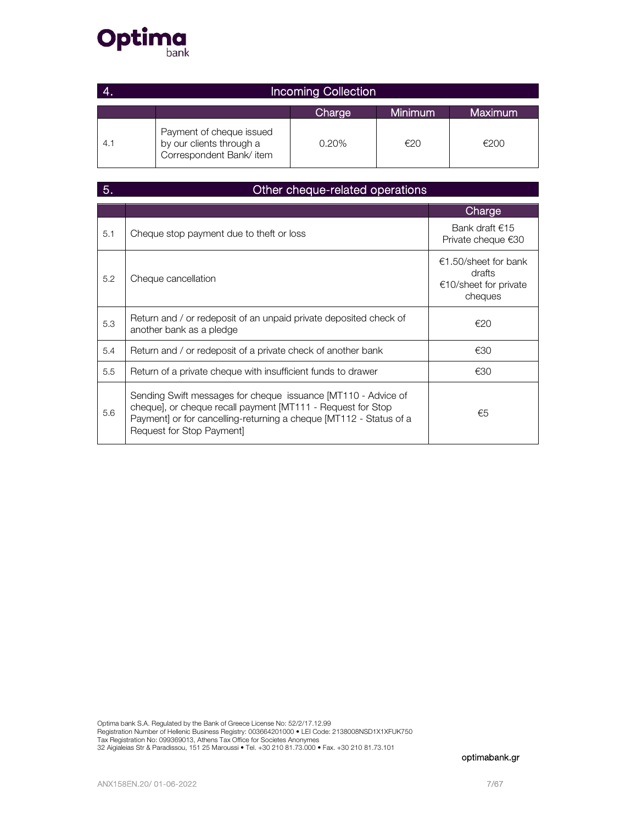

|     | <b>Incoming Collection</b>                                                      |        |         |         |  |
|-----|---------------------------------------------------------------------------------|--------|---------|---------|--|
|     |                                                                                 | Charge | Minimum | Maximum |  |
| 4.1 | Payment of cheque issued<br>by our clients through a<br>Correspondent Bank/item | 0.20%  | €20     | €200    |  |

| 5.  | Other cheque-related operations                                                                                                                                                                                                 |                                                                    |  |  |  |
|-----|---------------------------------------------------------------------------------------------------------------------------------------------------------------------------------------------------------------------------------|--------------------------------------------------------------------|--|--|--|
|     |                                                                                                                                                                                                                                 | Charge                                                             |  |  |  |
| 5.1 | Cheque stop payment due to theft or loss                                                                                                                                                                                        | Bank draft $€15$<br>Private cheque €30                             |  |  |  |
| 5.2 | Cheque cancellation                                                                                                                                                                                                             | €1.50/sheet for bank<br>drafts<br>€10/sheet for private<br>cheques |  |  |  |
| 5.3 | Return and / or redeposit of an unpaid private deposited check of<br>another bank as a pledge                                                                                                                                   | €20                                                                |  |  |  |
| 5.4 | Return and / or redeposit of a private check of another bank                                                                                                                                                                    | €30                                                                |  |  |  |
| 5.5 | Return of a private cheque with insufficient funds to drawer                                                                                                                                                                    | €30                                                                |  |  |  |
| 5.6 | Sending Swift messages for cheque issuance [MT110 - Advice of<br>cheque], or cheque recall payment [MT111 - Request for Stop<br>Payment] or for cancelling-returning a cheque [MT112 - Status of a<br>Request for Stop Payment] | €5                                                                 |  |  |  |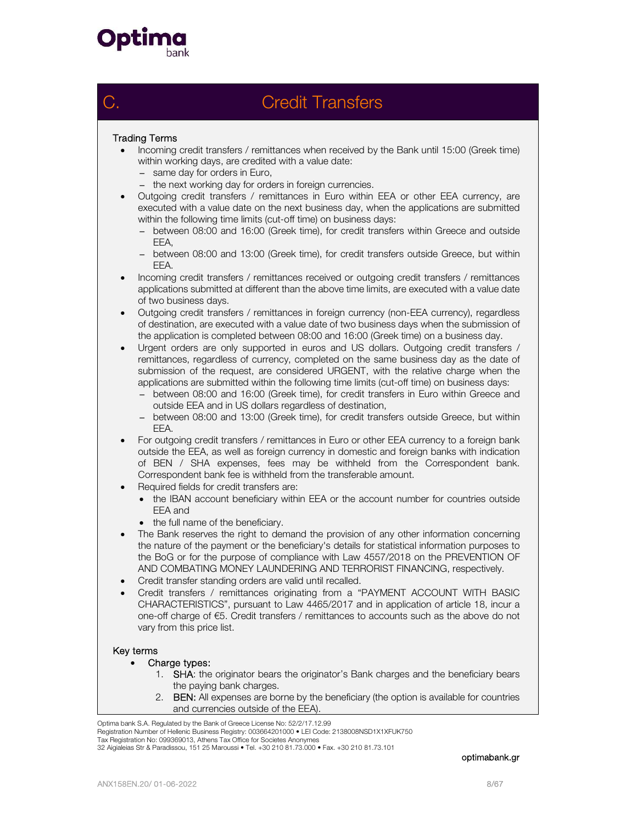

## C. Credit Transfers

### Trading Terms

- Incoming credit transfers / remittances when received by the Bank until 15:00 (Greek time) within working days, are credited with a value date:
	- − same day for orders in Euro,
	- − the next working day for orders in foreign currencies.
- Outgoing credit transfers / remittances in Euro within EEA or other EEA currency, are executed with a value date on the next business day, when the applications are submitted within the following time limits (cut-off time) on business days:
	- − between 08:00 and 16:00 (Greek time), for credit transfers within Greece and outside EEA,
	- − between 08:00 and 13:00 (Greek time), for credit transfers outside Greece, but within EEA.
- Incoming credit transfers / remittances received or outgoing credit transfers / remittances applications submitted at different than the above time limits, are executed with a value date of two business days.
- Outgoing credit transfers / remittances in foreign currency (non-EEA currency), regardless of destination, are executed with a value date of two business days when the submission of the application is completed between 08:00 and 16:00 (Greek time) on a business day.
- Urgent orders are only supported in euros and US dollars. Outgoing credit transfers / remittances, regardless of currency, completed on the same business day as the date of submission of the request, are considered URGENT, with the relative charge when the applications are submitted within the following time limits (cut-off time) on business days:
	- − between 08:00 and 16:00 (Greek time), for credit transfers in Euro within Greece and outside EEA and in US dollars regardless of destination,
	- − between 08:00 and 13:00 (Greek time), for credit transfers outside Greece, but within EEA.
- For outgoing credit transfers / remittances in Euro or other EEA currency to a foreign bank outside the EEA, as well as foreign currency in domestic and foreign banks with indication of BEN / SHA expenses, fees may be withheld from the Correspondent bank. Correspondent bank fee is withheld from the transferable amount.
- Required fields for credit transfers are:
	- the IBAN account beneficiary within EEA or the account number for countries outside EEA and
	- the full name of the beneficiary.
- The Bank reserves the right to demand the provision of any other information concerning the nature of the payment or the beneficiary's details for statistical information purposes to the BoG or for the purpose of compliance with Law 4557/2018 on the PREVENTION OF AND COMBATING MONEY LAUNDERING AND TERRORIST FINANCING, respectively.
- Credit transfer standing orders are valid until recalled.
- Credit transfers / remittances originating from a "PAYMENT ACCOUNT WITH BASIC CHARACTERISTICS", pursuant to Law 4465/2017 and in application of article 18, incur a one-off charge of €5. Credit transfers / remittances to accounts such as the above do not vary from this price list.

### Key terms

- Charge types:
	- 1. SHA: the originator bears the originator's Bank charges and the beneficiary bears the paying bank charges.
	- 2. **BEN:** All expenses are borne by the beneficiary (the option is available for countries and currencies outside of the EEA).

Optima bank S.A. Regulated by the Bank of Greece License No: 52/2/17.12.99

Registration Number of Hellenic Business Registry: 003664201000 • LEI Code: 2138008NSD1X1XFUK750

Tax Registration No: 099369013, Athens Tax Office for Societes Anonymes 32 Aigialeias Str & Paradissou, 151 25 Maroussi • Tel. +30 210 81.73.000 • Fax. +30 210 81.73.101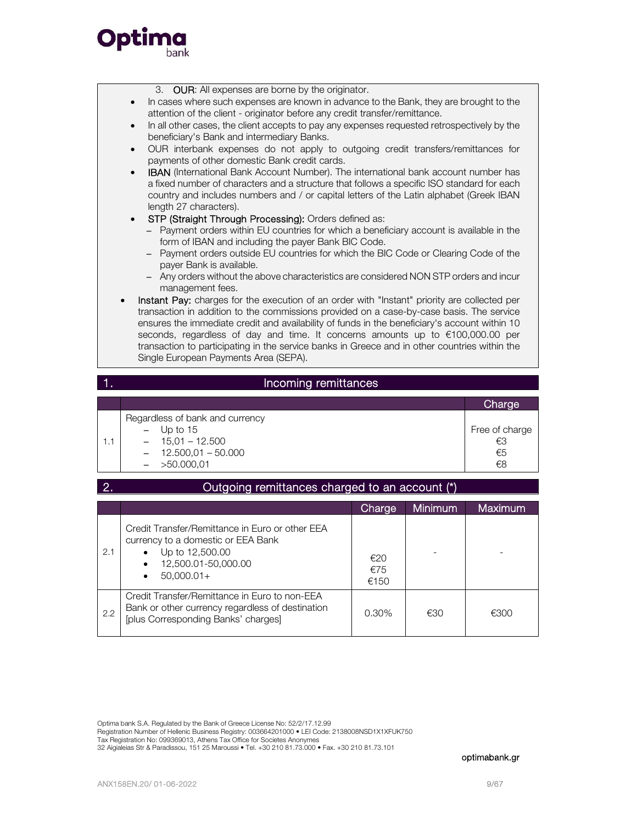



### 1. Incoming remittances

|     |                                 | Charge         |
|-----|---------------------------------|----------------|
|     | Regardless of bank and currency |                |
|     | $-$ Up to 15                    | Free of charge |
| 1.1 | $-15.01 - 12.500$               | €3             |
|     | $-12.500,01 - 50.000$           | €5             |
|     | $-$ >50.000,01                  | €8             |

| 2.  | Outgoing remittances charged to an account (*)                                                                                                       |                    |                |                |
|-----|------------------------------------------------------------------------------------------------------------------------------------------------------|--------------------|----------------|----------------|
|     |                                                                                                                                                      | Charge             | <b>Minimum</b> | <b>Maximum</b> |
| 2.1 | Credit Transfer/Remittance in Euro or other EEA<br>currency to a domestic or EEA Bank<br>Up to 12,500.00<br>12,500.01-50,000.00<br>$50.000.01+$<br>٠ | €20<br>€75<br>€150 |                |                |
| 2.2 | Credit Transfer/Remittance in Euro to non-EEA<br>Bank or other currency regardless of destination<br>[plus Corresponding Banks' charges]             | $0.30\%$           | €30            | €300           |

Optima bank S.A. Regulated by the Bank of Greece License No: 52/2/17.12.99

Registration Number of Hellenic Business Registry: 003664201000 • LEI Code: 2138008NSD1X1XFUK750

Tax Registration No: 099369013, Athens Tax Office for Societes Anonymes 32 Aigialeias Str & Paradissou, 151 25 Maroussi • Tel. +30 210 81.73.000 • Fax. +30 210 81.73.101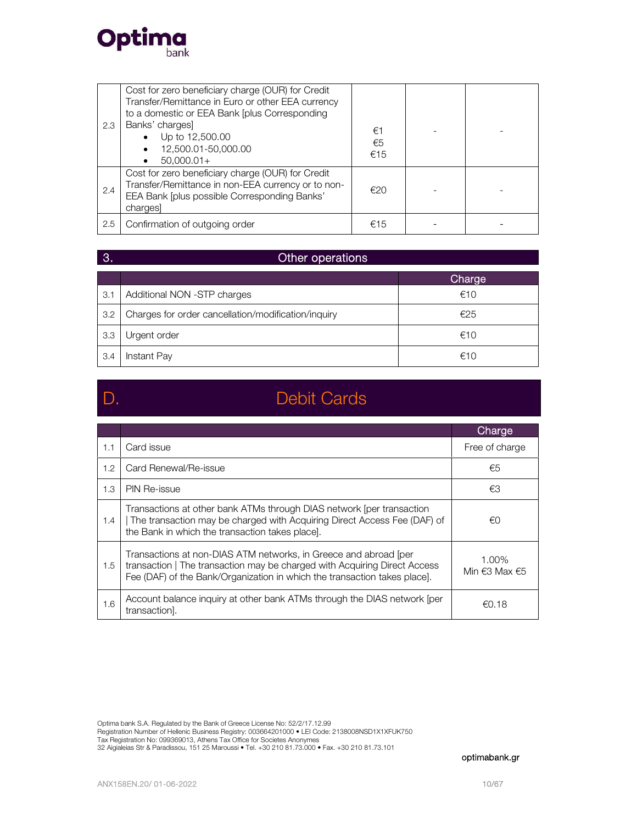

| 2.3 | Cost for zero beneficiary charge (OUR) for Credit<br>Transfer/Remittance in Euro or other EEA currency<br>to a domestic or EEA Bank [plus Corresponding<br>Banks' charges]<br>Up to 12,500.00<br>12,500.01-50,000.00<br>$50.000.01+$ | €1<br>€5<br>€15 |  |
|-----|--------------------------------------------------------------------------------------------------------------------------------------------------------------------------------------------------------------------------------------|-----------------|--|
| 2.4 | Cost for zero beneficiary charge (OUR) for Credit<br>Transfer/Remittance in non-EEA currency or to non-<br>EEA Bank [plus possible Corresponding Banks'<br>charges                                                                   | €20             |  |
| 2.5 | Confirmation of outgoing order                                                                                                                                                                                                       | €15             |  |

### **3.** Other operations

|     |                                                     | Charge |
|-----|-----------------------------------------------------|--------|
| 3.1 | Additional NON -STP charges                         | €10    |
| 3.2 | Charges for order cancellation/modification/inquiry | €25    |
| 3.3 | Urgent order                                        | €10    |
| 3.4 | Instant Pay                                         | €10    |

## D. Debit Cards

|     |                                                                                                                                                                                                                            | Charge                 |
|-----|----------------------------------------------------------------------------------------------------------------------------------------------------------------------------------------------------------------------------|------------------------|
| 1.1 | Card issue                                                                                                                                                                                                                 | Free of charge         |
| 1.2 | Card Renewal/Re-issue                                                                                                                                                                                                      | €5                     |
| 1.3 | <b>PIN Re-issue</b>                                                                                                                                                                                                        | €3                     |
| 1.4 | Transactions at other bank ATMs through DIAS network [per transaction<br>The transaction may be charged with Acquiring Direct Access Fee (DAF) of<br>the Bank in which the transaction takes place.                        | €0                     |
| 1.5 | Transactions at non-DIAS ATM networks, in Greece and abroad [per<br>transaction   The transaction may be charged with Acquiring Direct Access<br>Fee (DAF) of the Bank/Organization in which the transaction takes place]. | 1.00%<br>Min €3 Max €5 |
| 1.6 | Account balance inquiry at other bank ATMs through the DIAS network (per<br>transaction].                                                                                                                                  | $\epsilon$ 0.18        |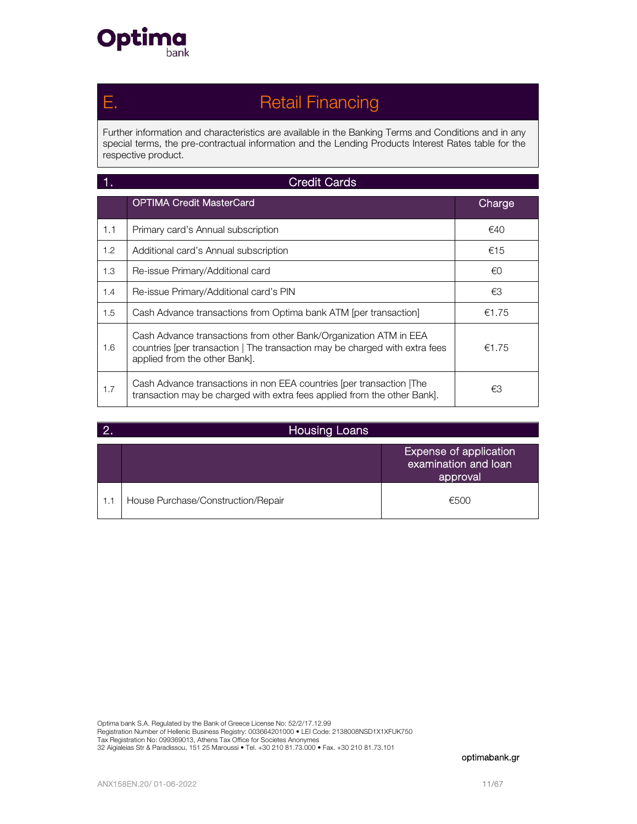

## Ε. Retail Financing

Further information and characteristics are available in the Banking Terms and Conditions and in any special terms, the pre-contractual information and the Lending Products Interest Rates table for the respective product.

|               | <b>Credit Cards</b>                                                                                                                                                               |        |
|---------------|-----------------------------------------------------------------------------------------------------------------------------------------------------------------------------------|--------|
|               | <b>OPTIMA Credit MasterCard</b>                                                                                                                                                   | Charge |
| 1.1           | Primary card's Annual subscription                                                                                                                                                | €40    |
| $1.2^{\circ}$ | Additional card's Annual subscription                                                                                                                                             | €15    |
| 1.3           | Re-issue Primary/Additional card                                                                                                                                                  | €0     |
| 1.4           | Re-issue Primary/Additional card's PIN                                                                                                                                            | €3     |
| 1.5           | Cash Advance transactions from Optima bank ATM [per transaction]                                                                                                                  | €1.75  |
| 1.6           | Cash Advance transactions from other Bank/Organization ATM in EEA<br>countries [per transaction   The transaction may be charged with extra fees<br>applied from the other Bank]. | €1.75  |
| 1.7           | Cash Advance transactions in non EEA countries (per transaction The<br>transaction may be charged with extra fees applied from the other Bank].                                   | €З     |

|     | <b>Housing Loans</b>               |                                                            |
|-----|------------------------------------|------------------------------------------------------------|
|     |                                    | Expense of application<br>examination and loan<br>approval |
| 1.1 | House Purchase/Construction/Repair | €500                                                       |

Optima bank S.A. Regulated by the Bank of Greece License No: 52/2/17.12.99 Registration Number of Hellenic Business Registry: 003664201000 • LEI Code: 2138008NSD1X1XFUK750<br>Tax Registration No: 099369013, Athens Tax Office for Societes Anonymes<br>32 Aigialeias Str & Paradissou, 151 25 Maroussi • Tel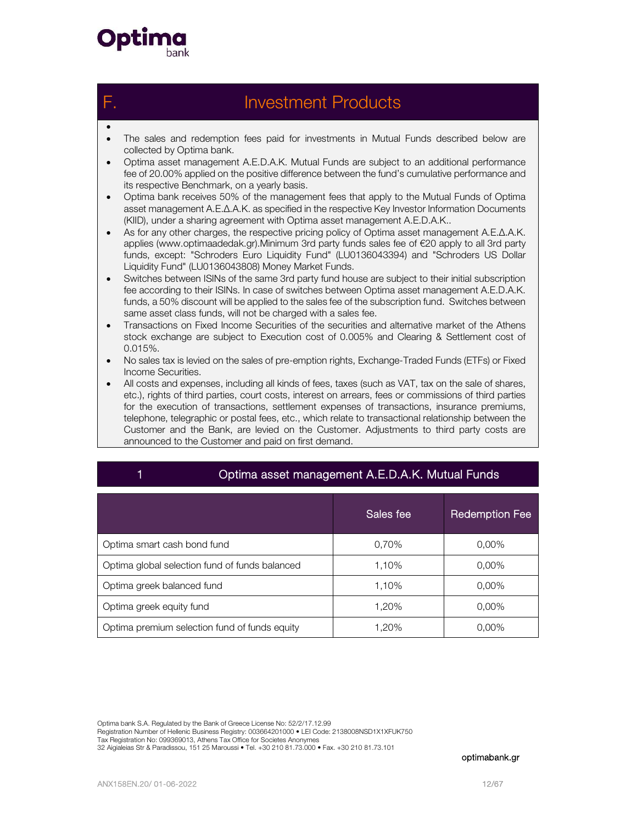

 $\bullet$ 

## **Investment Products**

- The sales and redemption fees paid for investments in Mutual Funds described below are collected by Optima bank.
- Optima asset management A.E.D.A.K. Mutual Funds are subject to an additional performance fee of 20.00% applied on the positive difference between the fund's cumulative performance and its respective Benchmark, on a yearly basis.
- Optima bank receives 50% of the management fees that apply to the Mutual Funds of Optima asset management Α.Ε.Δ.Α.Κ. as specified in the respective Key Investor Information Documents (KIID), under a sharing agreement with Optima asset management A.E.D.A.K..
- As for any other charges, the respective pricing policy of Optima asset management Α.Ε.Δ.Α.Κ. applies (www.optimaadedak.gr).Minimum 3rd party funds sales fee of €20 apply to all 3rd party funds, except: "Schroders Euro Liquidity Fund" (LU0136043394) and "Schroders US Dollar Liquidity Fund" (LU0136043808) Money Market Funds.
- Switches between ISINs of the same 3rd party fund house are subject to their initial subscription fee according to their ISINs. In case of switches between Optima asset management A.E.D.A.K. funds, a 50% discount will be applied to the sales fee of the subscription fund. Switches between same asset class funds, will not be charged with a sales fee.
- Transactions on Fixed Income Securities of the securities and alternative market of the Athens stock exchange are subject to Execution cost of 0.005% and Clearing & Settlement cost of 0.015%.
- No sales tax is levied on the sales of pre-emption rights, Exchange-Traded Funds (ETFs) or Fixed Income Securities.
- All costs and expenses, including all kinds of fees, taxes (such as VAT, tax on the sale of shares, etc.), rights of third parties, court costs, interest on arrears, fees or commissions of third parties for the execution of transactions, settlement expenses of transactions, insurance premiums, telephone, telegraphic or postal fees, etc., which relate to transactional relationship between the Customer and the Bank, are levied on the Customer. Adjustments to third party costs are announced to the Customer and paid on first demand.

| Optima asset management A.E.D.A.K. Mutual Funds |           |                       |  |  |  |
|-------------------------------------------------|-----------|-----------------------|--|--|--|
|                                                 | Sales fee | <b>Redemption Fee</b> |  |  |  |
| Optima smart cash bond fund                     | 0.70%     | $0.00\%$              |  |  |  |
| Optima global selection fund of funds balanced  | 1.10%     | $0.00\%$              |  |  |  |
| Optima greek balanced fund                      | 1.10%     | $0.00\%$              |  |  |  |
| Optima greek equity fund                        | 1.20%     | $0.00\%$              |  |  |  |
| Optima premium selection fund of funds equity   | 1,20%     | 0,00%                 |  |  |  |

Optima bank S.A. Regulated by the Bank of Greece License No: 52/2/17.12.99

Registration Number of Hellenic Business Registry: 003664201000 • LEI Code: 2138008NSD1X1XFUK750

Tax Registration No: 099369013, Athens Tax Office for Societes Anonymes 32 Aigialeias Str & Paradissou, 151 25 Maroussi • Tel. +30 210 81.73.000 • Fax. +30 210 81.73.101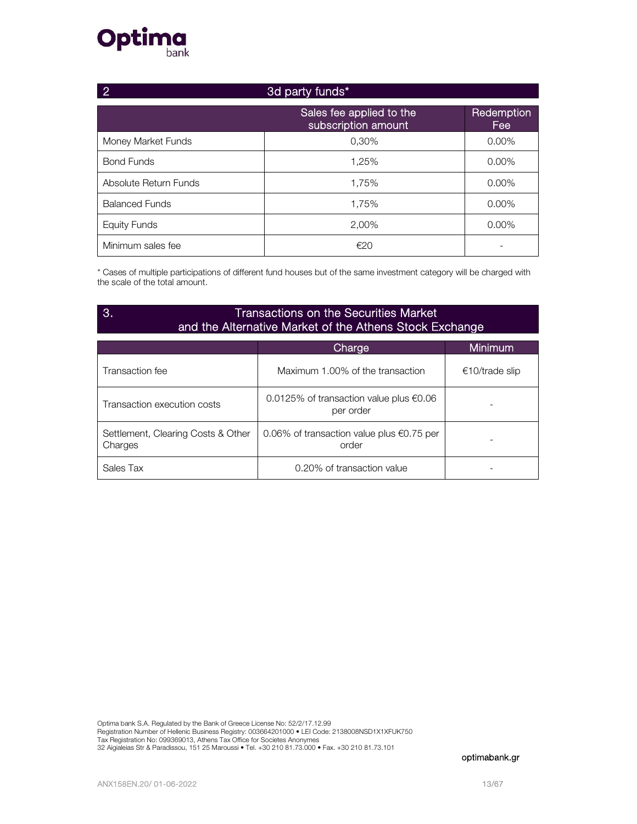# **Optima**

| 3d party funds*<br>2  |                                                 |                          |  |
|-----------------------|-------------------------------------------------|--------------------------|--|
|                       | Sales fee applied to the<br>subscription amount | <b>Redemption</b><br>Fee |  |
| Money Market Funds    | 0.30%                                           | $0.00\%$                 |  |
| <b>Bond Funds</b>     | 1,25%                                           | $0.00\%$                 |  |
| Absolute Return Funds | 1.75%                                           | $0.00\%$                 |  |
| <b>Balanced Funds</b> | 1.75%                                           | $0.00\%$                 |  |
| <b>Equity Funds</b>   | 2.00%                                           | $0.00\%$                 |  |
| Minimum sales fee     | €20                                             |                          |  |

\* Cases of multiple participations of different fund houses but of the same investment category will be charged with the scale of the total amount.

### 3. Transactions on the Securities Market and the Alternative Market of the Athens Stock Exchange

|                                               | Charge                                                       | Minimum.       |
|-----------------------------------------------|--------------------------------------------------------------|----------------|
| Transaction fee                               | Maximum 1.00% of the transaction                             | €10/trade slip |
| Transaction execution costs                   | 0.0125% of transaction value plus €0.06<br>per order         |                |
| Settlement, Clearing Costs & Other<br>Charges | 0.06% of transaction value plus $\epsilon$ 0.75 per<br>order |                |
| Sales Tax                                     | 0.20% of transaction value                                   |                |

Optima bank S.A. Regulated by the Bank of Greece License No: 52/2/17.12.99 Registration Number of Hellenic Business Registry: 003664201000 • LEI Code: 2138008NSD1X1XFUK750<br>Tax Registration No: 099369013, Athens Tax Office for Societes Anonymes<br>32 Aigialeias Str & Paradissou, 151 25 Maroussi • Tel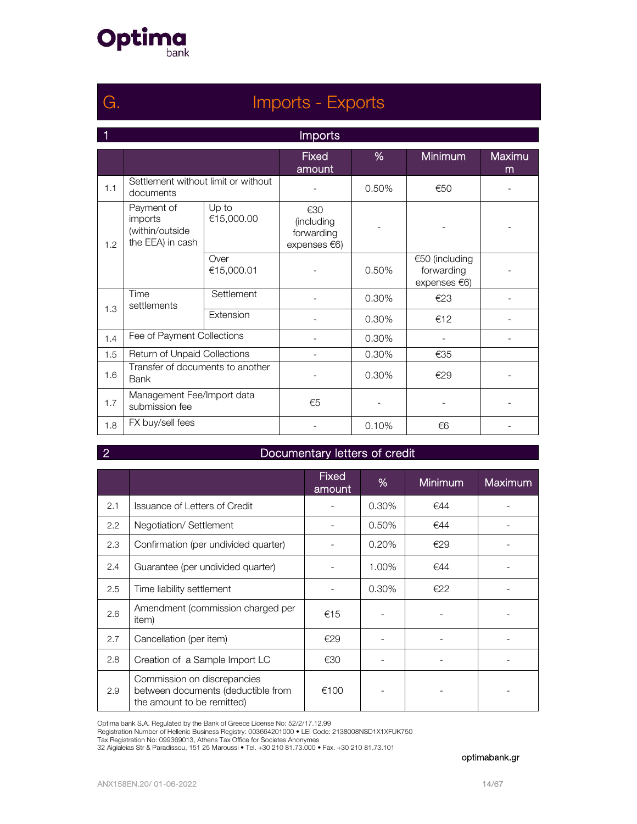

## G. Imports - Exports

| $\vert$ 1 | <b>Imports</b>                                               |                     |                                                 |       |                                              |             |  |
|-----------|--------------------------------------------------------------|---------------------|-------------------------------------------------|-------|----------------------------------------------|-------------|--|
|           |                                                              |                     | <b>Fixed</b><br>amount                          | %     | <b>Minimum</b>                               | Maximu<br>m |  |
| 1.1       | Settlement without limit or without<br>documents             |                     |                                                 | 0.50% | €50                                          |             |  |
| 1.2       | Payment of<br>imports<br>(within/outside<br>the EEA) in cash | Up to<br>€15,000.00 | €30<br>(including<br>forwarding<br>expenses €6) |       |                                              |             |  |
|           |                                                              | Over<br>€15,000.01  |                                                 | 0.50% | €50 (including<br>forwarding<br>expenses €6) |             |  |
|           | Time<br>settlements                                          | Settlement          |                                                 | 0.30% | €23                                          |             |  |
| 1.3       |                                                              | Extension           |                                                 | 0.30% | €12                                          |             |  |
| 1.4       | Fee of Payment Collections                                   |                     |                                                 | 0.30% |                                              |             |  |
| 1.5       | Return of Unpaid Collections                                 |                     |                                                 | 0.30% | €35                                          |             |  |
| 1.6       | Transfer of documents to another<br><b>Bank</b>              |                     |                                                 | 0.30% | €29                                          |             |  |
| 1.7       | Management Fee/Import data<br>submission fee                 |                     | €5                                              |       |                                              |             |  |
| 1.8       | FX buy/sell fees                                             |                     |                                                 | 0.10% | €6                                           |             |  |

### **2** Documentary letters of credit

|     |                                                                                                 | <b>Fixed</b><br>amount | %     | <b>Minimum</b> | <b>Maximum</b> |
|-----|-------------------------------------------------------------------------------------------------|------------------------|-------|----------------|----------------|
| 2.1 | Issuance of Letters of Credit                                                                   |                        | 0.30% | €44            |                |
| 2.2 | Negotiation/Settlement                                                                          |                        | 0.50% | €44            |                |
| 2.3 | Confirmation (per undivided quarter)                                                            |                        | 0.20% | €29            |                |
| 2.4 | Guarantee (per undivided quarter)                                                               |                        | 1.00% | €44            |                |
| 2.5 | Time liability settlement                                                                       |                        | 0.30% | €22            |                |
| 2.6 | Amendment (commission charged per<br>item)                                                      | €15                    |       |                |                |
| 2.7 | Cancellation (per item)                                                                         | €29                    |       |                |                |
| 2.8 | Creation of a Sample Import LC                                                                  | €30                    |       |                |                |
| 2.9 | Commission on discrepancies<br>between documents (deductible from<br>the amount to be remitted) | €100                   |       |                |                |

Optima bank S.A. Regulated by the Bank of Greece License No: 52/2/17.12.99<br>Registration Number of Hellenic Business Registry: 003664201000 • LEI Code: 2138008NSD1X1XFUK750<br>Tax Registration No: 099369013, Athens Tax Office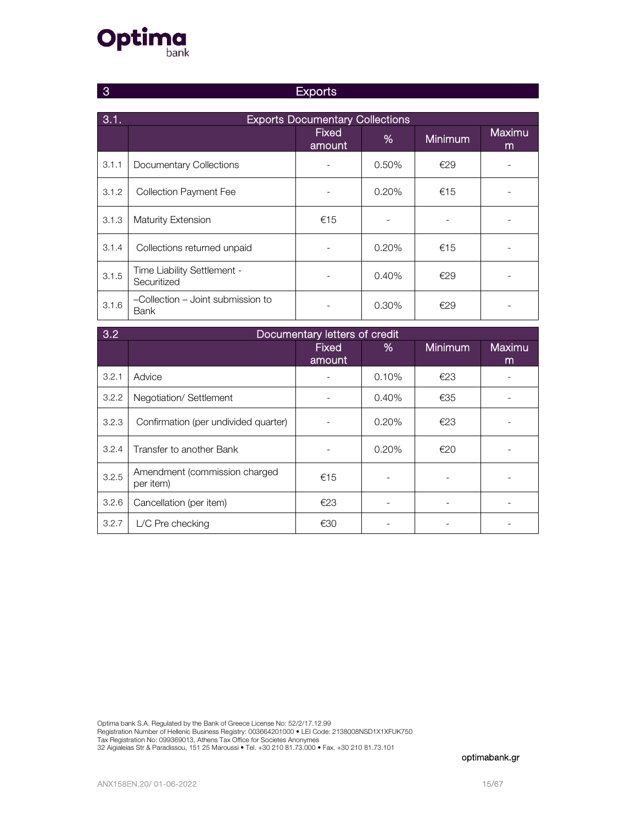# **Optima**

|  | <b>Exports</b> |
|--|----------------|
|--|----------------|

| 3.1.  | <b>Exports Documentary Collections</b>           |                        |       |                |              |  |
|-------|--------------------------------------------------|------------------------|-------|----------------|--------------|--|
|       |                                                  | <b>Fixed</b><br>amount | %     | <b>Minimum</b> | Maximu,<br>m |  |
| 3.1.1 | Documentary Collections                          |                        | 0.50% | €29            |              |  |
| 3.1.2 | <b>Collection Payment Fee</b>                    |                        | 0.20% | €15            |              |  |
| 3.1.3 | Maturity Extension                               | €15                    |       |                |              |  |
| 3.1.4 | Collections returned unpaid                      |                        | 0.20% | €15            |              |  |
| 3.1.5 | Time Liability Settlement -<br>Securitized       |                        | 0.40% | €29            |              |  |
| 3.1.6 | -Collection - Joint submission to<br><b>Bank</b> |                        | 0.30% | €29            |              |  |

| 3.2   | Documentary letters of credit              |                        |       |                |             |  |  |
|-------|--------------------------------------------|------------------------|-------|----------------|-------------|--|--|
|       |                                            | <b>Fixed</b><br>amount | %     | <b>Minimum</b> | Maximu<br>m |  |  |
| 3.2.1 | Advice                                     |                        | 0.10% | E23            |             |  |  |
| 3.2.2 | Negotiation/Settlement                     |                        | 0.40% | €35            |             |  |  |
| 3.2.3 | Confirmation (per undivided quarter)       |                        | 0.20% | €23            |             |  |  |
| 3.2.4 | Transfer to another Bank                   |                        | 0.20% | E20            |             |  |  |
| 3.2.5 | Amendment (commission charged<br>per item) | €15                    |       |                |             |  |  |
| 3.2.6 | Cancellation (per item)                    | €23                    |       |                |             |  |  |
| 3.2.7 | $L/C$ Pre checking                         | €30                    |       |                |             |  |  |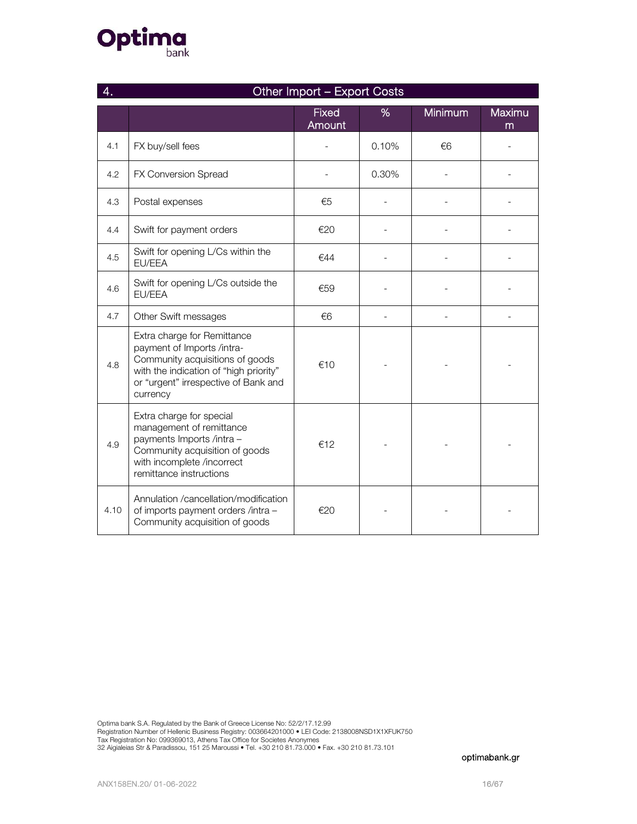# **Optima**

|      | Other Import - Export Costs                                                                                                                                                                |                        |       |         |             |  |  |
|------|--------------------------------------------------------------------------------------------------------------------------------------------------------------------------------------------|------------------------|-------|---------|-------------|--|--|
|      |                                                                                                                                                                                            | <b>Fixed</b><br>Amount | %     | Minimum | Maximu<br>m |  |  |
| 4.1  | FX buy/sell fees                                                                                                                                                                           |                        | 0.10% | €6      |             |  |  |
| 4.2  | FX Conversion Spread                                                                                                                                                                       |                        | 0.30% |         |             |  |  |
| 4.3  | Postal expenses                                                                                                                                                                            | €5                     |       |         |             |  |  |
| 4.4  | Swift for payment orders                                                                                                                                                                   | €20                    |       |         |             |  |  |
| 4.5  | Swift for opening L/Cs within the<br>EU/EEA                                                                                                                                                | €44                    |       |         |             |  |  |
| 4.6  | Swift for opening L/Cs outside the<br>EU/EEA                                                                                                                                               | €59                    |       |         |             |  |  |
| 4.7  | Other Swift messages                                                                                                                                                                       | €6                     |       |         |             |  |  |
| 4.8  | Extra charge for Remittance<br>payment of Imports /intra-<br>Community acquisitions of goods<br>with the indication of "high priority"<br>or "urgent" irrespective of Bank and<br>currency | €10                    |       |         |             |  |  |
| 4.9  | Extra charge for special<br>management of remittance<br>payments Imports /intra -<br>Community acquisition of goods<br>with incomplete /incorrect<br>remittance instructions               | €12                    |       |         |             |  |  |
| 4.10 | Annulation / cancellation/ modification<br>of imports payment orders /intra -<br>Community acquisition of goods                                                                            | €20                    |       |         |             |  |  |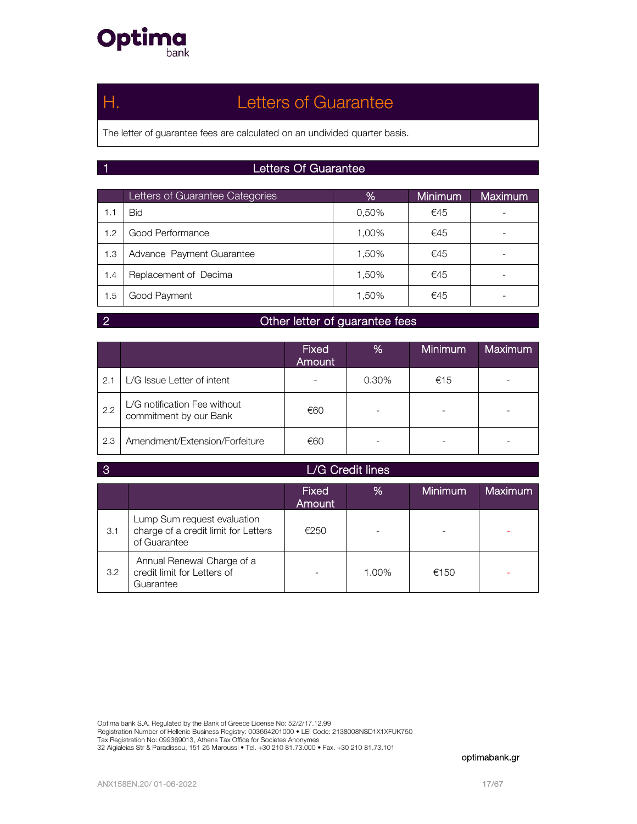

## Η. Letters of Guarantee

The letter of guarantee fees are calculated on an undivided quarter basis.

### 1 Letters Of Guarantee

|     | Letters of Guarantee Categories | %     | Minimum | <b>Maximum</b> |
|-----|---------------------------------|-------|---------|----------------|
| 1.1 | <b>Bid</b>                      | 0.50% | €45     |                |
| 1.2 | Good Performance                | 1,00% | €45     |                |
| 1.3 | Advance Payment Guarantee       | 1,50% | €45     |                |
| 1.4 | Replacement of Decima           | 1,50% | €45     |                |
| 1.5 | Good Payment                    | 1,50% | €45     |                |

### **2** Other letter of guarantee fees

|     |                                                        | <b>Fixed</b><br>Amount | %     | <b>Minimum</b> | <b>Maximum</b> |
|-----|--------------------------------------------------------|------------------------|-------|----------------|----------------|
| 2.1 | L/G Issue Letter of intent                             |                        | 0.30% | €15            |                |
| 2.2 | L/G notification Fee without<br>commitment by our Bank | €60                    |       |                |                |
| 2.3 | Amendment/Extension/Forfeiture                         | €60                    |       |                |                |

| L/G Credit lines<br>-3 |                                                                                     |                        |       |                |                |
|------------------------|-------------------------------------------------------------------------------------|------------------------|-------|----------------|----------------|
|                        |                                                                                     | <b>Fixed</b><br>Amount | %     | <b>Minimum</b> | <b>Maximum</b> |
| 3.1                    | Lump Sum request evaluation<br>charge of a credit limit for Letters<br>of Guarantee | €250                   |       |                |                |
| 3.2                    | Annual Renewal Charge of a<br>credit limit for Letters of<br>Guarantee              |                        | 1.00% | €150           |                |

Optima bank S.A. Regulated by the Bank of Greece License No: 52/2/17.12.99

Registration Number of Hellenic Business Registry: 003664201000 • LEI Code: 2138008NSD1X1XFUK750<br>Tax Registration No: 099369013, Athens Tax Office for Societes Anonymes<br>32 Aigialeias Str & Paradissou, 151 25 Maroussi • Tel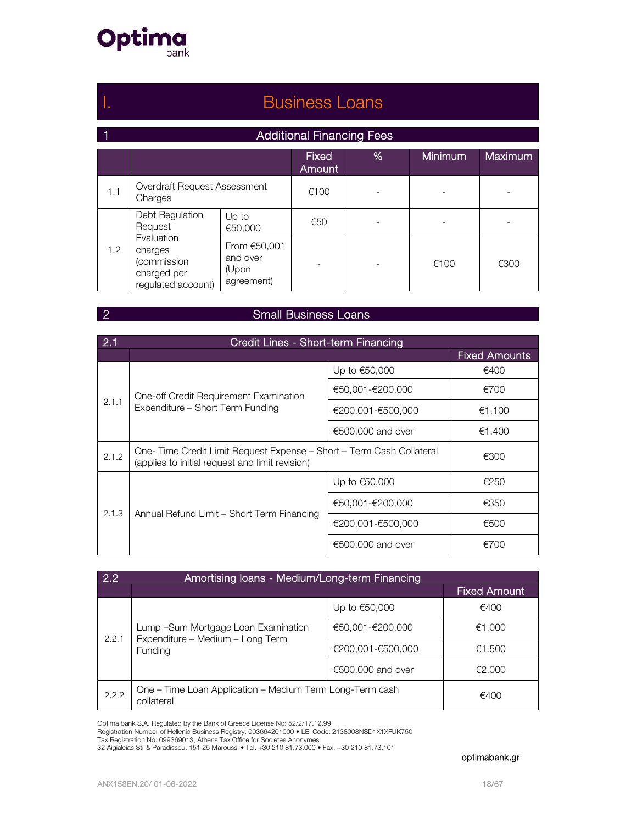

## I. **Business Loans**

### 1 **Additional Financing Fees**

|     |                                                                                                                              |                  | <b>Fixed</b><br>Amount | %    | <b>Minimum</b> | <b>Maximum</b> |
|-----|------------------------------------------------------------------------------------------------------------------------------|------------------|------------------------|------|----------------|----------------|
| 1.1 | Overdraft Request Assessment<br>Charges                                                                                      |                  | €100                   |      |                |                |
| 1.2 | Debt Regulation<br>Request                                                                                                   | Up to<br>€50,000 | €50                    |      | ۰              |                |
|     | Evaluation<br>From €50,001<br>charges<br>and over<br>(commission<br>(Upon<br>charged per<br>agreement)<br>regulated account) |                  |                        | €100 | €300           |                |

### **2** Small Business Loans

| 2.1   | Credit Lines - Short-term Financing                                                                                     |                     |                      |  |  |  |  |
|-------|-------------------------------------------------------------------------------------------------------------------------|---------------------|----------------------|--|--|--|--|
|       |                                                                                                                         |                     | <b>Fixed Amounts</b> |  |  |  |  |
|       |                                                                                                                         | Up to €50,000       | €400                 |  |  |  |  |
|       | One-off Credit Requirement Examination                                                                                  | €50,001-€200,000    | €700                 |  |  |  |  |
| 2.1.1 | Expenditure - Short Term Funding                                                                                        | €200,001-€500,000   | €1.100               |  |  |  |  |
|       |                                                                                                                         | $€500,000$ and over | €1.400               |  |  |  |  |
| 2.1.2 | One-Time Credit Limit Request Expense – Short – Term Cash Collateral<br>(applies to initial request and limit revision) | €300                |                      |  |  |  |  |
|       |                                                                                                                         | Up to €50,000       | €250                 |  |  |  |  |
|       |                                                                                                                         | €50,001-€200,000    | €350                 |  |  |  |  |
| 2.1.3 | Annual Refund Limit - Short Term Financing                                                                              | €200,001-€500,000   | €500                 |  |  |  |  |
|       |                                                                                                                         | €500,000 and over   | €700                 |  |  |  |  |

| 2.2   | Amortising Ioans - Medium/Long-term Financing                                              |                   |                     |  |  |  |  |  |
|-------|--------------------------------------------------------------------------------------------|-------------------|---------------------|--|--|--|--|--|
|       |                                                                                            |                   | <b>Fixed Amount</b> |  |  |  |  |  |
| 2.2.1 |                                                                                            | Up to €50,000     | €400                |  |  |  |  |  |
|       | Lump - Sum Mortgage Loan Examination<br>Expenditure – Medium – Long Term<br><b>Funding</b> | €50,001-€200,000  | €1.000              |  |  |  |  |  |
|       |                                                                                            | €200,001-€500,000 | €1.500              |  |  |  |  |  |
|       |                                                                                            | €500,000 and over | €2.000              |  |  |  |  |  |
| 2.2.2 | One - Time Loan Application - Medium Term Long-Term cash<br>collateral                     |                   | €400                |  |  |  |  |  |

Optima bank S.A. Regulated by the Bank of Greece License No: 52/2/17.12.99

Registration Number of Hellenic Business Registry: 003664201000 • LEI Code: 2138008NSD1X1XFUK750<br>Tax Registration No: 099369013, Athens Tax Office for Societes Anonymes<br>32 Aigialeias Str & Paradissou, 151 25 Maroussi • Tel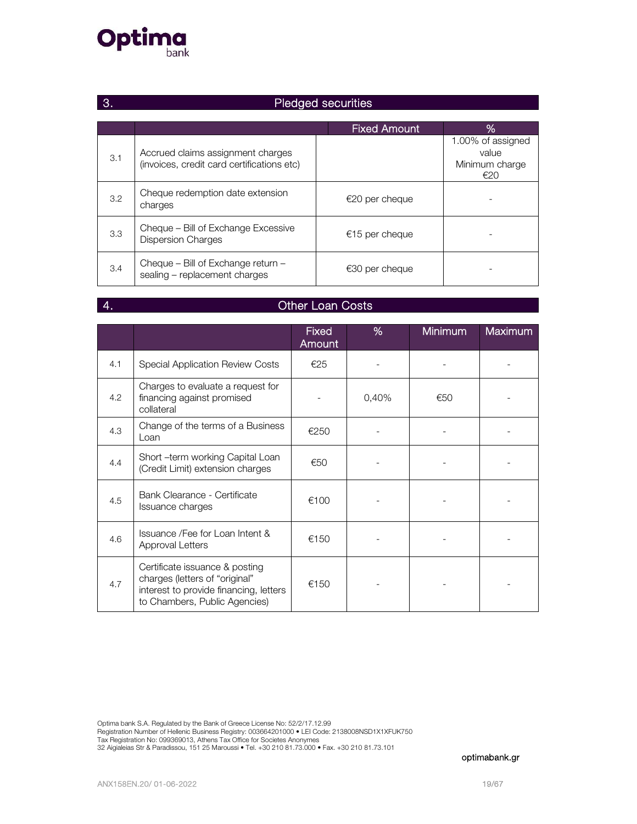

# 3. Pledged securities

|     |                                                                                 | <b>Fixed Amount</b> | %                                                   |
|-----|---------------------------------------------------------------------------------|---------------------|-----------------------------------------------------|
| 3.1 | Accrued claims assignment charges<br>(invoices, credit card certifications etc) |                     | 1.00% of assigned<br>value<br>Minimum charge<br>€20 |
| 3.2 | Cheque redemption date extension<br>charges                                     | $€20$ per cheque    |                                                     |
| 3.3 | Cheque – Bill of Exchange Excessive<br><b>Dispersion Charges</b>                | €15 per cheque      |                                                     |
| 3.4 | Cheque – Bill of Exchange return –<br>sealing - replacement charges             | $€30$ per cheque    |                                                     |

### **4.** Other Loan Costs

|     |                                                                                                                                             | <b>Fixed</b><br>Amount | % | <b>Minimum</b> | <b>Maximum</b> |
|-----|---------------------------------------------------------------------------------------------------------------------------------------------|------------------------|---|----------------|----------------|
| 4.1 | <b>Special Application Review Costs</b>                                                                                                     | €25                    |   |                |                |
| 4.2 | Charges to evaluate a request for<br>financing against promised<br>collateral                                                               | 0,40%<br>€50           |   |                |                |
| 4.3 | Change of the terms of a Business<br>Loan                                                                                                   | €250                   |   |                |                |
| 4.4 | Short -term working Capital Loan<br>(Credit Limit) extension charges                                                                        | €50                    |   |                |                |
| 4.5 | Bank Clearance - Certificate<br>Issuance charges                                                                                            | €100                   |   |                |                |
| 4.6 | Issuance / Fee for Loan Intent &<br><b>Approval Letters</b>                                                                                 | €150                   |   |                |                |
| 4.7 | Certificate issuance & posting<br>charges (letters of "original"<br>interest to provide financing, letters<br>to Chambers, Public Agencies) | €150                   |   |                |                |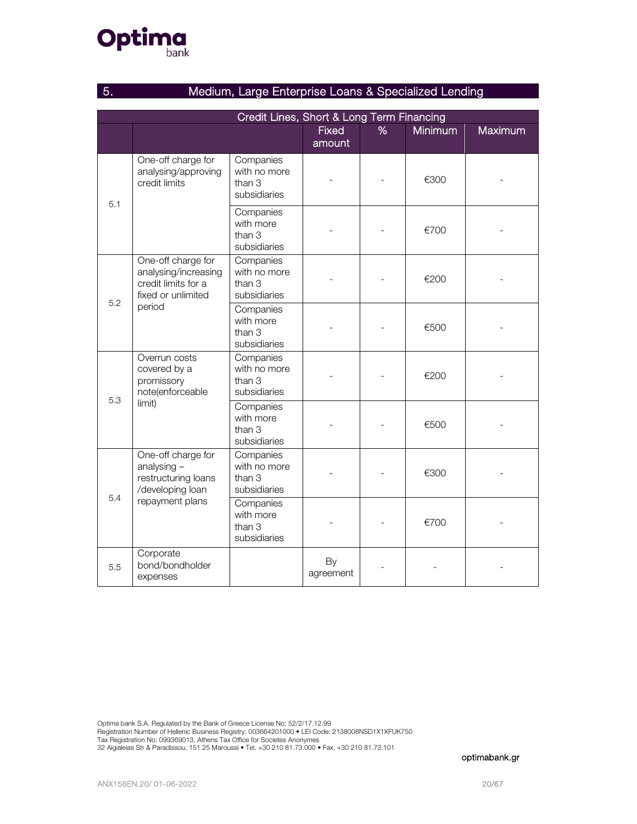# **Optima**

| Medium, Large Enterprise Loans & Specialized Lending<br>5. |                                                                                                   |                                                     |                 |   |                |                |  |  |
|------------------------------------------------------------|---------------------------------------------------------------------------------------------------|-----------------------------------------------------|-----------------|---|----------------|----------------|--|--|
|                                                            | Credit Lines, Short & Long Term Financing                                                         |                                                     |                 |   |                |                |  |  |
|                                                            |                                                                                                   |                                                     | Fixed<br>amount | % | <b>Minimum</b> | <b>Maximum</b> |  |  |
|                                                            | One-off charge for<br>analysing/approving<br>credit limits                                        | Companies<br>with no more<br>than 3<br>subsidiaries |                 |   | €300           |                |  |  |
| 5.1                                                        |                                                                                                   | Companies<br>with more<br>than 3<br>subsidiaries    |                 |   | €700           |                |  |  |
| 5.2                                                        | One-off charge for<br>analysing/increasing<br>credit limits for a<br>fixed or unlimited<br>period | Companies<br>with no more<br>than 3<br>subsidiaries |                 |   | €200           |                |  |  |
|                                                            |                                                                                                   | Companies<br>with more<br>than 3<br>subsidiaries    |                 |   | €500           |                |  |  |
|                                                            | Overrun costs<br>covered by a<br>promissory<br>note(enforceable<br>limit)                         | Companies<br>with no more<br>than 3<br>subsidiaries |                 |   | €200           |                |  |  |
| 5.3                                                        |                                                                                                   | Companies<br>with more<br>than 3<br>subsidiaries    |                 |   | €500           |                |  |  |
|                                                            | One-off charge for<br>analysing $-$<br>restructuring loans<br>/developing loan                    | Companies<br>with no more<br>than 3<br>subsidiaries |                 |   | €300           |                |  |  |
| 5.4                                                        | repayment plans                                                                                   | Companies<br>with more<br>than 3<br>subsidiaries    |                 |   | €700           |                |  |  |
| 5.5                                                        | Corporate<br>bond/bondholder<br>expenses                                                          |                                                     | By<br>agreement |   |                |                |  |  |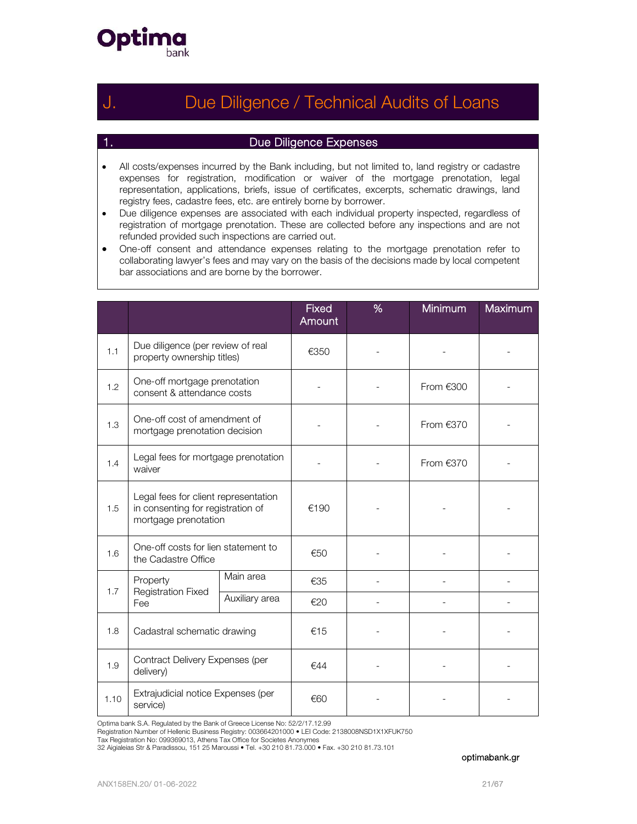

## Due Diligence / Technical Audits of Loans

### 1. Due Diligence Expenses

- All costs/expenses incurred by the Bank including, but not limited to, land registry or cadastre expenses for registration, modification or waiver of the mortgage prenotation, legal representation, applications, briefs, issue of certificates, excerpts, schematic drawings, land registry fees, cadastre fees, etc. are entirely borne by borrower.
- Due diligence expenses are associated with each individual property inspected, regardless of registration of mortgage prenotation. These are collected before any inspections and are not refunded provided such inspections are carried out.
- One-off consent and attendance expenses relating to the mortgage prenotation refer to collaborating lawyer's fees and may vary on the basis of the decisions made by local competent bar associations and are borne by the borrower.

|      |                                                                                                   |                | <b>Fixed</b><br>Amount | % | Minimum     | Maximum |
|------|---------------------------------------------------------------------------------------------------|----------------|------------------------|---|-------------|---------|
| 1.1  | Due diligence (per review of real<br>property ownership titles)                                   |                | €350                   |   |             |         |
| 1.2  | One-off mortgage prenotation<br>consent & attendance costs                                        |                |                        |   | From $€300$ |         |
| 1.3  | One-off cost of amendment of<br>mortgage prenotation decision                                     |                |                        |   | From $€370$ |         |
| 1.4  | Legal fees for mortgage prenotation<br>waiver                                                     |                |                        |   | From $€370$ |         |
| 1.5  | Legal fees for client representation<br>in consenting for registration of<br>mortgage prenotation |                | €190                   |   |             |         |
| 1.6  | One-off costs for lien statement to<br>the Cadastre Office                                        |                | €50                    |   |             |         |
|      | Property                                                                                          | Main area      | €35                    |   |             |         |
| 1.7  | <b>Registration Fixed</b><br>Fee                                                                  | Auxiliary area | €20                    |   |             |         |
| 1.8  | Cadastral schematic drawing                                                                       |                | €15                    |   |             |         |
| 1.9  | Contract Delivery Expenses (per<br>delivery)                                                      |                | €44                    |   |             |         |
| 1.10 | Extrajudicial notice Expenses (per<br>service)                                                    |                | €60                    |   |             |         |

Optima bank S.A. Regulated by the Bank of Greece License No: 52/2/17.12.99

Registration Number of Hellenic Business Registry: 003664201000 • LEI Code: 2138008NSD1X1XFUK750<br>Tax Registration No: 099369013, Athens Tax Office for Societes Anonymes

32 Aigialeias Str & Paradissou, 151 25 Maroussi • Tel. +30 210 81.73.000 • Fax. +30 210 81.73.101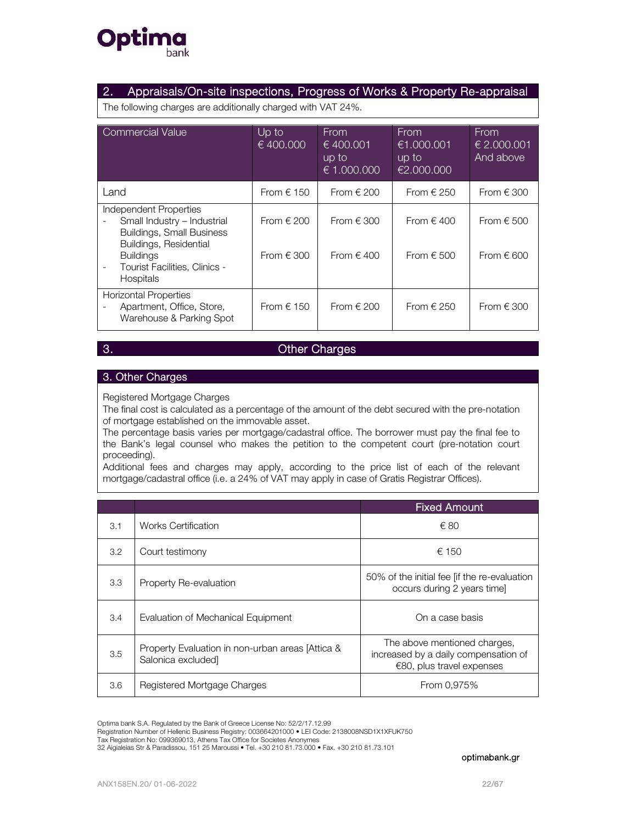

### 2. Appraisals/On-site inspections, Progress of Works & Property Re-appraisal

The following charges are additionally charged with VAT 24%.

| Commercial Value                                                                                                                                                                             | Up to<br>$\sqrt{6400.000}$       | From<br>€ 400.001<br>up to<br>€ 1.000.000 | <b>From</b><br>€1.000.001<br>up to<br>€2.000.000 | From<br>$\epsilon$ 2.000.001<br>And above |
|----------------------------------------------------------------------------------------------------------------------------------------------------------------------------------------------|----------------------------------|-------------------------------------------|--------------------------------------------------|-------------------------------------------|
| Land                                                                                                                                                                                         | From $\in$ 150                   | From $\in$ 200                            | From $\in$ 250                                   | From $\in$ 300                            |
| Independent Properties<br>Small Industry - Industrial<br>Buildings, Small Business<br>Buildings, Residential<br><b>Buildings</b><br><b>Tourist Facilities, Clinics -</b><br><b>Hospitals</b> | From $\in$ 200<br>From $\in$ 300 | From $\in$ 300<br>From $\in$ 400          | From $\in$ 400<br>From $\epsilon$ 500            | From $\epsilon$ 500<br>From $\in$ 600     |
| <b>Horizontal Properties</b><br>Apartment, Office, Store,<br>Warehouse & Parking Spot                                                                                                        | From $\in$ 150                   | From $\in$ 200                            | From $\in$ 250                                   | From $\in$ 300                            |

### 3. Other Charges

### 3. Other Charges

Registered Mortgage Charges

The final cost is calculated as a percentage of the amount of the debt secured with the pre-notation of mortgage established on the immovable asset.

The percentage basis varies per mortgage/cadastral office. The borrower must pay the final fee to the Bank's legal counsel who makes the petition to the competent court (pre-notation court proceeding).

Additional fees and charges may apply, according to the price list of each of the relevant mortgage/cadastral office (i.e. a 24% of VAT may apply in case of Gratis Registrar Offices).

|     |                                                                        | <b>Fixed Amount</b>                                                                                  |
|-----|------------------------------------------------------------------------|------------------------------------------------------------------------------------------------------|
| 3.1 | <b>Works Certification</b>                                             | € 80                                                                                                 |
| 3.2 | Court testimony                                                        | € 150                                                                                                |
| 3.3 | Property Re-evaluation                                                 | 50% of the initial fee [if the re-evaluation<br>occurs during 2 years time]                          |
| 3.4 | Evaluation of Mechanical Equipment                                     | On a case basis                                                                                      |
| 3.5 | Property Evaluation in non-urban areas [Attica &<br>Salonica excluded] | The above mentioned charges,<br>increased by a daily compensation of<br>$€80$ , plus travel expenses |
| 3.6 | Registered Mortgage Charges                                            | From 0.975%                                                                                          |

Optima bank S.A. Regulated by the Bank of Greece License No: 52/2/17.12.99

Registration Number of Hellenic Business Registry: 003664201000 • LEI Code: 2138008NSD1X1XFUK750<br>Tax Registration No: 099369013, Athens Tax Office for Societes Anonymes

32 Aigialeias Str & Paradissou, 151 25 Maroussi • Tel. +30 210 81.73.000 • Fax. +30 210 81.73.101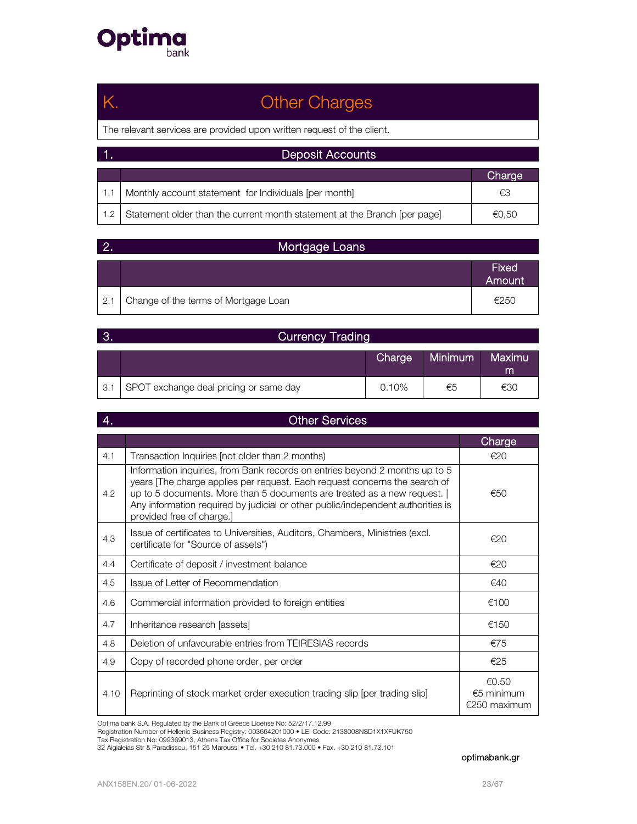

# Κ. Other Charges

The relevant services are provided upon written request of the client.

|     | <b>Deposit Accounts</b>                                                   |        |  |
|-----|---------------------------------------------------------------------------|--------|--|
|     |                                                                           | Charge |  |
|     | Monthly account statement for Individuals [per month]                     | €3     |  |
| 1.2 | Statement older than the current month statement at the Branch [per page] | €0,50  |  |

|     | Mortgage Loans                       |                        |  |  |
|-----|--------------------------------------|------------------------|--|--|
|     |                                      | <b>Fixed</b><br>Amount |  |  |
| 2.1 | Change of the terms of Mortgage Loan | €250                   |  |  |

| <b>B.</b> | <b>Currency Trading</b>                |          |                |             |
|-----------|----------------------------------------|----------|----------------|-------------|
|           |                                        | Charge   | <b>Minimum</b> | Maximu<br>m |
| 3.1       | SPOT exchange deal pricing or same day | $0.10\%$ | €5             | €30         |

| 4.   | <b>Other Services</b>                                                                                                                                                                                                                                                                                                                                |                                       |  |  |  |
|------|------------------------------------------------------------------------------------------------------------------------------------------------------------------------------------------------------------------------------------------------------------------------------------------------------------------------------------------------------|---------------------------------------|--|--|--|
|      |                                                                                                                                                                                                                                                                                                                                                      | Charge                                |  |  |  |
| 4.1  | Transaction Inquiries (not older than 2 months)                                                                                                                                                                                                                                                                                                      | E20                                   |  |  |  |
| 4.2  | Information inquiries, from Bank records on entries beyond 2 months up to 5<br>years The charge applies per request. Each request concerns the search of<br>up to 5 documents. More than 5 documents are treated as a new request.  <br>Any information required by judicial or other public/independent authorities is<br>provided free of charge.] | €50                                   |  |  |  |
| 4.3  | Issue of certificates to Universities, Auditors, Chambers, Ministries (excl.<br>certificate for "Source of assets")                                                                                                                                                                                                                                  |                                       |  |  |  |
| 4.4  | Certificate of deposit / investment balance                                                                                                                                                                                                                                                                                                          |                                       |  |  |  |
| 4.5  | Issue of Letter of Recommendation                                                                                                                                                                                                                                                                                                                    | €40                                   |  |  |  |
| 4.6  | Commercial information provided to foreign entities                                                                                                                                                                                                                                                                                                  | €100                                  |  |  |  |
| 4.7  | Inheritance research [assets]                                                                                                                                                                                                                                                                                                                        | €150                                  |  |  |  |
| 4.8  | Deletion of unfavourable entries from TEIRESIAS records                                                                                                                                                                                                                                                                                              | €75                                   |  |  |  |
| 4.9  | Copy of recorded phone order, per order                                                                                                                                                                                                                                                                                                              | €25                                   |  |  |  |
| 4.10 | Reprinting of stock market order execution trading slip [per trading slip]                                                                                                                                                                                                                                                                           | €0.50<br>$€5$ minimum<br>€250 maximum |  |  |  |

Optima bank S.A. Regulated by the Bank of Greece License No: 52/2/17.12.99

Registration Number of Hellenic Business Registry: 003664201000 • LEI Code: 2138008NSD1X1XFUK750<br>Tax Registration No: 099369013, Athens Tax Office for Societes Anonymes<br>32 Aigialeias Str & Paradissou, 151 25 Maroussi • Tel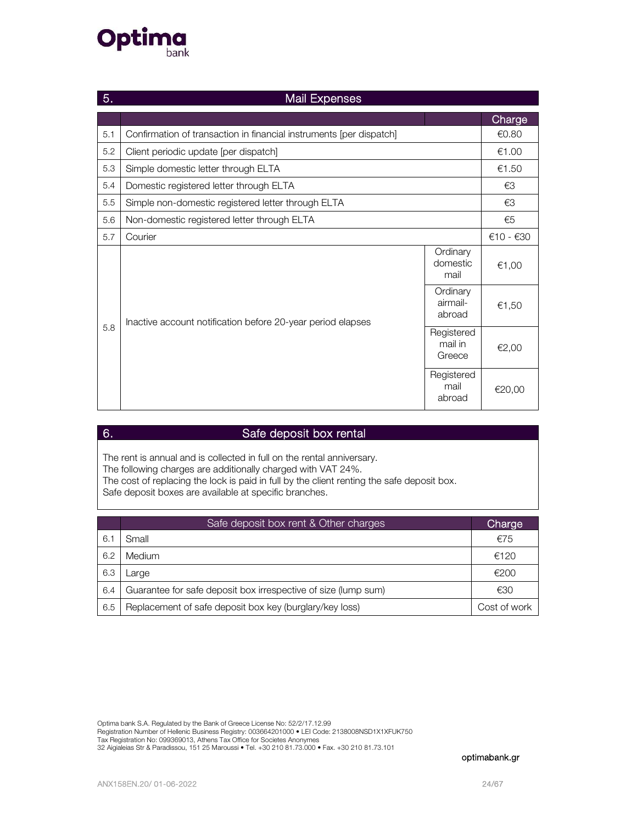

| 5.  | <b>Mail Expenses</b>                                                |                                 |           |  |  |
|-----|---------------------------------------------------------------------|---------------------------------|-----------|--|--|
|     |                                                                     |                                 | Charge    |  |  |
| 5.1 | Confirmation of transaction in financial instruments [per dispatch] |                                 | €0.80     |  |  |
| 5.2 | Client periodic update [per dispatch]                               |                                 | €1.00     |  |  |
| 5.3 | Simple domestic letter through ELTA                                 |                                 | €1.50     |  |  |
| 5.4 | Domestic registered letter through ELTA                             |                                 | €3        |  |  |
| 5.5 | Simple non-domestic registered letter through ELTA                  |                                 | €3        |  |  |
| 5.6 | Non-domestic registered letter through ELTA                         |                                 | €5        |  |  |
| 5.7 | Courier                                                             |                                 | €10 - €30 |  |  |
|     |                                                                     | Ordinary<br>domestic<br>mail    | €1,00     |  |  |
|     | Inactive account notification before 20-year period elapses         | Ordinary<br>airmail-<br>abroad  | €1,50     |  |  |
| 5.8 |                                                                     | Registered<br>mail in<br>Greece | €2,00     |  |  |
|     |                                                                     | Registered<br>mail<br>abroad    | €20,00    |  |  |

### 6. Safe deposit box rental

The rent is annual and is collected in full on the rental anniversary. The following charges are additionally charged with VAT 24%. The cost of replacing the lock is paid in full by the client renting the safe deposit box. Safe deposit boxes are available at specific branches.

|     | Safe deposit box rent & Other charges                          | Charge       |
|-----|----------------------------------------------------------------|--------------|
| 6.1 | Small                                                          | €75          |
| 6.2 | Medium                                                         | €120         |
| 6.3 | Large                                                          | €200         |
| 6.4 | Guarantee for safe deposit box irrespective of size (lump sum) | €30          |
| 6.5 | Replacement of safe deposit box key (burglary/key loss)        | Cost of work |

Optima bank S.A. Regulated by the Bank of Greece License No: 52/2/17.12.99 Registration Number of Hellenic Business Registry: 003664201000 • LEI Code: 2138008NSD1X1XFUK750<br>Tax Registration No: 099369013, Athens Tax Office for Societes Anonymes 32 Aigialeias Str & Paradissou, 151 25 Maroussi • Tel. +30 210 81.73.000 • Fax. +30 210 81.73.101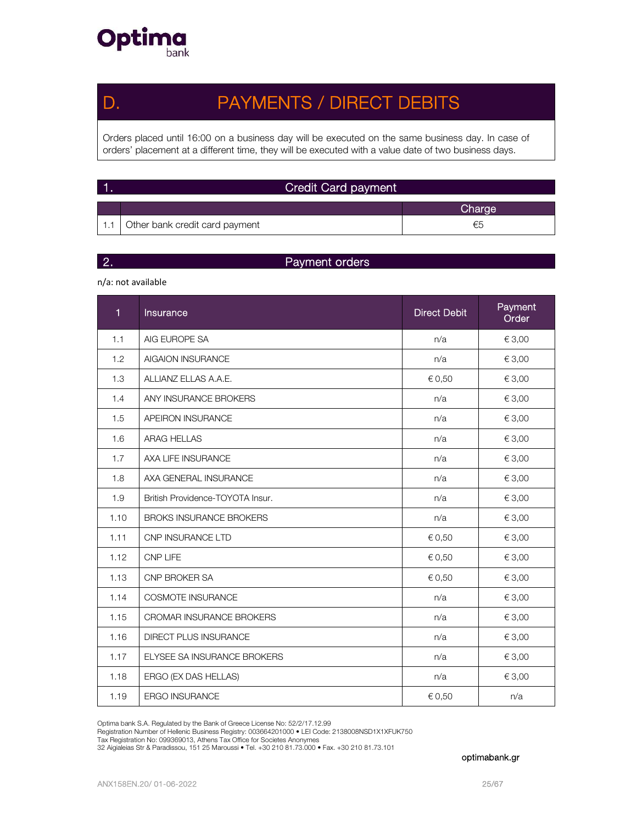

## D. PAYMENTS / DIRECT DEBITS

Orders placed until 16:00 on a business day will be executed on the same business day. In case of orders' placement at a different time, they will be executed with a value date of two business days.

| $\vert$ 1. | <b>Credit Card payment</b>     |        |  |  |
|------------|--------------------------------|--------|--|--|
|            |                                | Charge |  |  |
|            | Other bank credit card payment | €5     |  |  |

### 2. Payment orders

n/a: not available

| 1    | Insurance                        | <b>Direct Debit</b> | Payment<br>Order |
|------|----------------------------------|---------------------|------------------|
| 1.1  | AIG EUROPE SA                    | n/a                 | € 3,00           |
| 1.2  | <b>AIGAION INSURANCE</b>         | n/a                 | € 3,00           |
| 1.3  | ALLIANZ ELLAS A.A.E.             | € 0,50              | € 3,00           |
| 1.4  | ANY INSURANCE BROKERS            | n/a                 | € 3,00           |
| 1.5  | APEIRON INSURANCE                | n/a                 | € 3,00           |
| 1.6  | <b>ARAG HELLAS</b>               | n/a                 | € 3,00           |
| 1.7  | AXA LIFE INSURANCE               | n/a                 | € 3,00           |
| 1.8  | AXA GENERAL INSURANCE            | n/a                 | € 3,00           |
| 1.9  | British Providence-TOYOTA Insur. | n/a                 | € 3,00           |
| 1.10 | <b>BROKS INSURANCE BROKERS</b>   | n/a                 | € 3,00           |
| 1.11 | CNP INSURANCE LTD                | € 0,50              | € 3,00           |
| 1.12 | <b>CNP LIFE</b>                  | € 0,50              | € 3,00           |
| 1.13 | CNP BROKER SA                    | € 0,50              | € 3,00           |
| 1.14 | <b>COSMOTE INSURANCE</b>         | n/a                 | € 3,00           |
| 1.15 | <b>CROMAR INSURANCE BROKERS</b>  | n/a                 | € 3,00           |
| 1.16 | <b>DIRECT PLUS INSURANCE</b>     | n/a                 | € 3,00           |
| 1.17 | ELYSEE SA INSURANCE BROKERS      | n/a                 | € 3,00           |
| 1.18 | ERGO (EX DAS HELLAS)             | n/a                 | € 3,00           |
| 1.19 | <b>ERGO INSURANCE</b>            | € 0,50              | n/a              |

Optima bank S.A. Regulated by the Bank of Greece License No: 52/2/17.12.99

Registration Number of Hellenic Business Registry: 003664201000 • LEI Code: 2138008NSD1X1XFUK750<br>Tax Registration No: 099369013, Athens Tax Office for Societes Anonymes

32 Aigialeias Str & Paradissou, 151 25 Maroussi • Tel. +30 210 81.73.000 • Fax. +30 210 81.73.101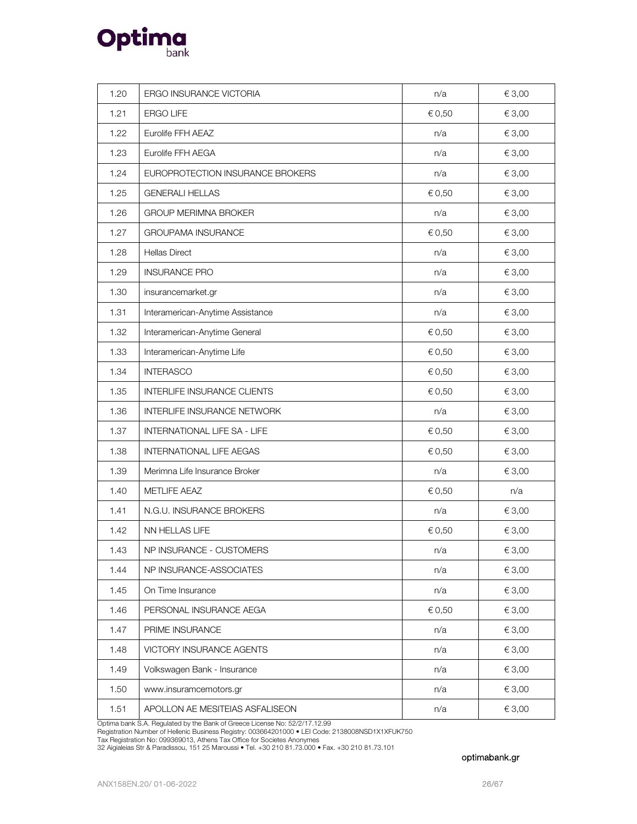

| 1.20 | ERGO INSURANCE VICTORIA          | n/a    | € 3,00     |
|------|----------------------------------|--------|------------|
| 1.21 | <b>ERGO LIFE</b>                 | € 0,50 | € 3,00     |
| 1.22 | Eurolife FFH AEAZ                | n/a    | € 3,00     |
| 1.23 | Eurolife FFH AEGA                | n/a    | € 3,00     |
| 1.24 | EUROPROTECTION INSURANCE BROKERS | n/a    | € 3,00     |
| 1.25 | <b>GENERALI HELLAS</b>           | € 0,50 | € 3,00     |
| 1.26 | <b>GROUP MERIMNA BROKER</b>      | n/a    | € 3,00     |
| 1.27 | <b>GROUPAMA INSURANCE</b>        | € 0,50 | € 3,00     |
| 1.28 | <b>Hellas Direct</b>             | n/a    | € 3,00     |
| 1.29 | <b>INSURANCE PRO</b>             | n/a    | € 3,00     |
| 1.30 | insurancemarket.gr               | n/a    | € 3,00     |
| 1.31 | Interamerican-Anytime Assistance | n/a    | € 3,00     |
| 1.32 | Interamerican-Anytime General    | € 0,50 | € 3,00     |
| 1.33 | Interamerican-Anytime Life       | € 0,50 | € 3,00     |
| 1.34 | <b>INTERASCO</b>                 | € 0,50 | € 3,00     |
| 1.35 | INTERLIFE INSURANCE CLIENTS      | € 0,50 | € 3,00     |
| 1.36 | INTERLIFE INSURANCE NETWORK      | n/a    | € 3,00     |
| 1.37 | INTERNATIONAL LIFE SA - LIFE     | € 0,50 | € 3,00     |
| 1.38 | <b>INTERNATIONAL LIFE AEGAS</b>  | € 0,50 | € 3,00     |
| 1.39 | Merimna Life Insurance Broker    | n/a    | € 3,00     |
| 1.40 | METLIFE AEAZ                     | € 0,50 | n/a        |
| 1.41 | N.G.U. INSURANCE BROKERS         | n/a    | € 3,00     |
| 1.42 | NN HELLAS LIFE                   | € 0,50 | € 3,00     |
| 1.43 | NP INSURANCE - CUSTOMERS         | n/a    | $\in$ 3,00 |
| 1.44 | NP INSURANCE-ASSOCIATES          | n/a    | € 3,00     |
| 1.45 | On Time Insurance                | n/a    | € 3,00     |
| 1.46 | PERSONAL INSURANCE AEGA          | € 0,50 | € 3,00     |
| 1.47 | PRIME INSURANCE                  | n/a    | € 3,00     |
| 1.48 | VICTORY INSURANCE AGENTS         | n/a    | € 3,00     |
| 1.49 | Volkswagen Bank - Insurance      | n/a    | € 3,00     |
| 1.50 | www.insuramcemotors.gr           | n/a    | € 3,00     |
| 1.51 | APOLLON AE MESITEIAS ASFALISEON  | n/a    | € 3,00     |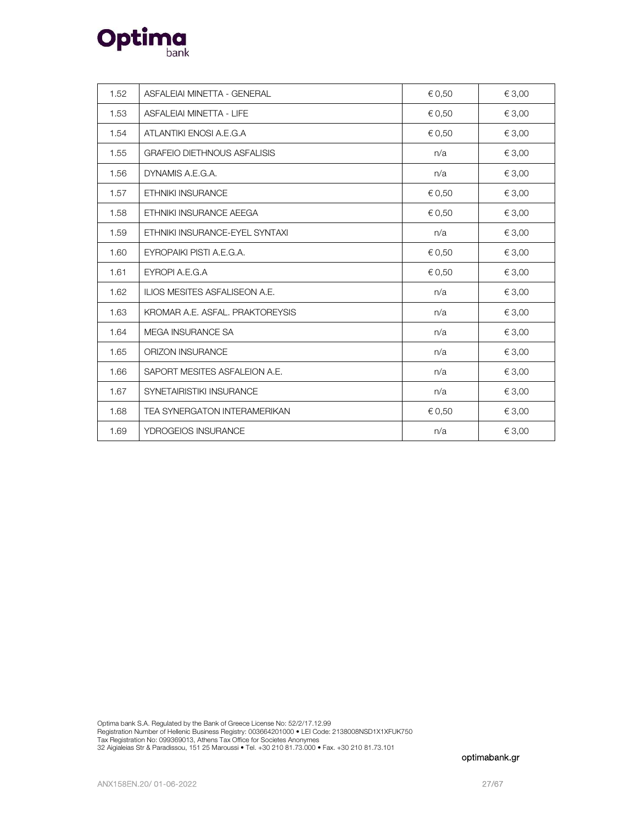

| 1.52 | ASFALEIAI MINETTA - GENERAL          | € 0,50 | € 3,00 |
|------|--------------------------------------|--------|--------|
| 1.53 | ASFALEIAI MINETTA - LIFE             | € 0,50 | € 3,00 |
| 1.54 | ATLANTIKI ENOSI A.E.G.A              | € 0,50 | € 3,00 |
| 1.55 | <b>GRAFEIO DIETHNOUS ASFALISIS</b>   | n/a    | € 3,00 |
| 1.56 | DYNAMIS A.E.G.A.                     | n/a    | € 3,00 |
| 1.57 | <b>ETHNIKI INSURANCE</b>             | € 0,50 | € 3,00 |
| 1.58 | ETHNIKI INSURANCE AEEGA              | € 0,50 | € 3,00 |
| 1.59 | ETHNIKI INSURANCE-EYEL SYNTAXI       | n/a    | € 3,00 |
| 1.60 | EYROPAIKI PISTI A.E.G.A.             | € 0,50 | € 3,00 |
| 1.61 | EYROPI A.E.G.A                       | € 0,50 | € 3,00 |
| 1.62 | <b>ILIOS MESITES ASFALISEON A.E.</b> | n/a    | € 3,00 |
| 1.63 | KROMAR A.E. ASFAL, PRAKTOREYSIS      | n/a    | € 3,00 |
| 1.64 | MEGA INSURANCE SA                    | n/a    | € 3,00 |
| 1.65 | <b>ORIZON INSURANCE</b>              | n/a    | € 3,00 |
| 1.66 | SAPORT MESITES ASFALEION A.E.        | n/a    | € 3,00 |
| 1.67 | SYNETAIRISTIKI INSURANCE             | n/a    | € 3,00 |
| 1.68 | TEA SYNERGATON INTERAMERIKAN         | € 0,50 | € 3,00 |
| 1.69 | YDROGEIOS INSURANCE                  | n/a    | € 3,00 |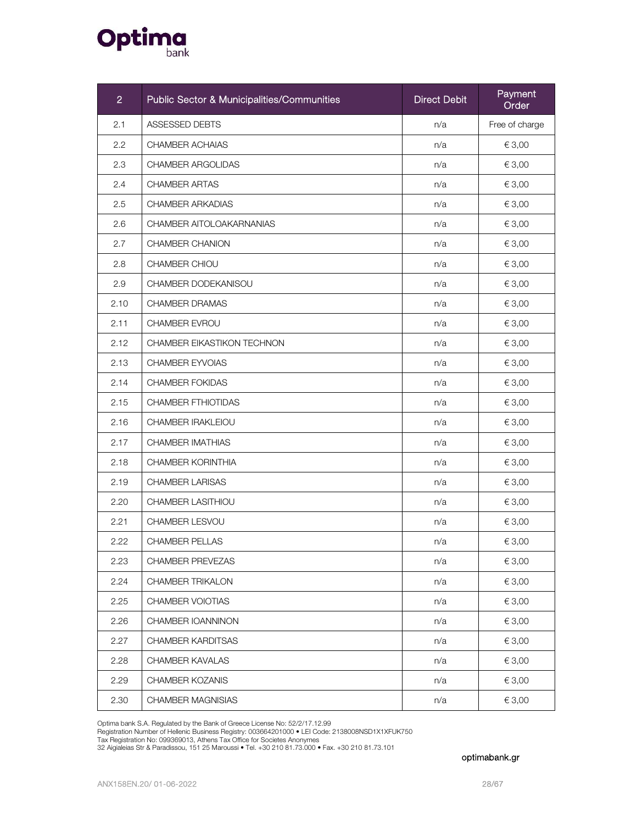

| $\overline{2}$ | <b>Public Sector &amp; Municipalities/Communities</b> | <b>Direct Debit</b> | Payment<br>Order |
|----------------|-------------------------------------------------------|---------------------|------------------|
| 2.1            | ASSESSED DEBTS                                        | n/a                 | Free of charge   |
| 2.2            | CHAMBER ACHAIAS                                       | n/a                 | € 3,00           |
| 2.3            | <b>CHAMBER ARGOLIDAS</b>                              | n/a                 | € 3,00           |
| 2.4            | <b>CHAMBER ARTAS</b>                                  | n/a                 | € 3,00           |
| 2.5            | <b>CHAMBER ARKADIAS</b>                               | n/a                 | € 3,00           |
| 2.6            | CHAMBER AITOLOAKARNANIAS                              | n/a                 | € 3,00           |
| 2.7            | <b>CHAMBER CHANION</b>                                | n/a                 | € 3,00           |
| 2.8            | CHAMBER CHIOU                                         | n/a                 | € 3,00           |
| 2.9            | CHAMBER DODEKANISOU                                   | n/a                 | € 3,00           |
| 2.10           | <b>CHAMBER DRAMAS</b>                                 | n/a                 | € 3,00           |
| 2.11           | CHAMBER EVROU                                         | n/a                 | € 3,00           |
| 2.12           | CHAMBER EIKASTIKON TECHNON                            | n/a                 | € 3,00           |
| 2.13           | <b>CHAMBER EYVOIAS</b>                                | n/a                 | € 3,00           |
| 2.14           | <b>CHAMBER FOKIDAS</b>                                | n/a                 | € 3,00           |
| 2.15           | <b>CHAMBER FTHIOTIDAS</b>                             | n/a                 | € 3,00           |
| 2.16           | CHAMBER IRAKLEIOU                                     | n/a                 | € 3,00           |
| 2.17           | CHAMBER IMATHIAS                                      | n/a                 | € 3,00           |
| 2.18           | <b>CHAMBER KORINTHIA</b>                              | n/a                 | € 3,00           |
| 2.19           | <b>CHAMBER LARISAS</b>                                | n/a                 | € 3,00           |
| 2.20           | CHAMBER LASITHIOU                                     | n/a                 | € 3,00           |
| 2.21           | CHAMBER LESVOU                                        | n/a                 | € 3,00           |
| 2.22           | <b>CHAMBER PELLAS</b>                                 | n/a                 | € 3,00           |
| 2.23           | CHAMBER PREVEZAS                                      | n/a                 | € 3,00           |
| 2.24           | <b>CHAMBER TRIKALON</b>                               | n/a                 | € 3,00           |
| 2.25           | CHAMBER VOIOTIAS                                      | n/a                 | € 3,00           |
| 2.26           | CHAMBER IOANNINON                                     | n/a                 | € 3,00           |
| 2.27           | <b>CHAMBER KARDITSAS</b>                              | n/a                 | € 3,00           |
| 2.28           | <b>CHAMBER KAVALAS</b>                                | n/a                 | € 3,00           |
| 2.29           | CHAMBER KOZANIS                                       | n/a                 | € 3,00           |
| 2.30           | CHAMBER MAGNISIAS                                     | n/a                 | € 3,00           |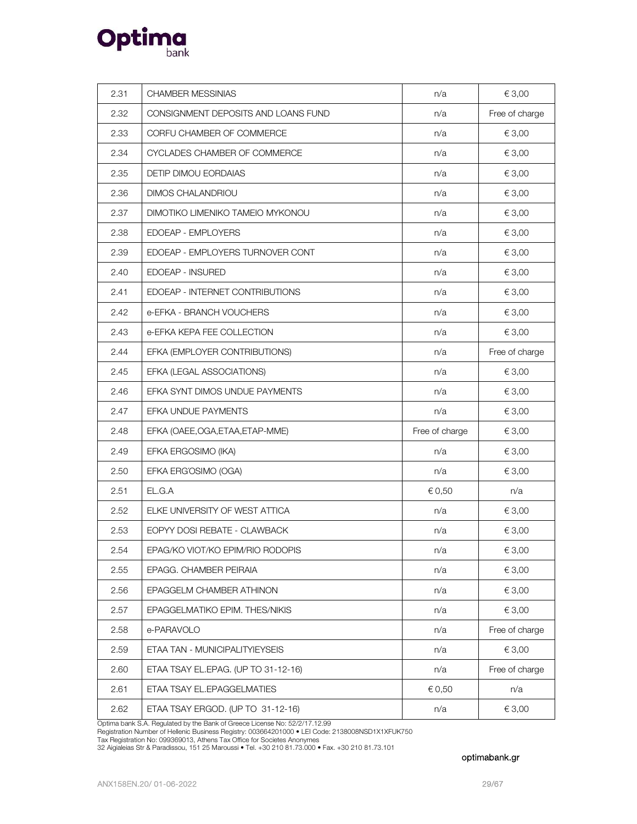

| 2.31 | CHAMBER MESSINIAS                   | n/a            | € 3,00         |
|------|-------------------------------------|----------------|----------------|
| 2.32 | CONSIGNMENT DEPOSITS AND LOANS FUND | n/a            | Free of charge |
| 2.33 | CORFU CHAMBER OF COMMERCE           | n/a            | € 3,00         |
| 2.34 | CYCLADES CHAMBER OF COMMERCE        | n/a            | € 3,00         |
| 2.35 | <b>DETIP DIMOU EORDAIAS</b>         | n/a            | € 3,00         |
| 2.36 | <b>DIMOS CHALANDRIOU</b>            | n/a            | € 3,00         |
| 2.37 | DIMOTIKO LIMENIKO TAMEIO MYKONOU    | n/a            | € 3,00         |
| 2.38 | EDOEAP - EMPLOYERS                  | n/a            | € 3,00         |
| 2.39 | EDOEAP - EMPLOYERS TURNOVER CONT    | n/a            | € 3,00         |
| 2.40 | EDOEAP - INSURED                    | n/a            | € 3,00         |
| 2.41 | EDOEAP - INTERNET CONTRIBUTIONS     | n/a            | € 3,00         |
| 2.42 | e-EFKA - BRANCH VOUCHERS            | n/a            | € 3,00         |
| 2.43 | e-EFKA KEPA FEE COLLECTION          | n/a            | € 3,00         |
| 2.44 | EFKA (EMPLOYER CONTRIBUTIONS)       | n/a            | Free of charge |
| 2.45 | EFKA (LEGAL ASSOCIATIONS)           | n/a            | € 3,00         |
| 2.46 | EFKA SYNT DIMOS UNDUE PAYMENTS      | n/a            | € 3,00         |
| 2.47 | EFKA UNDUE PAYMENTS                 | n/a            | € 3,00         |
| 2.48 | EFKA (OAEE, OGA, ETAA, ETAP-MME)    | Free of charge | € 3,00         |
| 2.49 | EFKA ERGOSIMO (IKA)                 | n/a            | € 3,00         |
| 2.50 | EFKA ERG'OSIMO (OGA)                | n/a            | € 3,00         |
| 2.51 | EL.G.A                              | € 0,50         | n/a            |
| 2.52 | ELKE UNIVERSITY OF WEST ATTICA      | n/a            | € 3,00         |
| 2.53 | EOPYY DOSI REBATE - CLAWBACK        | n/a            | € 3,00         |
| 2.54 | EPAG/KO VIOT/KO EPIM/RIO RODOPIS    | n/a            | € 3,00         |
| 2.55 | EPAGG. CHAMBER PEIRAIA              | n/a            | € 3,00         |
| 2.56 | EPAGGELM CHAMBER ATHINON            | n/a            | € 3,00         |
| 2.57 | EPAGGELMATIKO EPIM. THES/NIKIS      | n/a            | € 3,00         |
| 2.58 | e-PARAVOLO                          | n/a            | Free of charge |
| 2.59 | ETAA TAN - MUNICIPALITYIEYSEIS      | n/a            | € 3,00         |
| 2.60 | ETAA TSAY EL.EPAG. (UP TO 31-12-16) | n/a            | Free of charge |
| 2.61 | ETAA TSAY EL.EPAGGELMATIES          | € 0,50         | n/a            |
| 2.62 | ETAA TSAY ERGOD. (UP TO 31-12-16)   | n/a            | € 3,00         |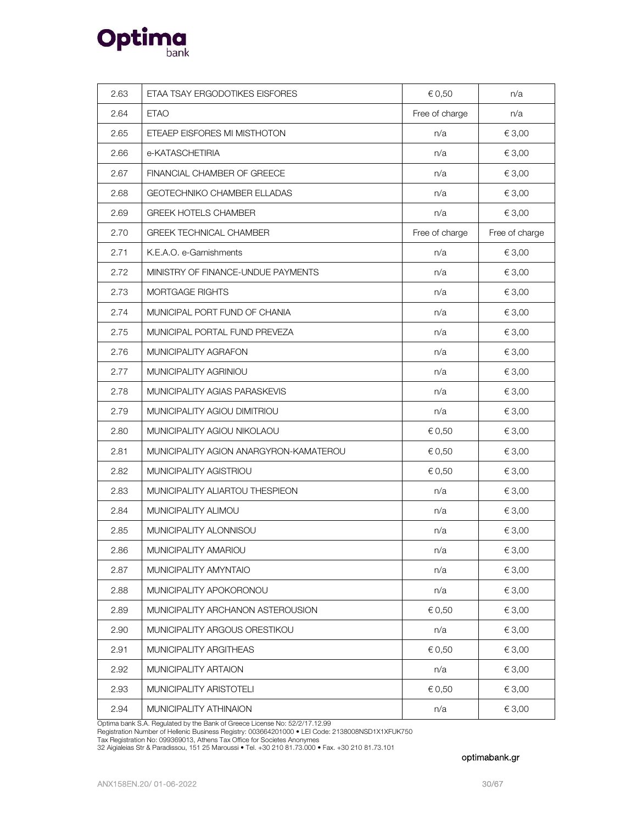

| 2.63 | ETAA TSAY ERGODOTIKES EISFORES         | € 0,50         | n/a            |
|------|----------------------------------------|----------------|----------------|
| 2.64 | <b>ETAO</b>                            | Free of charge | n/a            |
| 2.65 | ETEAEP EISFORES MI MISTHOTON           | n/a            | € 3,00         |
| 2.66 | e-KATASCHETIRIA                        | n/a            | € 3,00         |
| 2.67 | FINANCIAL CHAMBER OF GREECE            | n/a            | € 3,00         |
| 2.68 | GEOTECHNIKO CHAMBER ELLADAS            | n/a            | € 3,00         |
| 2.69 | <b>GREEK HOTELS CHAMBER</b>            | n/a            | € 3,00         |
| 2.70 | <b>GREEK TECHNICAL CHAMBER</b>         | Free of charge | Free of charge |
| 2.71 | K.E.A.O. e-Garnishments                | n/a            | € 3,00         |
| 2.72 | MINISTRY OF FINANCE-UNDUE PAYMENTS     | n/a            | € 3,00         |
| 2.73 | <b>MORTGAGE RIGHTS</b>                 | n/a            | € 3,00         |
| 2.74 | MUNICIPAL PORT FUND OF CHANIA          | n/a            | € 3,00         |
| 2.75 | MUNICIPAL PORTAL FUND PREVEZA          | n/a            | € 3,00         |
| 2.76 | MUNICIPALITY AGRAFON                   | n/a            | € 3,00         |
| 2.77 | MUNICIPALITY AGRINIOU                  | n/a            | € 3,00         |
| 2.78 | MUNICIPALITY AGIAS PARASKEVIS          | n/a            | € 3,00         |
| 2.79 | MUNICIPALITY AGIOU DIMITRIOU           | n/a            | € 3,00         |
| 2.80 | MUNICIPALITY AGIOU NIKOLAOU            | € 0,50         | € 3,00         |
| 2.81 | MUNICIPALITY AGION ANARGYRON-KAMATEROU | € 0,50         | € 3,00         |
| 2.82 | MUNICIPALITY AGISTRIOU                 | € 0,50         | € 3,00         |
| 2.83 | MUNICIPALITY ALIARTOU THESPIEON        | n/a            | € 3,00         |
| 2.84 | MUNICIPALITY ALIMOU                    | n/a            | € 3,00         |
| 2.85 | MUNICIPALITY ALONNISOU                 | n/a            | € 3,00         |
| 2.86 | MUNICIPALITY AMARIOU                   | n/a            | € 3,00         |
| 2.87 | MUNICIPALITY AMYNTAIO                  | n/a            | € 3,00         |
| 2.88 | MUNICIPALITY APOKORONOU                | n/a            | € 3,00         |
| 2.89 | MUNICIPALITY ARCHANON ASTEROUSION      | € 0,50         | € 3,00         |
| 2.90 | MUNICIPALITY ARGOUS ORESTIKOU          | n/a            | € 3,00         |
| 2.91 | MUNICIPALITY ARGITHEAS                 | € 0,50         | € 3,00         |
| 2.92 | MUNICIPALITY ARTAION                   | n/a            | € 3,00         |
| 2.93 | MUNICIPALITY ARISTOTELI                | € 0,50         | € 3,00         |
| 2.94 | MUNICIPALITY ATHINAION                 | n/a            | € 3,00         |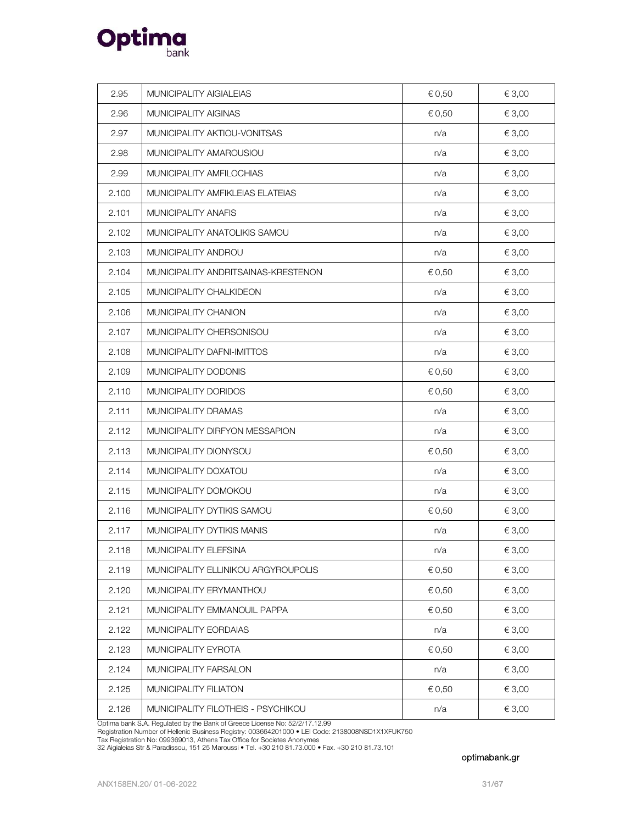

| 2.95  | MUNICIPALITY AIGIALEIAS             | € 0,50 | € 3,00 |
|-------|-------------------------------------|--------|--------|
| 2.96  | MUNICIPALITY AIGINAS                | € 0,50 | € 3,00 |
| 2.97  | MUNICIPALITY AKTIOU-VONITSAS        | n/a    | € 3,00 |
| 2.98  | MUNICIPALITY AMAROUSIOU             | n/a    | € 3,00 |
| 2.99  | MUNICIPALITY AMFILOCHIAS            | n/a    | € 3,00 |
| 2.100 | MUNICIPALITY AMFIKLEIAS ELATEIAS    | n/a    | € 3,00 |
| 2.101 | MUNICIPALITY ANAFIS                 | n/a    | € 3,00 |
| 2.102 | MUNICIPALITY ANATOLIKIS SAMOU       | n/a    | € 3,00 |
| 2.103 | MUNICIPALITY ANDROU                 | n/a    | € 3,00 |
| 2.104 | MUNICIPALITY ANDRITSAINAS-KRESTENON | € 0,50 | € 3,00 |
| 2.105 | MUNICIPALITY CHALKIDEON             | n/a    | € 3,00 |
| 2.106 | MUNICIPALITY CHANION                | n/a    | € 3,00 |
| 2.107 | MUNICIPALITY CHERSONISOU            | n/a    | € 3,00 |
| 2.108 | MUNICIPALITY DAFNI-IMITTOS          | n/a    | € 3,00 |
| 2.109 | MUNICIPALITY DODONIS                | € 0,50 | € 3,00 |
| 2.110 | MUNICIPALITY DORIDOS                | € 0,50 | € 3,00 |
| 2.111 | MUNICIPALITY DRAMAS                 | n/a    | € 3,00 |
| 2.112 | MUNICIPALITY DIRFYON MESSAPION      | n/a    | € 3,00 |
| 2.113 | MUNICIPALITY DIONYSOU               | € 0,50 | € 3,00 |
| 2.114 | MUNICIPALITY DOXATOU                | n/a    | € 3,00 |
| 2.115 | MUNICIPALITY DOMOKOU                | n/a    | € 3,00 |
| 2.116 | MUNICIPALITY DYTIKIS SAMOU          | € 0,50 | € 3,00 |
| 2.117 | MUNICIPALITY DYTIKIS MANIS          | n/a    | € 3,00 |
| 2.118 | MUNICIPALITY ELEFSINA               | n/a    | € 3,00 |
| 2.119 | MUNICIPALITY ELLINIKOU ARGYROUPOLIS | € 0,50 | € 3,00 |
| 2.120 | MUNICIPALITY ERYMANTHOU             | € 0,50 | € 3,00 |
| 2.121 | MUNICIPALITY EMMANOUIL PAPPA        | € 0,50 | € 3,00 |
| 2.122 | MUNICIPALITY EORDAIAS               | n/a    | € 3,00 |
| 2.123 | MUNICIPALITY EYROTA                 | € 0,50 | € 3,00 |
| 2.124 | MUNICIPALITY FARSALON               | n/a    | € 3,00 |
| 2.125 | MUNICIPALITY FILIATON               | € 0,50 | € 3,00 |
| 2.126 | MUNICIPALITY FILOTHEIS - PSYCHIKOU  | n/a    | € 3,00 |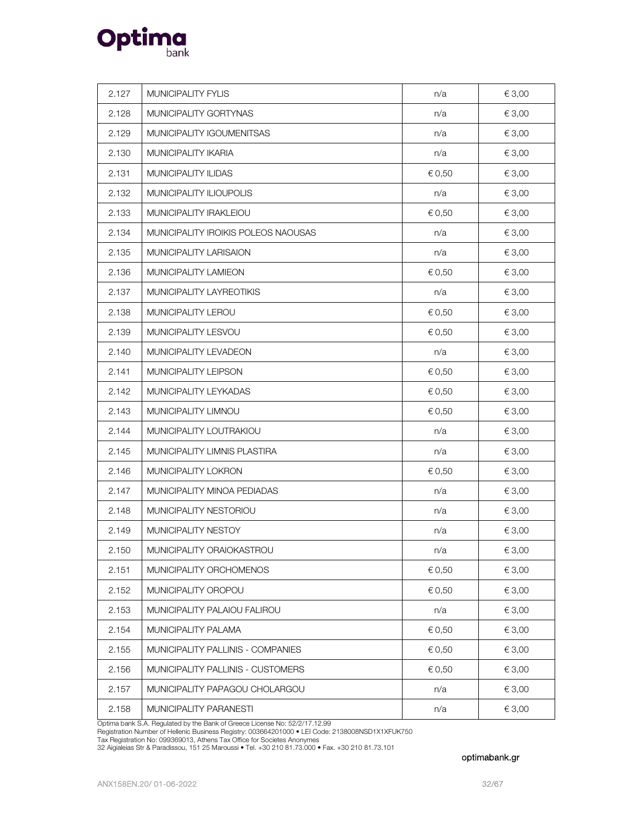

| 2.127 | MUNICIPALITY FYLIS                  | n/a    | € 3,00 |
|-------|-------------------------------------|--------|--------|
| 2.128 | MUNICIPALITY GORTYNAS               | n/a    | € 3,00 |
| 2.129 | MUNICIPALITY IGOUMENITSAS           | n/a    | € 3,00 |
| 2.130 | MUNICIPALITY IKARIA                 | n/a    | € 3,00 |
| 2.131 | MUNICIPALITY ILIDAS                 | € 0,50 | € 3,00 |
| 2.132 | MUNICIPALITY ILIOUPOLIS             | n/a    | € 3,00 |
| 2.133 | MUNICIPALITY IRAKLEIOU              | € 0,50 | € 3,00 |
| 2.134 | MUNICIPALITY IROIKIS POLEOS NAOUSAS | n/a    | € 3,00 |
| 2.135 | MUNICIPALITY LARISAION              | n/a    | € 3,00 |
| 2.136 | MUNICIPALITY LAMIEON                | € 0,50 | € 3,00 |
| 2.137 | MUNICIPALITY LAYREOTIKIS            | n/a    | € 3,00 |
| 2.138 | MUNICIPALITY LEROU                  | € 0,50 | € 3,00 |
| 2.139 | MUNICIPALITY LESVOU                 | € 0,50 | € 3,00 |
| 2.140 | MUNICIPALITY LEVADEON               | n/a    | € 3,00 |
| 2.141 | MUNICIPALITY LEIPSON                | € 0,50 | € 3,00 |
| 2.142 | MUNICIPALITY LEYKADAS               | € 0,50 | € 3,00 |
| 2.143 | MUNICIPALITY LIMNOU                 | € 0,50 | € 3,00 |
| 2.144 | MUNICIPALITY LOUTRAKIOU             | n/a    | € 3,00 |
| 2.145 | MUNICIPALITY LIMNIS PLASTIRA        | n/a    | € 3,00 |
| 2.146 | MUNICIPALITY LOKRON                 | € 0,50 | € 3,00 |
| 2.147 | MUNICIPALITY MINOA PEDIADAS         | n/a    | € 3,00 |
| 2.148 | MUNICIPALITY NESTORIOU              | n/a    | € 3,00 |
| 2.149 | MUNICIPALITY NESTOY                 | n/a    | € 3,00 |
| 2.150 | MUNICIPALITY ORAIOKASTROU           | n/a    | € 3,00 |
| 2.151 | MUNICIPALITY ORCHOMENOS             | € 0,50 | € 3,00 |
| 2.152 | MUNICIPALITY OROPOU                 | € 0,50 | € 3,00 |
| 2.153 | MUNICIPALITY PALAIOU FALIROU        | n/a    | € 3,00 |
| 2.154 | MUNICIPALITY PALAMA                 | € 0,50 | € 3,00 |
| 2.155 | MUNICIPALITY PALLINIS - COMPANIES   | € 0,50 | € 3,00 |
| 2.156 | MUNICIPALITY PALLINIS - CUSTOMERS   | € 0,50 | € 3,00 |
| 2.157 | MUNICIPALITY PAPAGOU CHOLARGOU      | n/a    | € 3,00 |
| 2.158 | MUNICIPALITY PARANESTI              | n/a    | € 3,00 |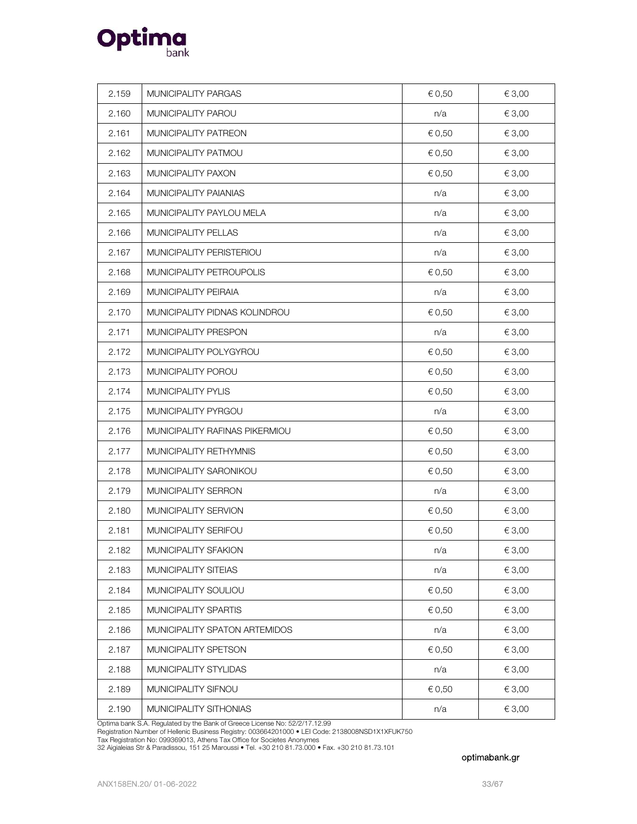

| 2.159 | MUNICIPALITY PARGAS            | € 0,50 | € 3,00 |
|-------|--------------------------------|--------|--------|
| 2.160 | MUNICIPALITY PAROU             | n/a    | € 3,00 |
| 2.161 | MUNICIPALITY PATREON           | € 0,50 | € 3,00 |
| 2.162 | MUNICIPALITY PATMOU            | € 0,50 | € 3,00 |
| 2.163 | MUNICIPALITY PAXON             | € 0,50 | € 3,00 |
| 2.164 | MUNICIPALITY PAIANIAS          | n/a    | € 3,00 |
| 2.165 | MUNICIPALITY PAYLOU MELA       | n/a    | € 3,00 |
| 2.166 | MUNICIPALITY PELLAS            | n/a    | € 3,00 |
| 2.167 | MUNICIPALITY PERISTERIOU       | n/a    | € 3,00 |
| 2.168 | MUNICIPALITY PETROUPOLIS       | € 0,50 | € 3,00 |
| 2.169 | MUNICIPALITY PEIRAIA           | n/a    | € 3,00 |
| 2.170 | MUNICIPALITY PIDNAS KOLINDROU  | € 0,50 | € 3,00 |
| 2.171 | MUNICIPALITY PRESPON           | n/a    | € 3,00 |
| 2.172 | MUNICIPALITY POLYGYROU         | € 0,50 | € 3,00 |
| 2.173 | MUNICIPALITY POROU             | € 0,50 | € 3,00 |
| 2.174 | MUNICIPALITY PYLIS             | € 0,50 | € 3,00 |
| 2.175 | MUNICIPALITY PYRGOU            | n/a    | € 3,00 |
| 2.176 | MUNICIPALITY RAFINAS PIKERMIOU | € 0,50 | € 3,00 |
| 2.177 | MUNICIPALITY RETHYMNIS         | € 0,50 | € 3,00 |
| 2.178 | MUNICIPALITY SARONIKOU         | € 0,50 | € 3,00 |
| 2.179 | MUNICIPALITY SERRON            | n/a    | € 3,00 |
| 2.180 | MUNICIPALITY SERVION           | € 0,50 | € 3,00 |
| 2.181 | MUNICIPALITY SERIFOU           | € 0,50 | € 3,00 |
| 2.182 | MUNICIPALITY SFAKION           | n/a    | € 3,00 |
| 2.183 | MUNICIPALITY SITEIAS           | n/a    | € 3,00 |
| 2.184 | MUNICIPALITY SOULIOU           | € 0,50 | € 3,00 |
| 2.185 | MUNICIPALITY SPARTIS           | € 0,50 | € 3,00 |
| 2.186 | MUNICIPALITY SPATON ARTEMIDOS  | n/a    | € 3,00 |
| 2.187 | MUNICIPALITY SPETSON           | € 0,50 | € 3,00 |
| 2.188 | MUNICIPALITY STYLIDAS          | n/a    | € 3,00 |
| 2.189 | MUNICIPALITY SIFNOU            | € 0,50 | € 3,00 |
| 2.190 | MUNICIPALITY SITHONIAS         | n/a    | € 3,00 |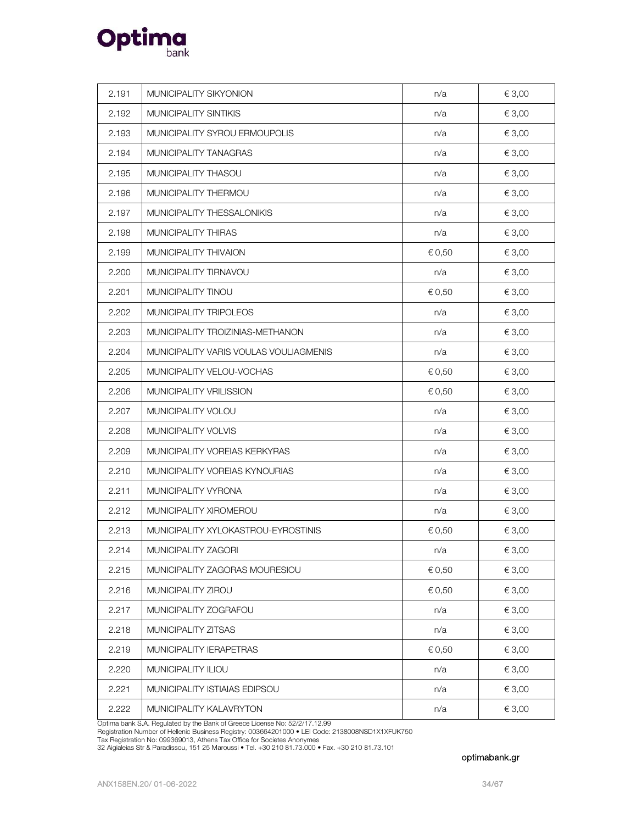

| 2.191 | MUNICIPALITY SIKYONION                 | n/a    | € 3,00 |
|-------|----------------------------------------|--------|--------|
| 2.192 | MUNICIPALITY SINTIKIS                  | n/a    | € 3,00 |
| 2.193 | MUNICIPALITY SYROU ERMOUPOLIS          | n/a    | € 3,00 |
| 2.194 | MUNICIPALITY TANAGRAS                  | n/a    | € 3,00 |
| 2.195 | MUNICIPALITY THASOU                    | n/a    | € 3,00 |
| 2.196 | MUNICIPALITY THERMOU                   | n/a    | € 3,00 |
| 2.197 | MUNICIPALITY THESSALONIKIS             | n/a    | € 3,00 |
| 2.198 | MUNICIPALITY THIRAS                    | n/a    | € 3,00 |
| 2.199 | MUNICIPALITY THIVAION                  | € 0,50 | € 3,00 |
| 2.200 | MUNICIPALITY TIRNAVOU                  | n/a    | € 3,00 |
| 2.201 | MUNICIPALITY TINOU                     | € 0,50 | € 3,00 |
| 2.202 | MUNICIPALITY TRIPOLEOS                 | n/a    | € 3,00 |
| 2.203 | MUNICIPALITY TROIZINIAS-METHANON       | n/a    | € 3,00 |
| 2.204 | MUNICIPALITY VARIS VOULAS VOULIAGMENIS | n/a    | € 3,00 |
| 2.205 | MUNICIPALITY VELOU-VOCHAS              | € 0,50 | € 3,00 |
| 2.206 | MUNICIPALITY VRILISSION                | € 0,50 | € 3,00 |
| 2.207 | MUNICIPALITY VOLOU                     | n/a    | € 3,00 |
| 2.208 | MUNICIPALITY VOLVIS                    | n/a    | € 3,00 |
| 2.209 | MUNICIPALITY VOREIAS KERKYRAS          | n/a    | € 3,00 |
| 2.210 | MUNICIPALITY VOREIAS KYNOURIAS         | n/a    | € 3,00 |
| 2.211 | MUNICIPALITY VYRONA                    | n/a    | € 3,00 |
| 2.212 | MUNICIPALITY XIROMEROU                 | n/a    | € 3,00 |
| 2.213 | MUNICIPALITY XYLOKASTROU-EYROSTINIS    | € 0,50 | € 3,00 |
| 2.214 | MUNICIPALITY ZAGORI                    | n/a    | € 3,00 |
| 2.215 | MUNICIPALITY ZAGORAS MOURESIOU         | € 0,50 | € 3,00 |
| 2.216 | MUNICIPALITY ZIROU                     | € 0,50 | € 3,00 |
| 2.217 | MUNICIPALITY ZOGRAFOU                  | n/a    | € 3,00 |
| 2.218 | MUNICIPALITY ZITSAS                    | n/a    | € 3,00 |
| 2.219 | MUNICIPALITY IERAPETRAS                | € 0,50 | € 3,00 |
| 2.220 | MUNICIPALITY ILIOU                     | n/a    | € 3,00 |
| 2.221 | MUNICIPALITY ISTIAIAS EDIPSOU          | n/a    | € 3,00 |
| 2.222 | MUNICIPALITY KALAVRYTON                | n/a    | € 3,00 |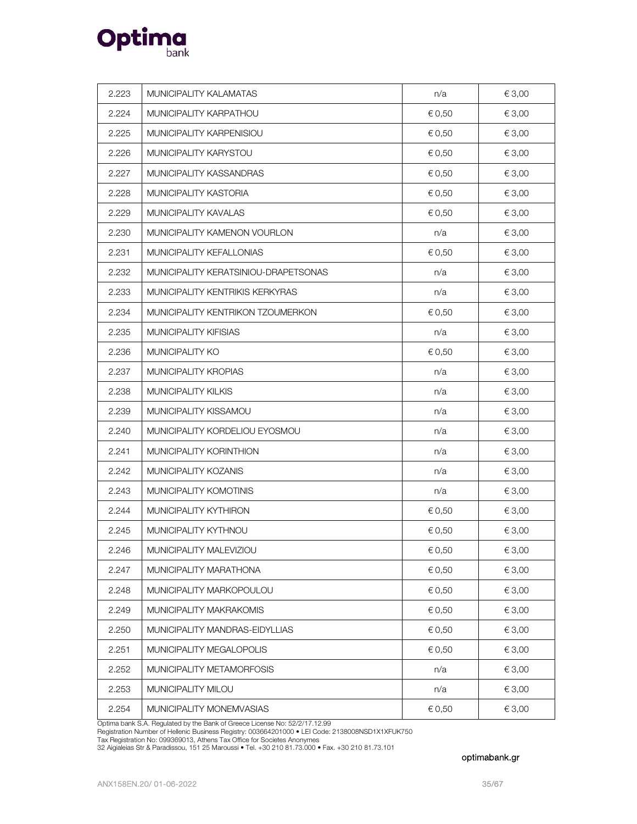

| 2.223 | MUNICIPALITY KALAMATAS               | n/a    | € 3,00 |
|-------|--------------------------------------|--------|--------|
| 2.224 | MUNICIPALITY KARPATHOU               | € 0,50 | € 3,00 |
| 2.225 | MUNICIPALITY KARPENISIOU             | € 0,50 | € 3,00 |
| 2.226 | MUNICIPALITY KARYSTOU                | € 0,50 | € 3,00 |
| 2.227 | MUNICIPALITY KASSANDRAS              | € 0,50 | € 3,00 |
| 2.228 | MUNICIPALITY KASTORIA                | € 0,50 | € 3,00 |
| 2.229 | MUNICIPALITY KAVALAS                 | € 0,50 | € 3,00 |
| 2.230 | MUNICIPALITY KAMENON VOURLON         | n/a    | € 3,00 |
| 2.231 | MUNICIPALITY KEFALLONIAS             | € 0,50 | € 3,00 |
| 2.232 | MUNICIPALITY KERATSINIOU-DRAPETSONAS | n/a    | € 3,00 |
| 2.233 | MUNICIPALITY KENTRIKIS KERKYRAS      | n/a    | € 3,00 |
| 2.234 | MUNICIPALITY KENTRIKON TZOUMERKON    | € 0,50 | € 3,00 |
| 2.235 | <b>MUNICIPALITY KIFISIAS</b>         | n/a    | € 3,00 |
| 2.236 | MUNICIPALITY KO                      | € 0,50 | € 3,00 |
| 2.237 | MUNICIPALITY KROPIAS                 | n/a    | € 3,00 |
| 2.238 | MUNICIPALITY KILKIS                  | n/a    | € 3,00 |
| 2.239 | MUNICIPALITY KISSAMOU                | n/a    | € 3,00 |
| 2.240 | MUNICIPALITY KORDELIOU EYOSMOU       | n/a    | € 3,00 |
| 2.241 | MUNICIPALITY KORINTHION              | n/a    | € 3,00 |
| 2.242 | MUNICIPALITY KOZANIS                 | n/a    | € 3,00 |
| 2.243 | MUNICIPALITY KOMOTINIS               | n/a    | € 3,00 |
| 2.244 | MUNICIPALITY KYTHIRON                | € 0,50 | € 3,00 |
| 2.245 | MUNICIPALITY KYTHNOU                 | € 0,50 | € 3,00 |
| 2.246 | MUNICIPALITY MALEVIZIOU              | € 0,50 | € 3,00 |
| 2.247 | MUNICIPALITY MARATHONA               | € 0,50 | € 3,00 |
| 2.248 | MUNICIPALITY MARKOPOULOU             | € 0,50 | € 3,00 |
| 2.249 | MUNICIPALITY MAKRAKOMIS              | € 0,50 | € 3,00 |
| 2.250 | MUNICIPALITY MANDRAS-EIDYLLIAS       | € 0,50 | € 3,00 |
| 2.251 | MUNICIPALITY MEGALOPOLIS             | € 0,50 | € 3,00 |
| 2.252 | MUNICIPALITY METAMORFOSIS            | n/a    | € 3,00 |
| 2.253 | MUNICIPALITY MILOU                   | n/a    | € 3,00 |
| 2.254 | MUNICIPALITY MONEMVASIAS             | € 0,50 | € 3,00 |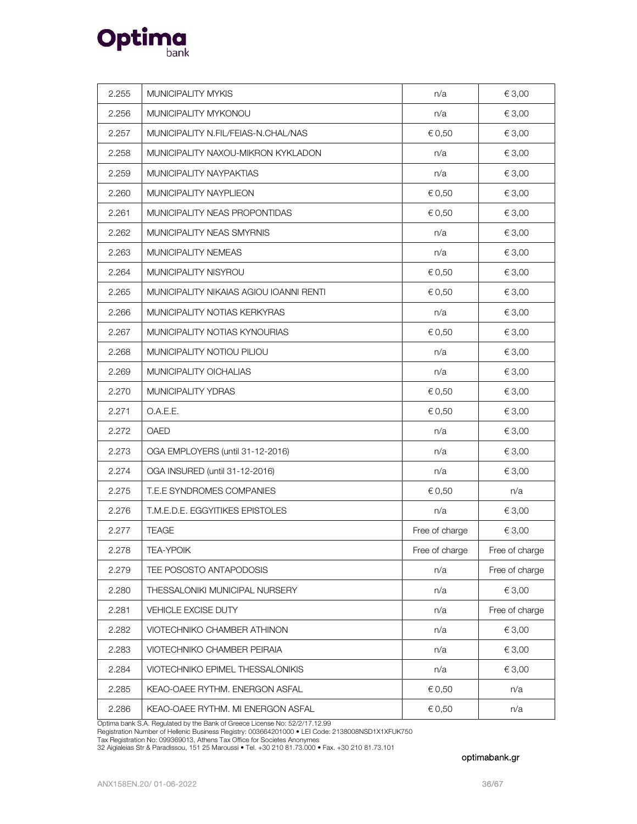

| 2.255 | MUNICIPALITY MYKIS                      | n/a            | € 3,00         |
|-------|-----------------------------------------|----------------|----------------|
| 2.256 | MUNICIPALITY MYKONOU                    | n/a            | € 3,00         |
| 2.257 | MUNICIPALITY N.FIL/FEIAS-N.CHAL/NAS     | € 0,50         | € 3,00         |
| 2.258 | MUNICIPALITY NAXOU-MIKRON KYKLADON      | n/a            | € 3,00         |
| 2.259 | MUNICIPALITY NAYPAKTIAS                 | n/a            | € 3,00         |
| 2.260 | MUNICIPALITY NAYPLIEON                  | € 0,50         | € 3,00         |
| 2.261 | MUNICIPALITY NEAS PROPONTIDAS           | € 0,50         | € 3,00         |
| 2.262 | MUNICIPALITY NEAS SMYRNIS               | n/a            | € 3,00         |
| 2.263 | MUNICIPALITY NEMEAS                     | n/a            | € 3,00         |
| 2.264 | MUNICIPALITY NISYROU                    | € 0,50         | € 3,00         |
| 2.265 | MUNICIPALITY NIKAIAS AGIOU IOANNI RENTI | € 0,50         | € 3,00         |
| 2.266 | MUNICIPALITY NOTIAS KERKYRAS            | n/a            | € 3,00         |
| 2.267 | MUNICIPALITY NOTIAS KYNOURIAS           | € 0,50         | € 3,00         |
| 2.268 | MUNICIPALITY NOTIOU PILIOU              | n/a            | € 3,00         |
| 2.269 | MUNICIPALITY OICHALIAS                  | n/a            | € 3,00         |
| 2.270 | MUNICIPALITY YDRAS                      | € 0,50         | € 3,00         |
| 2.271 | O.A.E.E.                                | € 0,50         | € 3,00         |
| 2.272 | OAED                                    | n/a            | € 3,00         |
| 2.273 | OGA EMPLOYERS (until 31-12-2016)        | n/a            | € 3,00         |
| 2.274 | OGA INSURED (until 31-12-2016)          | n/a            | € 3,00         |
| 2.275 | T.E.E SYNDROMES COMPANIES               | € 0,50         | n/a            |
| 2.276 | T.M.E.D.E. EGGYITIKES EPISTOLES         | n/a            | € 3,00         |
| 2.277 | <b>TEAGE</b>                            | Free of charge | € 3,00         |
| 2.278 | <b>TEA-YPOIK</b>                        | Free of charge | Free of charge |
| 2.279 | TEE POSOSTO ANTAPODOSIS                 | n/a            | Free of charge |
| 2.280 | THESSALONIKI MUNICIPAL NURSERY          | n/a            | € 3,00         |
| 2.281 | VEHICLE EXCISE DUTY                     | n/a            | Free of charge |
| 2.282 | VIOTECHNIKO CHAMBER ATHINON             | n/a            | € 3,00         |
| 2.283 | VIOTECHNIKO CHAMBER PEIRAIA             | n/a            | € 3,00         |
| 2.284 | VIOTECHNIKO EPIMEL THESSALONIKIS        | n/a            | € 3,00         |
| 2.285 | KEAO-OAEE RYTHM. ENERGON ASFAL          | € 0,50         | n/a            |
| 2.286 | KEAO-OAEE RYTHM. MI ENERGON ASFAL       | € 0,50         | n/a            |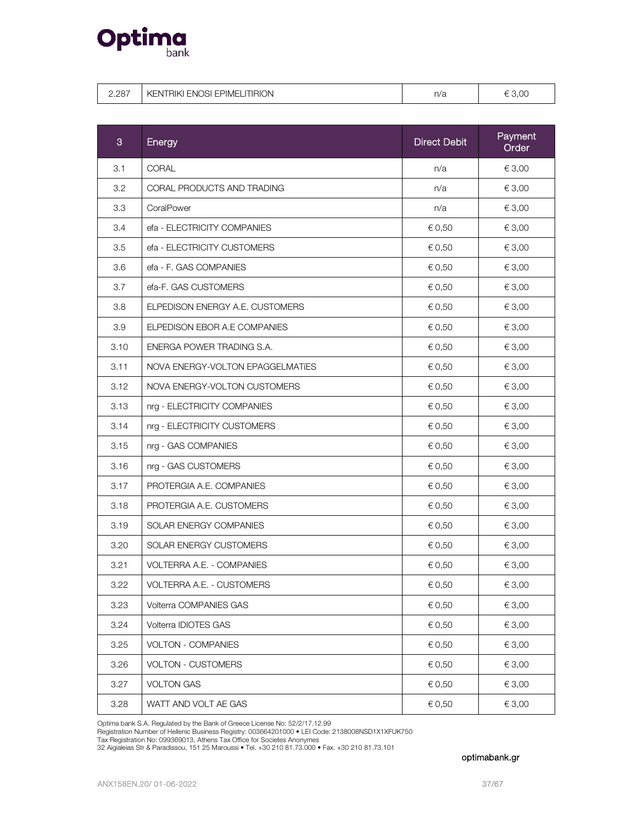

|  | 2.287 | KENTRIKI ENOSI EPIMELITIRION | n/a | 3.OC |
|--|-------|------------------------------|-----|------|
|--|-------|------------------------------|-----|------|

| 3    | Energy                           | <b>Direct Debit</b> | Payment<br>Order |
|------|----------------------------------|---------------------|------------------|
| 3.1  | CORAL                            | n/a                 | € 3,00           |
| 3.2  | CORAL PRODUCTS AND TRADING       | n/a                 | € 3,00           |
| 3.3  | CoralPower                       | n/a                 | € 3,00           |
| 3.4  | efa - ELECTRICITY COMPANIES      | € 0,50              | € 3,00           |
| 3.5  | efa - ELECTRICITY CUSTOMERS      | € 0,50              | € 3,00           |
| 3.6  | efa - F. GAS COMPANIES           | € 0,50              | € 3,00           |
| 3.7  | efa-F. GAS CUSTOMERS             | € 0,50              | € 3,00           |
| 3.8  | ELPEDISON ENERGY A.E. CUSTOMERS  | € 0,50              | € 3,00           |
| 3.9  | ELPEDISON EBOR A.E COMPANIES     | € 0,50              | € 3,00           |
| 3.10 | ENERGA POWER TRADING S.A.        | € 0,50              | € 3,00           |
| 3.11 | NOVA ENERGY-VOLTON EPAGGELMATIES | € 0,50              | € 3,00           |
| 3.12 | NOVA ENERGY-VOLTON CUSTOMERS     | € 0,50              | € 3,00           |
| 3.13 | nrg - ELECTRICITY COMPANIES      | € 0,50              | € 3,00           |
| 3.14 | nrg - ELECTRICITY CUSTOMERS      | € 0,50              | € 3,00           |
| 3.15 | nrg - GAS COMPANIES              | € 0,50              | € 3,00           |
| 3.16 | nrg - GAS CUSTOMERS              | € 0,50              | € 3,00           |
| 3.17 | PROTERGIA A.E. COMPANIES         | € 0,50              | € 3,00           |
| 3.18 | PROTERGIA A.E. CUSTOMERS         | € 0,50              | € 3,00           |
| 3.19 | SOLAR ENERGY COMPANIES           | € 0,50              | € 3,00           |
| 3.20 | SOLAR ENERGY CUSTOMERS           | € 0,50              | € 3,00           |
| 3.21 | <b>VOLTERRA A.E. - COMPANIES</b> | € 0,50              | € 3,00           |
| 3.22 | VOLTERRA A.E. - CUSTOMERS        | € 0,50              | € 3,00           |
| 3.23 | Volterra COMPANIES GAS           | € 0,50              | € 3,00           |
| 3.24 | Volterra IDIOTES GAS             | € 0,50              | € 3,00           |
| 3.25 | VOLTON - COMPANIES               | € 0,50              | € 3,00           |
| 3.26 | <b>VOLTON - CUSTOMERS</b>        | € 0,50              | € 3,00           |
| 3.27 | <b>VOLTON GAS</b>                | € 0,50              | € 3,00           |
| 3.28 | WATT AND VOLT AE GAS             | € 0,50              | € 3,00           |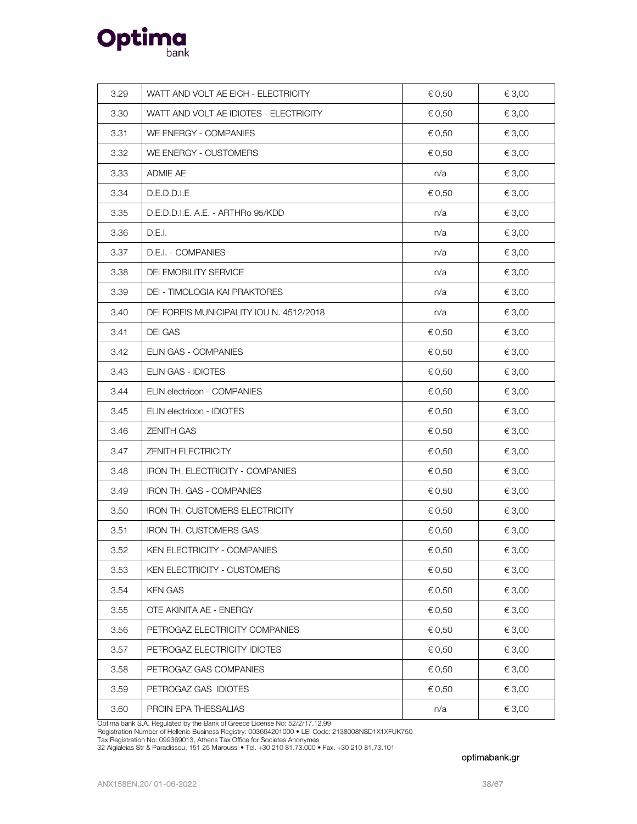

| 3.29 | WATT AND VOLT AE EICH - ELECTRICITY      | € 0,50     | € 3,00 |
|------|------------------------------------------|------------|--------|
| 3.30 | WATT AND VOLT AE IDIOTES - ELECTRICITY   | € 0,50     | € 3,00 |
| 3.31 | WE ENERGY - COMPANIES                    | € 0,50     | € 3,00 |
| 3.32 | WE ENERGY - CUSTOMERS                    | € 0,50     | € 3,00 |
| 3.33 | ADMIE AE                                 | n/a        | € 3,00 |
| 3.34 | D.E.D.D.I.E                              | € 0,50     | € 3,00 |
| 3.35 | D.E.D.D.I.E. A.E. - ARTHRo 95/KDD        | n/a        | € 3,00 |
| 3.36 | D.E.I.                                   | n/a        | € 3,00 |
| 3.37 | D.E.I. - COMPANIES                       | n/a        | € 3,00 |
| 3.38 | DEI EMOBILITY SERVICE                    | n/a        | € 3,00 |
| 3.39 | DEI - TIMOLOGIA KAI PRAKTORES            | n/a        | € 3,00 |
| 3.40 | DEI FOREIS MUNICIPALITY IOU N. 4512/2018 | n/a        | € 3,00 |
| 3.41 | <b>DEI GAS</b>                           | € 0,50     | € 3,00 |
| 3.42 | ELIN GAS - COMPANIES                     | € 0,50     | € 3,00 |
| 3.43 | ELIN GAS - IDIOTES                       | € 0,50     | € 3,00 |
| 3.44 | ELIN electricon - COMPANIES              | € 0,50     | € 3,00 |
| 3.45 | ELIN electricon - IDIOTES                | € 0,50     | € 3,00 |
| 3.46 | <b>ZENITH GAS</b>                        | € 0,50     | € 3,00 |
| 3.47 | ZENITH ELECTRICITY                       | € 0,50     | € 3,00 |
| 3.48 | IRON TH. ELECTRICITY - COMPANIES         | € 0,50     | € 3,00 |
| 3.49 | <b>IRON TH. GAS - COMPANIES</b>          | € 0,50     | € 3,00 |
| 3.50 | IRON TH. CUSTOMERS ELECTRICITY           | € 0,50     | € 3,00 |
| 3.51 | <b>IRON TH. CUSTOMERS GAS</b>            | € 0,50     | € 3,00 |
| 3.52 | KEN ELECTRICITY - COMPANIES              | $\in$ 0,50 | € 3,00 |
| 3.53 | KEN ELECTRICITY - CUSTOMERS              | € 0,50     | € 3,00 |
| 3.54 | <b>KEN GAS</b>                           | € 0,50     | € 3,00 |
| 3.55 | OTE AKINITA AE - ENERGY                  | € 0,50     | € 3,00 |
| 3.56 | PETROGAZ ELECTRICITY COMPANIES           | € 0,50     | € 3,00 |
| 3.57 | PETROGAZ ELECTRICITY IDIOTES             | € 0,50     | € 3,00 |
| 3.58 | PETROGAZ GAS COMPANIES                   | € 0,50     | € 3,00 |
| 3.59 | PETROGAZ GAS IDIOTES                     | € 0,50     | € 3,00 |
| 3.60 | PROIN EPA THESSALIAS                     | n/a        | € 3,00 |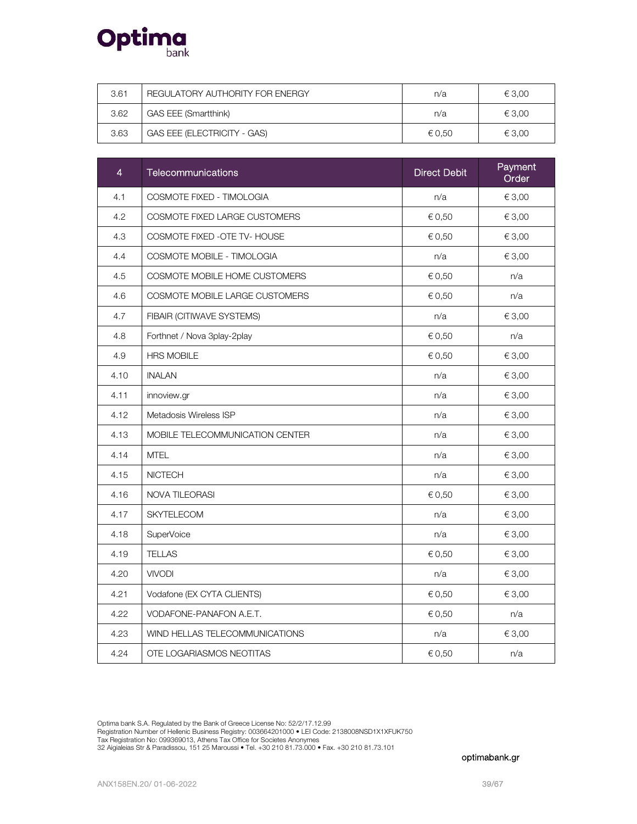

| 3.61 | REGULATORY AUTHORITY FOR ENERGY | n/a    | € 3.00 |
|------|---------------------------------|--------|--------|
| 3.62 | GAS EEE (Smartthink)            | n/a    | € 3.00 |
| 3.63 | GAS EEE (ELECTRICITY - GAS)     | € 0.50 | € 3.00 |

| $\overline{4}$ | Telecommunications              | <b>Direct Debit</b> | Payment<br>Order |
|----------------|---------------------------------|---------------------|------------------|
| 4.1            | COSMOTE FIXED - TIMOLOGIA       | n/a                 | € 3,00           |
| 4.2            | COSMOTE FIXED LARGE CUSTOMERS   | € 0,50              | € 3,00           |
| 4.3            | COSMOTE FIXED - OTE TV- HOUSE   | € 0,50              | € 3,00           |
| 4.4            | COSMOTE MOBILE - TIMOLOGIA      | n/a                 | € 3,00           |
| 4.5            | COSMOTE MOBILE HOME CUSTOMERS   | € 0,50              | n/a              |
| 4.6            | COSMOTE MOBILE LARGE CUSTOMERS  | € 0,50              | n/a              |
| 4.7            | FIBAIR (CITIWAVE SYSTEMS)       | n/a                 | € 3,00           |
| 4.8            | Forthnet / Nova 3play-2play     | € 0,50              | n/a              |
| 4.9            | <b>HRS MOBILE</b>               | € 0,50              | € 3,00           |
| 4.10           | <b>INALAN</b>                   | n/a                 | € 3,00           |
| 4.11           | innoview.gr                     | n/a                 | € 3,00           |
| 4.12           | Metadosis Wireless ISP          | n/a                 | € 3,00           |
| 4.13           | MOBILE TELECOMMUNICATION CENTER | n/a                 | € 3,00           |
| 4.14           | <b>MTEL</b>                     | n/a                 | € 3,00           |
| 4.15           | <b>NICTECH</b>                  | n/a                 | € 3,00           |
| 4.16           | <b>NOVA TILEORASI</b>           | € 0,50              | € 3,00           |
| 4.17           | <b>SKYTELECOM</b>               | n/a                 | € 3,00           |
| 4.18           | SuperVoice                      | n/a                 | € 3,00           |
| 4.19           | <b>TELLAS</b>                   | € 0,50              | € 3,00           |
| 4.20           | <b>VIVODI</b>                   | n/a                 | € 3,00           |
| 4.21           | Vodafone (EX CYTA CLIENTS)      | € 0,50              | € 3,00           |
| 4.22           | VODAFONE-PANAFON A.E.T.         | € 0,50              | n/a              |
| 4.23           | WIND HELLAS TELECOMMUNICATIONS  | n/a                 | € 3,00           |
| 4.24           | OTE LOGARIASMOS NEOTITAS        | € 0,50              | n/a              |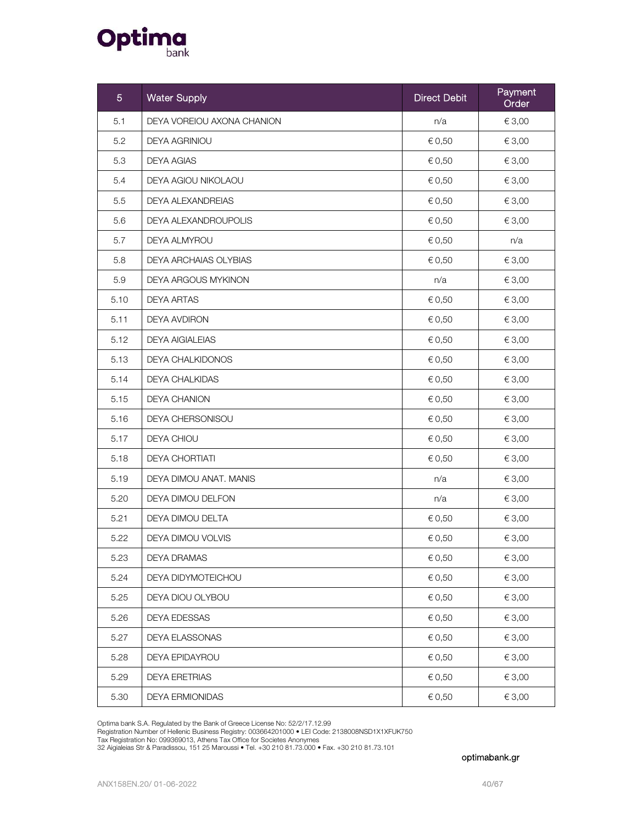

| 5    | <b>Water Supply</b>          | <b>Direct Debit</b> | Payment<br>Order |
|------|------------------------------|---------------------|------------------|
| 5.1  | DEYA VOREIOU AXONA CHANION   | n/a                 | € 3,00           |
| 5.2  | <b>DEYA AGRINIOU</b>         | € 0,50              | € 3,00           |
| 5.3  | <b>DEYA AGIAS</b>            | € 0,50              | € 3,00           |
| 5.4  | DEYA AGIOU NIKOLAOU          | € 0,50              | € 3,00           |
| 5.5  | <b>DEYA ALEXANDREIAS</b>     | € 0,50              | € 3,00           |
| 5.6  | DEYA ALEXANDROUPOLIS         | € 0,50              | € 3,00           |
| 5.7  | <b>DEYA ALMYROU</b>          | € 0,50              | n/a              |
| 5.8  | <b>DEYA ARCHAIAS OLYBIAS</b> | € 0,50              | € 3,00           |
| 5.9  | DEYA ARGOUS MYKINON          | n/a                 | € 3,00           |
| 5.10 | <b>DEYA ARTAS</b>            | € 0,50              | € 3,00           |
| 5.11 | <b>DEYA AVDIRON</b>          | € 0,50              | € 3,00           |
| 5.12 | <b>DEYA AIGIALEIAS</b>       | € 0,50              | € 3,00           |
| 5.13 | <b>DEYA CHALKIDONOS</b>      | € 0,50              | € 3,00           |
| 5.14 | <b>DEYA CHALKIDAS</b>        | € 0,50              | € 3,00           |
| 5.15 | <b>DEYA CHANION</b>          | € 0,50              | € 3,00           |
| 5.16 | DEYA CHERSONISOU             | € 0,50              | € 3,00           |
| 5.17 | DEYA CHIOU                   | € 0,50              | € 3,00           |
| 5.18 | <b>DEYA CHORTIATI</b>        | € 0,50              | € 3,00           |
| 5.19 | DEYA DIMOU ANAT. MANIS       | n/a                 | € 3,00           |
| 5.20 | DEYA DIMOU DELFON            | n/a                 | € 3,00           |
| 5.21 | DEYA DIMOU DELTA             | € 0,50              | € 3,00           |
| 5.22 | DEYA DIMOU VOLVIS            | € 0,50              | € 3,00           |
| 5.23 | <b>DEYA DRAMAS</b>           | € 0,50              | € 3,00           |
| 5.24 | DEYA DIDYMOTEICHOU           | € 0,50              | € 3,00           |
| 5.25 | DEYA DIOU OLYBOU             | € 0,50              | € 3,00           |
| 5.26 | DEYA EDESSAS                 | € 0,50              | € 3,00           |
| 5.27 | DEYA ELASSONAS               | € 0,50              | € 3,00           |
| 5.28 | <b>DEYA EPIDAYROU</b>        | € 0,50              | € 3,00           |
| 5.29 | <b>DEYA ERETRIAS</b>         | € 0,50              | € 3,00           |
| 5.30 | <b>DEYA ERMIONIDAS</b>       | € 0,50              | € 3,00           |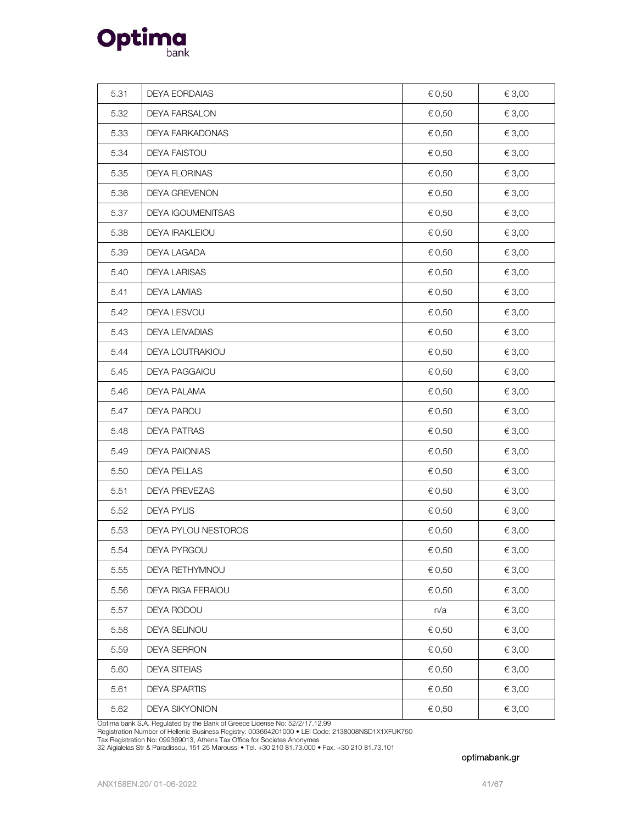

| 5.31 | <b>DEYA EORDAIAS</b>     | € 0,50 | € 3,00     |
|------|--------------------------|--------|------------|
| 5.32 | <b>DEYA FARSALON</b>     | € 0,50 | € 3,00     |
| 5.33 | DEYA FARKADONAS          | € 0,50 | € 3,00     |
| 5.34 | <b>DEYA FAISTOU</b>      | € 0,50 | € 3,00     |
| 5.35 | DEYA FLORINAS            | € 0,50 | € 3,00     |
| 5.36 | <b>DEYA GREVENON</b>     | € 0,50 | €3,00      |
| 5.37 | DEYA IGOUMENITSAS        | € 0,50 | € 3,00     |
| 5.38 | <b>DEYA IRAKLEIOU</b>    | € 0,50 | € 3,00     |
| 5.39 | DEYA LAGADA              | € 0,50 | € 3,00     |
| 5.40 | <b>DEYA LARISAS</b>      | € 0,50 | € 3,00     |
| 5.41 | <b>DEYA LAMIAS</b>       | € 0,50 | € 3,00     |
| 5.42 | DEYA LESVOU              | € 0,50 | € 3,00     |
| 5.43 | DEYA LEIVADIAS           | € 0,50 | € 3,00     |
| 5.44 | DEYA LOUTRAKIOU          | € 0,50 | € 3,00     |
| 5.45 | <b>DEYA PAGGAIOU</b>     | € 0,50 | € 3,00     |
| 5.46 | DEYA PALAMA              | € 0,50 | € 3,00     |
| 5.47 | DEYA PAROU               | € 0,50 | € 3,00     |
| 5.48 | <b>DEYA PATRAS</b>       | € 0,50 | € 3,00     |
| 5.49 | <b>DEYA PAIONIAS</b>     | € 0,50 | € 3,00     |
| 5.50 | DEYA PELLAS              | € 0,50 | € 3,00     |
| 5.51 | DEYA PREVEZAS            | € 0,50 | € 3,00     |
| 5.52 | <b>DEYA PYLIS</b>        | € 0,50 | € 3,00     |
| 5.53 | DEYA PYLOU NESTOROS      | € 0,50 | € 3,00     |
| 5.54 | DEYA PYRGOU              | € 0,50 | $\in$ 3,00 |
| 5.55 | DEYA RETHYMNOU           | € 0,50 | € 3,00     |
| 5.56 | <b>DEYA RIGA FERAIOU</b> | € 0,50 | € 3,00     |
| 5.57 | DEYA RODOU               | n/a    | € 3,00     |
| 5.58 | DEYA SELINOU             | € 0,50 | € 3,00     |
| 5.59 | <b>DEYA SERRON</b>       | € 0,50 | € 3,00     |
| 5.60 | <b>DEYA SITEIAS</b>      | € 0,50 | € 3,00     |
| 5.61 | <b>DEYA SPARTIS</b>      | € 0,50 | € 3,00     |
| 5.62 | <b>DEYA SIKYONION</b>    | € 0,50 | € 3,00     |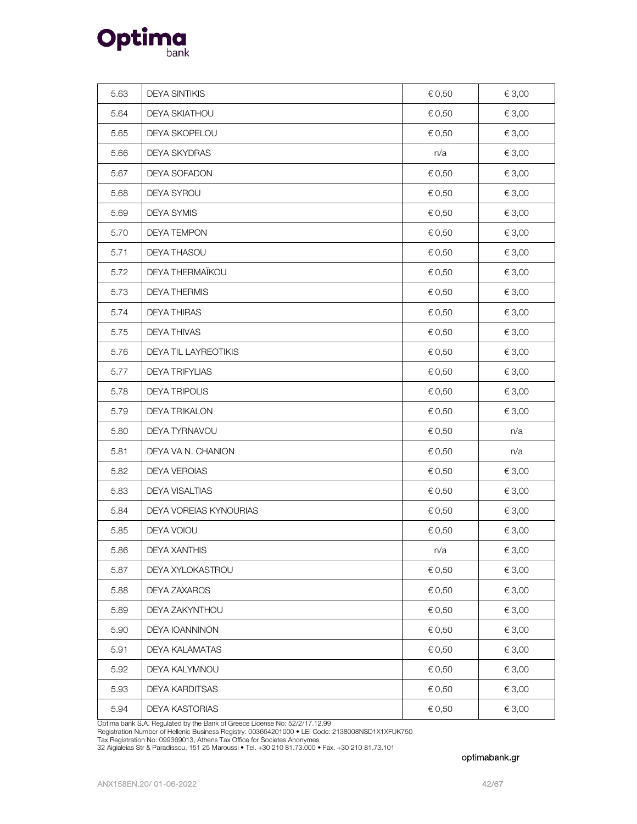

| 5.63 | <b>DEYA SINTIKIS</b>   | € 0,50     | € 3,00 |
|------|------------------------|------------|--------|
| 5.64 | <b>DEYA SKIATHOU</b>   | € 0,50     | € 3,00 |
| 5.65 | DEYA SKOPELOU          | $\in$ 0,50 | € 3,00 |
| 5.66 | DEYA SKYDRAS           | n/a        | € 3,00 |
| 5.67 | DEYA SOFADON           | € 0,50     | € 3,00 |
| 5.68 | DEYA SYROU             | € 0,50     | € 3,00 |
| 5.69 | DEYA SYMIS             | € 0,50     | € 3,00 |
| 5.70 | <b>DEYA TEMPON</b>     | € 0,50     | € 3,00 |
| 5.71 | DEYA THASOU            | € 0,50     | € 3,00 |
| 5.72 | DEYA THERMAÏKOU        | € 0,50     | € 3,00 |
| 5.73 | <b>DEYA THERMIS</b>    | € 0,50     | € 3,00 |
| 5.74 | <b>DEYA THIRAS</b>     | € 0,50     | € 3,00 |
| 5.75 | DEYA THIVAS            | € 0,50     | € 3,00 |
| 5.76 | DEYA TIL LAYREOTIKIS   | € 0,50     | € 3,00 |
| 5.77 | <b>DEYA TRIFYLIAS</b>  | € 0,50     | € 3,00 |
| 5.78 | <b>DEYA TRIPOLIS</b>   | € 0,50     | € 3,00 |
| 5.79 | <b>DEYA TRIKALON</b>   | € 0,50     | €3,00  |
| 5.80 | DEYA TYRNAVOU          | € 0,50     | n/a    |
| 5.81 | DEYA VA N. CHANION     | € 0,50     | n/a    |
| 5.82 | DEYA VEROIAS           | € 0,50     | € 3,00 |
| 5.83 | DEYA VISALTIAS         | € 0,50     | € 3,00 |
| 5.84 | DEYA VOREIAS KYNOURIAS | € 0,50     | € 3,00 |
| 5.85 | DEYA VOIOU             | € 0,50     | € 3,00 |
| 5.86 | <b>DEYA XANTHIS</b>    | n/a        | € 3,00 |
| 5.87 | DEYA XYLOKASTROU       | € 0,50     | € 3,00 |
| 5.88 | DEYA ZAXAROS           | € 0,50     | € 3,00 |
| 5.89 | DEYA ZAKYNTHOU         | € 0,50     | € 3,00 |
| 5.90 | DEYA IOANNINON         | € 0,50     | € 3,00 |
| 5.91 | DEYA KALAMATAS         | € 0,50     | € 3,00 |
| 5.92 | DEYA KALYMNOU          | € 0,50     | € 3,00 |
| 5.93 | DEYA KARDITSAS         | € 0,50     | € 3,00 |
| 5.94 | DEYA KASTORIAS         | € 0,50     | € 3,00 |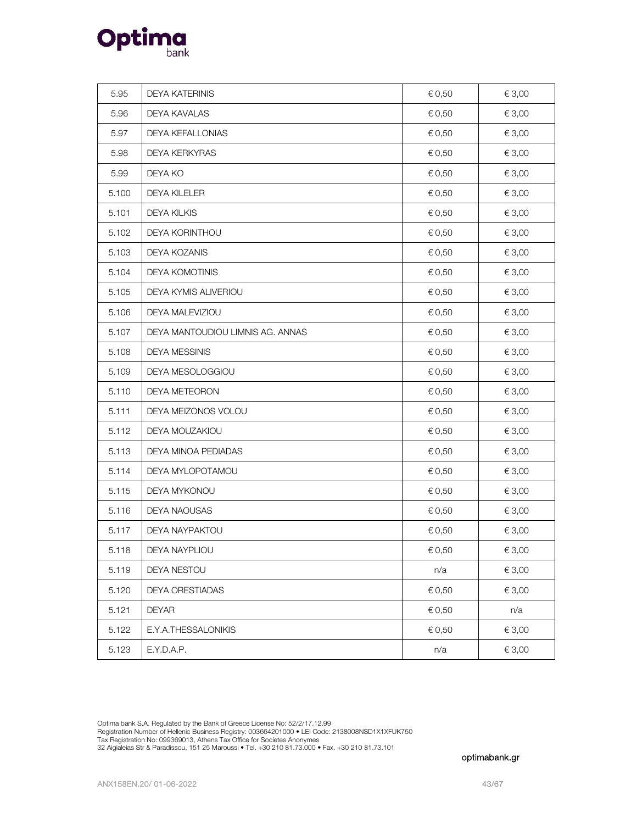

| 5.95  | <b>DEYA KATERINIS</b>            | € 0,50 | € 3,00 |
|-------|----------------------------------|--------|--------|
| 5.96  | DEYA KAVALAS                     | € 0,50 | € 3,00 |
| 5.97  | <b>DEYA KEFALLONIAS</b>          | € 0,50 | € 3,00 |
| 5.98  | <b>DEYA KERKYRAS</b>             | € 0,50 | € 3,00 |
| 5.99  | DEYA KO                          | € 0,50 | € 3,00 |
| 5.100 | <b>DEYA KILELER</b>              | € 0,50 | € 3,00 |
| 5.101 | <b>DEYA KILKIS</b>               | € 0,50 | € 3,00 |
| 5.102 | DEYA KORINTHOU                   | € 0,50 | € 3,00 |
| 5.103 | DEYA KOZANIS                     | € 0,50 | € 3,00 |
| 5.104 | <b>DEYA KOMOTINIS</b>            | € 0,50 | € 3,00 |
| 5.105 | DEYA KYMIS ALIVERIOU             | € 0,50 | € 3,00 |
| 5.106 | DEYA MALEVIZIOU                  | € 0,50 | € 3,00 |
| 5.107 | DEYA MANTOUDIOU LIMNIS AG. ANNAS | € 0,50 | € 3,00 |
| 5.108 | <b>DEYA MESSINIS</b>             | € 0,50 | € 3,00 |
| 5.109 | DEYA MESOLOGGIOU                 | € 0,50 | € 3,00 |
| 5.110 | DEYA METEORON                    | € 0,50 | € 3,00 |
| 5.111 | DEYA MEIZONOS VOLOU              | € 0,50 | € 3,00 |
| 5.112 | DEYA MOUZAKIOU                   | € 0,50 | € 3,00 |
| 5.113 | DEYA MINOA PEDIADAS              | € 0,50 | € 3,00 |
| 5.114 | DEYA MYLOPOTAMOU                 | € 0,50 | € 3,00 |
| 5.115 | DEYA MYKONOU                     | € 0,50 | € 3,00 |
| 5.116 | DEYA NAOUSAS                     | € 0,50 | € 3,00 |
| 5.117 | DEYA NAYPAKTOU                   | € 0,50 | € 3,00 |
| 5.118 | DEYA NAYPLIOU                    | € 0,50 | € 3,00 |
| 5.119 | DEYA NESTOU                      | n/a    | € 3,00 |
| 5.120 | DEYA ORESTIADAS                  | € 0,50 | € 3,00 |
| 5.121 | <b>DEYAR</b>                     | € 0,50 | n/a    |
| 5.122 | E.Y.A.THESSALONIKIS              | € 0,50 | € 3,00 |
| 5.123 | E.Y.D.A.P.                       | n/a    | € 3,00 |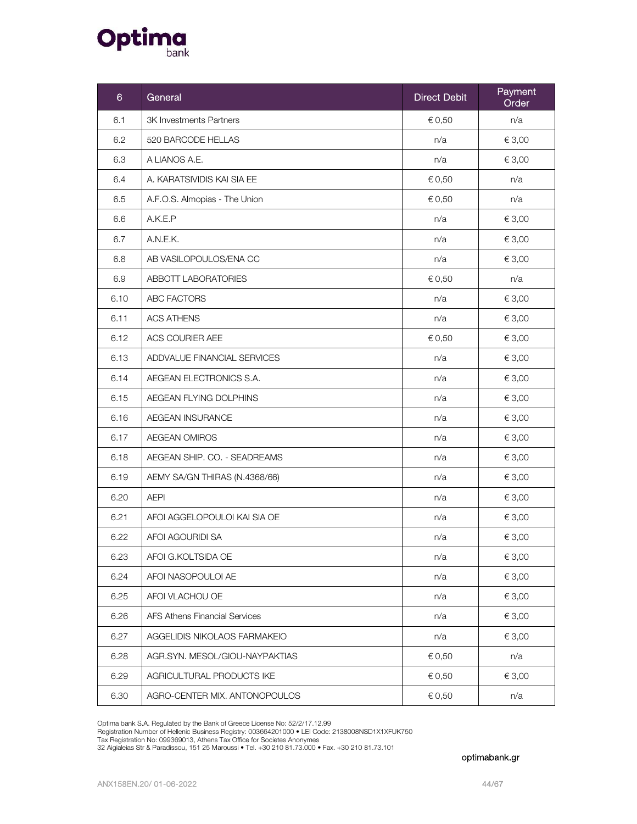

| 6    | General                        | <b>Direct Debit</b> | Payment<br>Order |
|------|--------------------------------|---------------------|------------------|
| 6.1  | <b>3K Investments Partners</b> | € 0,50              | n/a              |
| 6.2  | 520 BARCODE HELLAS             | n/a                 | € 3,00           |
| 6.3  | A LIANOS A.E.                  | n/a                 | € 3,00           |
| 6.4  | A. KARATSIVIDIS KAI SIA EE     | € 0,50              | n/a              |
| 6.5  | A.F.O.S. Almopias - The Union  | € 0,50              | n/a              |
| 6.6  | A.K.E.P                        | n/a                 | € 3,00           |
| 6.7  | A.N.E.K.                       | n/a                 | € 3,00           |
| 6.8  | AB VASILOPOULOS/ENA CC         | n/a                 | € 3,00           |
| 6.9  | ABBOTT LABORATORIES            | € 0,50              | n/a              |
| 6.10 | ABC FACTORS                    | n/a                 | € 3,00           |
| 6.11 | <b>ACS ATHENS</b>              | n/a                 | € 3,00           |
| 6.12 | ACS COURIER AEE                | € 0,50              | € 3,00           |
| 6.13 | ADDVALUE FINANCIAL SERVICES    | n/a                 | € 3,00           |
| 6.14 | AEGEAN ELECTRONICS S.A.        | n/a                 | € 3,00           |
| 6.15 | AEGEAN FLYING DOLPHINS         | n/a                 | € 3,00           |
| 6.16 | AEGEAN INSURANCE               | n/a                 | € 3,00           |
| 6.17 | <b>AEGEAN OMIROS</b>           | n/a                 | € 3,00           |
| 6.18 | AEGEAN SHIP. CO. - SEADREAMS   | n/a                 | € 3,00           |
| 6.19 | AEMY SA/GN THIRAS (N.4368/66)  | n/a                 | € 3,00           |
| 6.20 | <b>AEPI</b>                    | n/a                 | € 3,00           |
| 6.21 | AFOI AGGELOPOULOI KAI SIA OE   | n/a                 | € 3,00           |
| 6.22 | AFOI AGOURIDI SA               | n/a                 | € 3,00           |
| 6.23 | AFOI G.KOLTSIDA OE             | n/a                 | € 3,00           |
| 6.24 | AFOI NASOPOULOI AE             | n/a                 | € 3,00           |
| 6.25 | AFOI VLACHOU OE                | n/a                 | € 3,00           |
| 6.26 | AFS Athens Financial Services  | n/a                 | € 3,00           |
| 6.27 | AGGELIDIS NIKOLAOS FARMAKEIO   | n/a                 | € 3,00           |
| 6.28 | AGR.SYN. MESOL/GIOU-NAYPAKTIAS | € 0,50              | n/a              |
| 6.29 | AGRICULTURAL PRODUCTS IKE      | € 0,50              | € 3,00           |
| 6.30 | AGRO-CENTER MIX. ANTONOPOULOS  | € 0,50              | n/a              |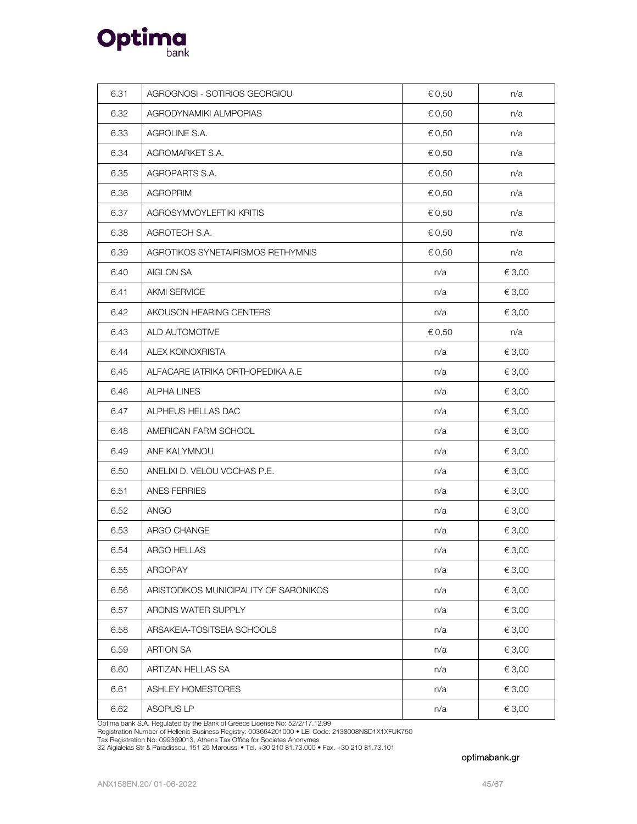

| 6.31 | AGROGNOSI - SOTIRIOS GEORGIOU         | € 0,50 | n/a    |
|------|---------------------------------------|--------|--------|
| 6.32 | AGRODYNAMIKI ALMPOPIAS                | € 0,50 | n/a    |
| 6.33 | AGROLINE S.A.                         | € 0,50 | n/a    |
| 6.34 | AGROMARKET S.A.                       | € 0,50 | n/a    |
| 6.35 | AGROPARTS S.A.                        | € 0,50 | n/a    |
| 6.36 | <b>AGROPRIM</b>                       | € 0,50 | n/a    |
| 6.37 | AGROSYMVOYLEFTIKI KRITIS              | € 0,50 | n/a    |
| 6.38 | AGROTECH S.A.                         | € 0,50 | n/a    |
| 6.39 | AGROTIKOS SYNETAIRISMOS RETHYMNIS     | € 0,50 | n/a    |
| 6.40 | AIGLON SA                             | n/a    | € 3,00 |
| 6.41 | <b>AKMI SERVICE</b>                   | n/a    | € 3,00 |
| 6.42 | AKOUSON HEARING CENTERS               | n/a    | € 3,00 |
| 6.43 | ALD AUTOMOTIVE                        | € 0,50 | n/a    |
| 6.44 | ALEX KOINOXRISTA                      | n/a    | € 3,00 |
| 6.45 | ALFACARE IATRIKA ORTHOPEDIKA A.E      | n/a    | € 3,00 |
| 6.46 | <b>ALPHA LINES</b>                    | n/a    | € 3,00 |
| 6.47 | ALPHEUS HELLAS DAC                    | n/a    | € 3,00 |
| 6.48 | AMERICAN FARM SCHOOL                  | n/a    | € 3,00 |
| 6.49 | ANE KALYMNOU                          | n/a    | € 3,00 |
| 6.50 | ANELIXI D. VELOU VOCHAS P.E.          | n/a    | € 3,00 |
| 6.51 | ANES FERRIES                          | n/a    | € 3,00 |
| 6.52 | <b>ANGO</b>                           | n/a    | € 3,00 |
| 6.53 | ARGO CHANGE                           | n/a    | € 3,00 |
| 6.54 | ARGO HELLAS                           | n/a    | €3,00  |
| 6.55 | ARGOPAY                               | n/a    | € 3,00 |
| 6.56 | ARISTODIKOS MUNICIPALITY OF SARONIKOS | n/a    | € 3,00 |
| 6.57 | ARONIS WATER SUPPLY                   | n/a    | € 3,00 |
| 6.58 | ARSAKEIA-TOSITSEIA SCHOOLS            | n/a    | € 3,00 |
| 6.59 | <b>ARTION SA</b>                      | n/a    | € 3,00 |
| 6.60 | ARTIZAN HELLAS SA                     | n/a    | € 3,00 |
| 6.61 | ASHLEY HOMESTORES                     | n/a    | € 3,00 |
| 6.62 | ASOPUS LP                             | n/a    | € 3,00 |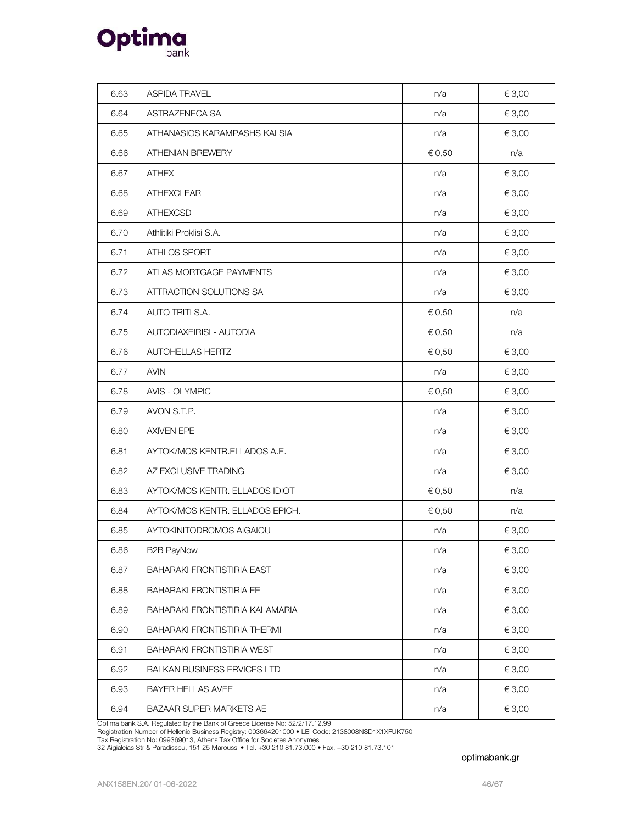

| 6.63 | <b>ASPIDA TRAVEL</b>                | n/a    | € 3,00 |
|------|-------------------------------------|--------|--------|
| 6.64 | ASTRAZENECA SA                      | n/a    | € 3,00 |
| 6.65 | ATHANASIOS KARAMPASHS KAI SIA       | n/a    | € 3,00 |
| 6.66 | <b>ATHENIAN BREWERY</b>             | € 0,50 | n/a    |
| 6.67 | <b>ATHEX</b>                        | n/a    | € 3,00 |
| 6.68 | <b>ATHEXCLEAR</b>                   | n/a    | € 3,00 |
| 6.69 | <b>ATHEXCSD</b>                     | n/a    | € 3,00 |
| 6.70 | Athlitiki Proklisi S.A.             | n/a    | € 3,00 |
| 6.71 | ATHLOS SPORT                        | n/a    | € 3,00 |
| 6.72 | ATLAS MORTGAGE PAYMENTS             | n/a    | € 3,00 |
| 6.73 | <b>ATTRACTION SOLUTIONS SA</b>      | n/a    | € 3,00 |
| 6.74 | AUTO TRITI S.A.                     | € 0,50 | n/a    |
| 6.75 | AUTODIAXEIRISI - AUTODIA            | € 0,50 | n/a    |
| 6.76 | AUTOHELLAS HERTZ                    | € 0,50 | € 3,00 |
| 6.77 | <b>AVIN</b>                         | n/a    | € 3,00 |
| 6.78 | <b>AVIS - OLYMPIC</b>               | € 0,50 | € 3,00 |
| 6.79 | AVON S.T.P.                         | n/a    | € 3,00 |
| 6.80 | <b>AXIVEN EPE</b>                   | n/a    | € 3,00 |
| 6.81 | AYTOK/MOS KENTR.ELLADOS A.E.        | n/a    | € 3,00 |
| 6.82 | AZ EXCLUSIVE TRADING                | n/a    | € 3,00 |
| 6.83 | AYTOK/MOS KENTR. ELLADOS IDIOT      | € 0,50 | n/a    |
| 6.84 | AYTOK/MOS KENTR, ELLADOS EPICH.     | € 0,50 | n/a    |
| 6.85 | AYTOKINITODROMOS AIGAIOU            | n/a    | € 3,00 |
| 6.86 | B2B PayNow                          | n/a    | €3,00  |
| 6.87 | BAHARAKI FRONTISTIRIA EAST          | n/a    | € 3,00 |
| 6.88 | <b>BAHARAKI FRONTISTIRIA EE</b>     | n/a    | € 3,00 |
| 6.89 | BAHARAKI FRONTISTIRIA KALAMARIA     | n/a    | € 3,00 |
| 6.90 | <b>BAHARAKI FRONTISTIRIA THERMI</b> | n/a    | € 3,00 |
| 6.91 | <b>BAHARAKI FRONTISTIRIA WEST</b>   | n/a    | € 3,00 |
| 6.92 | <b>BALKAN BUSINESS ERVICES LTD</b>  | n/a    | € 3,00 |
| 6.93 | <b>BAYER HELLAS AVEE</b>            | n/a    | € 3,00 |
| 6.94 | BAZAAR SUPER MARKETS AE             | n/a    | € 3,00 |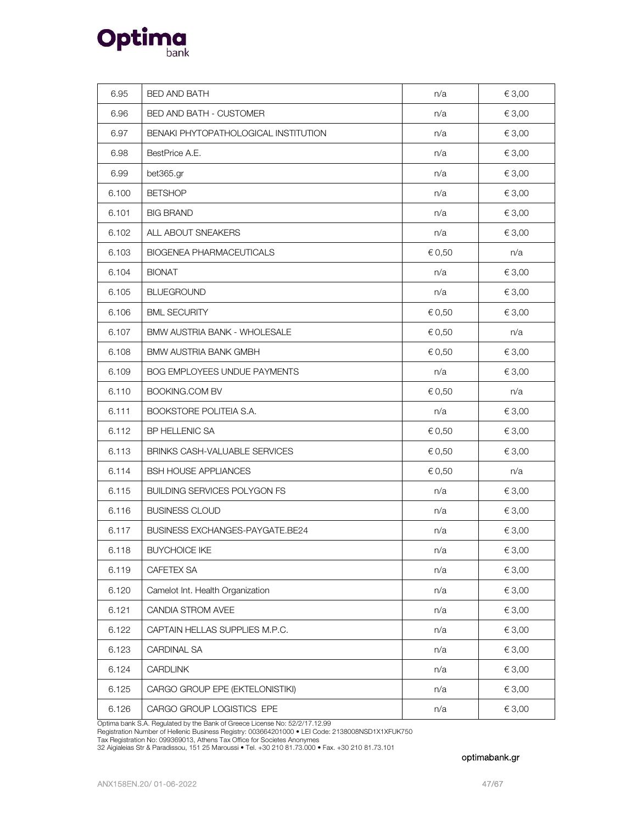

| 6.95  | <b>BED AND BATH</b>                    | n/a    | € 3,00 |
|-------|----------------------------------------|--------|--------|
| 6.96  | BED AND BATH - CUSTOMER                | n/a    | € 3,00 |
| 6.97  | BENAKI PHYTOPATHOLOGICAL INSTITUTION   | n/a    | € 3,00 |
| 6.98  | BestPrice A.E.                         | n/a    | € 3,00 |
| 6.99  | bet365.gr                              | n/a    | € 3,00 |
| 6.100 | <b>BETSHOP</b>                         | n/a    | € 3,00 |
| 6.101 | <b>BIG BRAND</b>                       | n/a    | € 3,00 |
| 6.102 | ALL ABOUT SNEAKERS                     | n/a    | € 3,00 |
| 6.103 | <b>BIOGENEA PHARMACEUTICALS</b>        | € 0,50 | n/a    |
| 6.104 | <b>BIONAT</b>                          | n/a    | € 3,00 |
| 6.105 | <b>BLUEGROUND</b>                      | n/a    | € 3,00 |
| 6.106 | <b>BML SECURITY</b>                    | € 0,50 | € 3,00 |
| 6.107 | <b>BMW AUSTRIA BANK - WHOLESALE</b>    | € 0,50 | n/a    |
| 6.108 | <b>BMW AUSTRIA BANK GMBH</b>           | € 0,50 | € 3,00 |
| 6.109 | <b>BOG EMPLOYEES UNDUE PAYMENTS</b>    | n/a    | € 3,00 |
| 6.110 | <b>BOOKING.COM BV</b>                  | € 0,50 | n/a    |
| 6.111 | BOOKSTORE POLITEIA S.A.                | n/a    | € 3,00 |
| 6.112 | BP HELLENIC SA                         | € 0,50 | € 3,00 |
| 6.113 | BRINKS CASH-VALUABLE SERVICES          | € 0,50 | € 3,00 |
| 6.114 | <b>BSH HOUSE APPLIANCES</b>            | € 0,50 | n/a    |
| 6.115 | <b>BUILDING SERVICES POLYGON FS</b>    | n/a    | € 3,00 |
| 6.116 | <b>BUSINESS CLOUD</b>                  | n/a    | € 3,00 |
| 6.117 | <b>BUSINESS EXCHANGES-PAYGATE.BE24</b> | n/a    | € 3,00 |
| 6.118 | <b>BUYCHOICE IKE</b>                   | n/a    | €3,00  |
| 6.119 | CAFETEX SA                             | n/a    | € 3,00 |
| 6.120 | Camelot Int. Health Organization       | n/a    | € 3,00 |
| 6.121 | CANDIA STROM AVEE                      | n/a    | € 3,00 |
| 6.122 | CAPTAIN HELLAS SUPPLIES M.P.C.         | n/a    | € 3,00 |
| 6.123 | CARDINAL SA                            | n/a    | € 3,00 |
| 6.124 | CARDLINK                               | n/a    | € 3,00 |
| 6.125 | CARGO GROUP EPE (EKTELONISTIKI)        | n/a    | € 3,00 |
| 6.126 | CARGO GROUP LOGISTICS EPE              | n/a    | € 3,00 |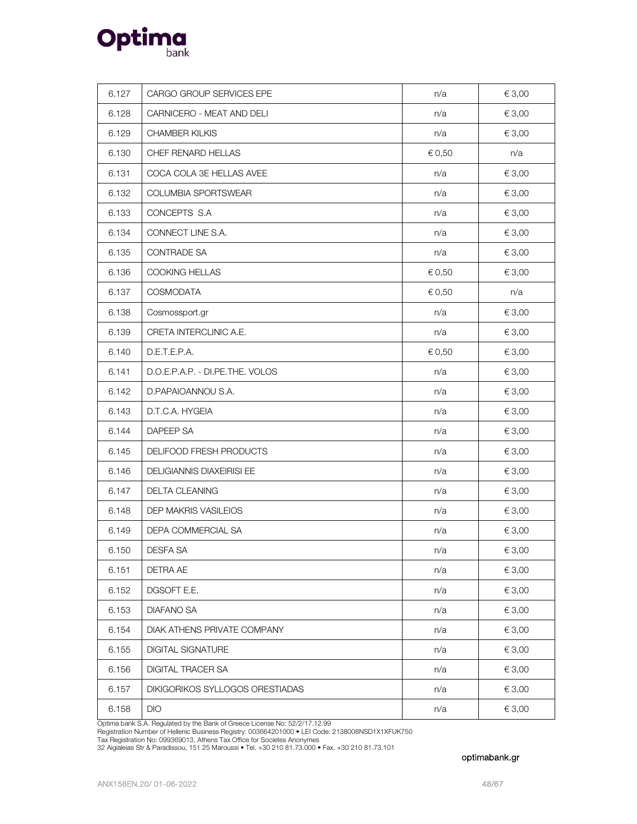

| 6.127 | CARGO GROUP SERVICES EPE           | n/a    | € 3,00 |
|-------|------------------------------------|--------|--------|
| 6.128 | CARNICERO - MEAT AND DELI          | n/a    | € 3,00 |
| 6.129 | <b>CHAMBER KILKIS</b>              | n/a    | € 3,00 |
| 6.130 | CHEF RENARD HELLAS                 | € 0,50 | n/a    |
| 6.131 | COCA COLA 3E HELLAS AVEE           | n/a    | € 3,00 |
| 6.132 | COLUMBIA SPORTSWEAR                | n/a    | € 3,00 |
| 6.133 | CONCEPTS S.A                       | n/a    | € 3,00 |
| 6.134 | CONNECT LINE S.A.                  | n/a    | € 3,00 |
| 6.135 | <b>CONTRADE SA</b>                 | n/a    | € 3,00 |
| 6.136 | COOKING HELLAS                     | € 0,50 | € 3,00 |
| 6.137 | <b>COSMODATA</b>                   | € 0,50 | n/a    |
| 6.138 | Cosmossport.gr                     | n/a    | € 3,00 |
| 6.139 | CRETA INTERCLINIC A.E.             | n/a    | € 3,00 |
| 6.140 | D.E.T.E.P.A.                       | € 0,50 | € 3,00 |
| 6.141 | D.O.E.P.A.P. - DI.PE.THE. VOLOS    | n/a    | € 3,00 |
| 6.142 | D.PAPAIOANNOU S.A.                 | n/a    | € 3,00 |
| 6.143 | D.T.C.A. HYGEIA                    | n/a    | € 3,00 |
| 6.144 | <b>DAPEEP SA</b>                   | n/a    | € 3,00 |
| 6.145 | DELIFOOD FRESH PRODUCTS            | n/a    | € 3,00 |
| 6.146 | <b>DELIGIANNIS DIAXEIRISI EE</b>   | n/a    | € 3,00 |
| 6.147 | DELTA CLEANING                     | n/a    | € 3,00 |
| 6.148 | <b>DEP MAKRIS VASILEIOS</b>        | n/a    | € 3,00 |
| 6.149 | DEPA COMMERCIAL SA                 | n/a    | € 3,00 |
| 6.150 | DESFA SA                           | n/a    | € 3,00 |
| 6.151 | <b>DETRA AE</b>                    | n/a    | € 3,00 |
| 6.152 | DGSOFT E.E.                        | n/a    | € 3,00 |
| 6.153 | <b>DIAFANO SA</b>                  | n/a    | € 3,00 |
| 6.154 | <b>DIAK ATHENS PRIVATE COMPANY</b> | n/a    | € 3,00 |
| 6.155 | <b>DIGITAL SIGNATURE</b>           | n/a    | € 3,00 |
| 6.156 | DIGITAL TRACER SA                  | n/a    | € 3,00 |
| 6.157 | DIKIGORIKOS SYLLOGOS ORESTIADAS    | n/a    | € 3,00 |
| 6.158 | DIO                                | n/a    | € 3,00 |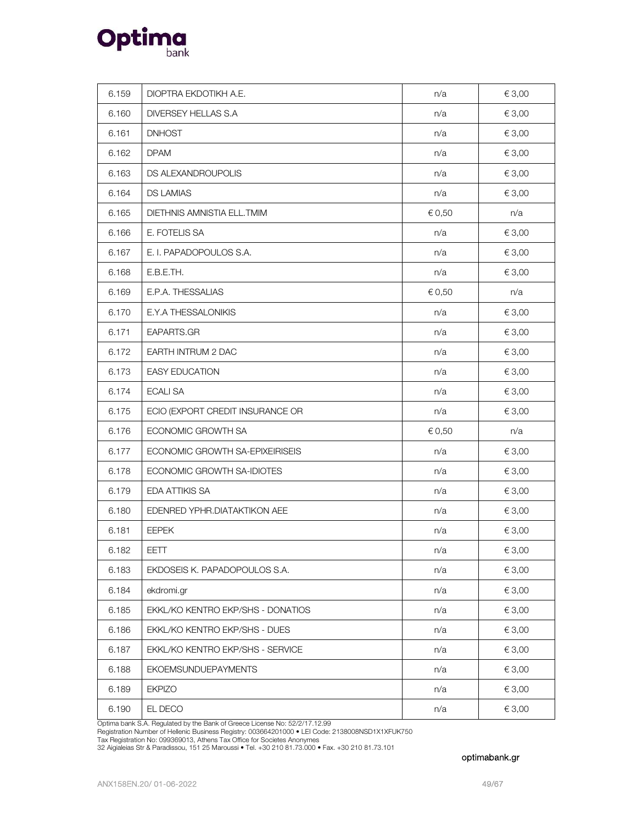

| 6.159 | DIOPTRA EKDOTIKH A.E.             | n/a    | € 3,00     |
|-------|-----------------------------------|--------|------------|
| 6.160 | DIVERSEY HELLAS S.A               | n/a    | € 3,00     |
| 6.161 | <b>DNHOST</b>                     | n/a    | € 3,00     |
| 6.162 | <b>DPAM</b>                       | n/a    | € 3,00     |
| 6.163 | DS ALEXANDROUPOLIS                | n/a    | € 3,00     |
| 6.164 | <b>DS LAMIAS</b>                  | n/a    | € 3,00     |
| 6.165 | <b>DIETHNIS AMNISTIA ELL.TMIM</b> | € 0,50 | n/a        |
| 6.166 | E. FOTELIS SA                     | n/a    | € 3,00     |
| 6.167 | E. I. PAPADOPOULOS S.A.           | n/a    | € 3,00     |
| 6.168 | E.B.E.TH.                         | n/a    | € 3,00     |
| 6.169 | E.P.A. THESSALIAS                 | € 0,50 | n/a        |
| 6.170 | E.Y.A THESSALONIKIS               | n/a    | € 3,00     |
| 6.171 | EAPARTS.GR                        | n/a    | € 3,00     |
| 6.172 | EARTH INTRUM 2 DAC                | n/a    | € 3,00     |
| 6.173 | <b>EASY EDUCATION</b>             | n/a    | € 3,00     |
| 6.174 | <b>ECALI SA</b>                   | n/a    | € 3,00     |
| 6.175 | ECIO (EXPORT CREDIT INSURANCE OR  | n/a    | € 3,00     |
| 6.176 | ECONOMIC GROWTH SA                | € 0,50 | n/a        |
| 6.177 | ECONOMIC GROWTH SA-EPIXEIRISEIS   | n/a    | € 3,00     |
| 6.178 | ECONOMIC GROWTH SA-IDIOTES        | n/a    | € 3,00     |
| 6.179 | EDA ATTIKIS SA                    | n/a    | € 3,00     |
| 6.180 | EDENRED YPHR.DIATAKTIKON AEE      | n/a    | € 3,00     |
| 6.181 | <b>EEPEK</b>                      | n/a    | € 3,00     |
| 6.182 | EETT                              | n/a    | $\in$ 3,00 |
| 6.183 | EKDOSEIS K. PAPADOPOULOS S.A.     | n/a    | € 3,00     |
| 6.184 | ekdromi.gr                        | n/a    | € 3,00     |
| 6.185 | EKKL/KO KENTRO EKP/SHS - DONATIOS | n/a    | € 3,00     |
| 6.186 | EKKL/KO KENTRO EKP/SHS - DUES     | n/a    | € 3,00     |
| 6.187 | EKKL/KO KENTRO EKP/SHS - SERVICE  | n/a    | € 3,00     |
| 6.188 | <b>EKOEMSUNDUEPAYMENTS</b>        | n/a    | € 3,00     |
| 6.189 | <b>EKPIZO</b>                     | n/a    | € 3,00     |
| 6.190 | EL DECO                           | n/a    | € 3,00     |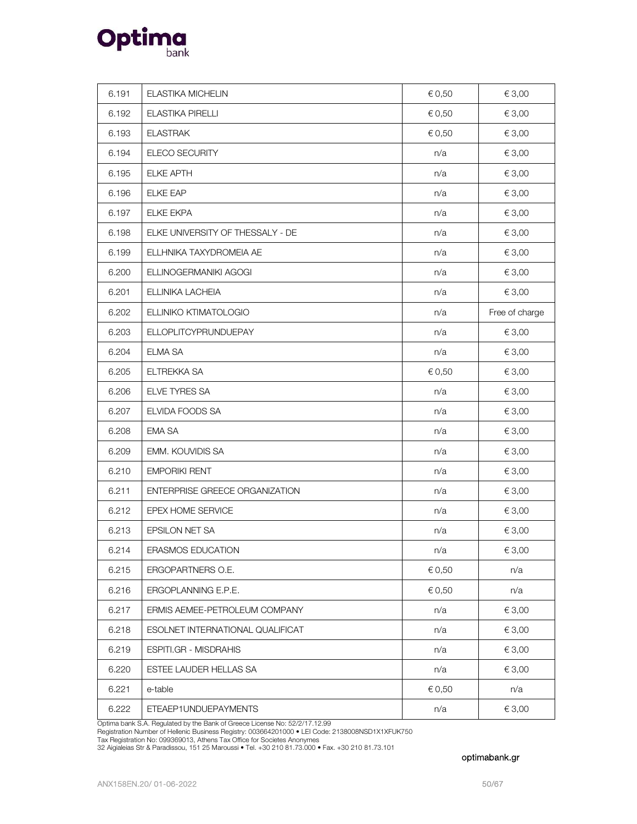

| 6.191 | <b>ELASTIKA MICHELIN</b>              | € 0,50 | € 3,00         |
|-------|---------------------------------------|--------|----------------|
| 6.192 | ELASTIKA PIRELLI                      | € 0,50 | € 3,00         |
| 6.193 | <b>ELASTRAK</b>                       | € 0,50 | € 3,00         |
| 6.194 | ELECO SECURITY                        | n/a    | € 3,00         |
| 6.195 | <b>ELKE APTH</b>                      | n/a    | € 3,00         |
| 6.196 | <b>ELKE EAP</b>                       | n/a    | € 3,00         |
| 6.197 | <b>ELKE EKPA</b>                      | n/a    | € 3,00         |
| 6.198 | ELKE UNIVERSITY OF THESSALY - DE      | n/a    | € 3,00         |
| 6.199 | ELLHNIKA TAXYDROMEIA AE               | n/a    | € 3,00         |
| 6.200 | ELLINOGERMANIKI AGOGI                 | n/a    | € 3,00         |
| 6.201 | ELLINIKA LACHEIA                      | n/a    | € 3,00         |
| 6.202 | ELLINIKO KTIMATOLOGIO                 | n/a    | Free of charge |
| 6.203 | <b>ELLOPLITCYPRUNDUEPAY</b>           | n/a    | € 3,00         |
| 6.204 | <b>ELMA SA</b>                        | n/a    | € 3,00         |
| 6.205 | ELTREKKA SA                           | € 0,50 | € 3,00         |
| 6.206 | ELVE TYRES SA                         | n/a    | € 3,00         |
| 6.207 | ELVIDA FOODS SA                       | n/a    | € 3,00         |
| 6.208 | <b>EMA SA</b>                         | n/a    | € 3,00         |
| 6.209 | EMM. KOUVIDIS SA                      | n/a    | € 3,00         |
| 6.210 | <b>EMPORIKI RENT</b>                  | n/a    | € 3,00         |
| 6.211 | <b>ENTERPRISE GREECE ORGANIZATION</b> | n/a    | € 3,00         |
| 6.212 | EPEX HOME SERVICE                     | n/a    | € 3,00         |
| 6.213 | EPSILON NET SA                        | n/a    | € 3,00         |
| 6.214 | ERASMOS EDUCATION                     | n/a    | € 3,00         |
| 6.215 | ERGOPARTNERS O.E.                     | € 0,50 | n/a            |
| 6.216 | ERGOPLANNING E.P.E.                   | € 0,50 | n/a            |
| 6.217 | ERMIS AEMEE-PETROLEUM COMPANY         | n/a    | € 3,00         |
| 6.218 | ESOLNET INTERNATIONAL QUALIFICAT      | n/a    | € 3,00         |
| 6.219 | ESPITI.GR - MISDRAHIS                 | n/a    | € 3,00         |
| 6.220 | ESTEE LAUDER HELLAS SA                | n/a    | € 3,00         |
| 6.221 | e-table                               | € 0,50 | n/a            |
| 6.222 | ETEAEP1UNDUEPAYMENTS                  | n/a    | € 3,00         |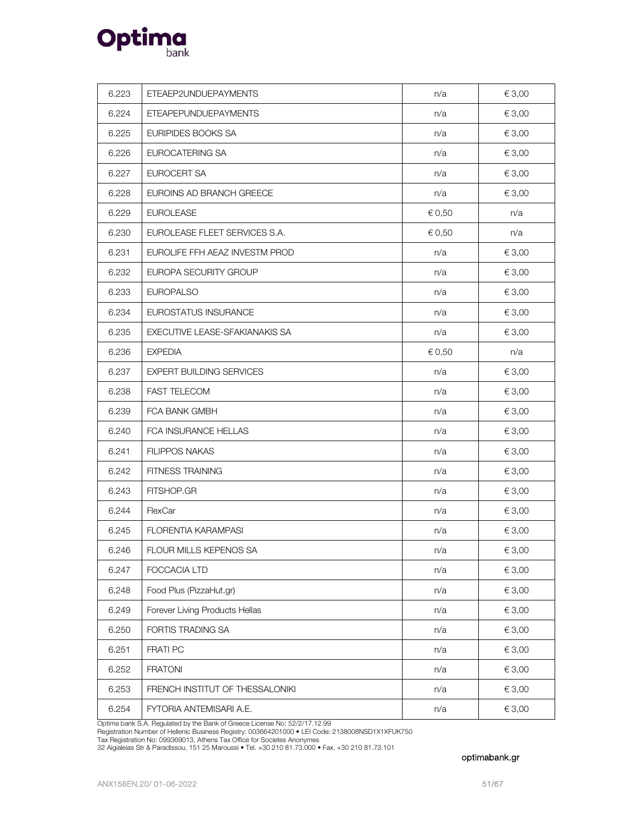

| 6.223 | ETEAEP2UNDUEPAYMENTS            | n/a    | € 3,00 |
|-------|---------------------------------|--------|--------|
| 6.224 | ETEAPEPUNDUEPAYMENTS            | n/a    | € 3,00 |
| 6.225 | EURIPIDES BOOKS SA              | n/a    | € 3,00 |
| 6.226 | EUROCATERING SA                 | n/a    | € 3,00 |
| 6.227 | EUROCERT SA                     | n/a    | € 3,00 |
| 6.228 | EUROINS AD BRANCH GREECE        | n/a    | € 3,00 |
| 6.229 | <b>EUROLEASE</b>                | € 0,50 | n/a    |
| 6.230 | EUROLEASE FLEET SERVICES S.A.   | € 0,50 | n/a    |
| 6.231 | EUROLIFE FFH AEAZ INVESTM PROD  | n/a    | € 3,00 |
| 6.232 | EUROPA SECURITY GROUP           | n/a    | € 3,00 |
| 6.233 | <b>EUROPALSO</b>                | n/a    | € 3,00 |
| 6.234 | EUROSTATUS INSURANCE            | n/a    | € 3,00 |
| 6.235 | EXECUTIVE LEASE-SFAKIANAKIS SA  | n/a    | € 3,00 |
| 6.236 | <b>EXPEDIA</b>                  | € 0,50 | n/a    |
| 6.237 | <b>EXPERT BUILDING SERVICES</b> | n/a    | € 3,00 |
| 6.238 | <b>FAST TELECOM</b>             | n/a    | € 3,00 |
| 6.239 | FCA BANK GMBH                   | n/a    | € 3,00 |
| 6.240 | FCA INSURANCE HELLAS            | n/a    | € 3,00 |
| 6.241 | <b>FILIPPOS NAKAS</b>           | n/a    | € 3,00 |
| 6.242 | FITNESS TRAINING                | n/a    | € 3,00 |
| 6.243 | FITSHOP.GR                      | n/a    | € 3,00 |
| 6.244 | FlexCar                         | n/a    | € 3,00 |
| 6.245 | <b>FLORENTIA KARAMPASI</b>      | n/a    | € 3,00 |
| 6.246 | FLOUR MILLS KEPENOS SA          | n/a    | €3,00  |
| 6.247 | FOCCACIA LTD                    | n/a    | € 3,00 |
| 6.248 | Food Plus (PizzaHut.gr)         | n/a    | € 3,00 |
| 6.249 | Forever Living Products Hellas  | n/a    | € 3,00 |
| 6.250 | FORTIS TRADING SA               | n/a    | € 3,00 |
| 6.251 | FRATI PC                        | n/a    | € 3,00 |
| 6.252 | <b>FRATONI</b>                  | n/a    | € 3,00 |
| 6.253 | FRENCH INSTITUT OF THESSALONIKI | n/a    | € 3,00 |
| 6.254 | FYTORIA ANTEMISARI A.E.         | n/a    | € 3,00 |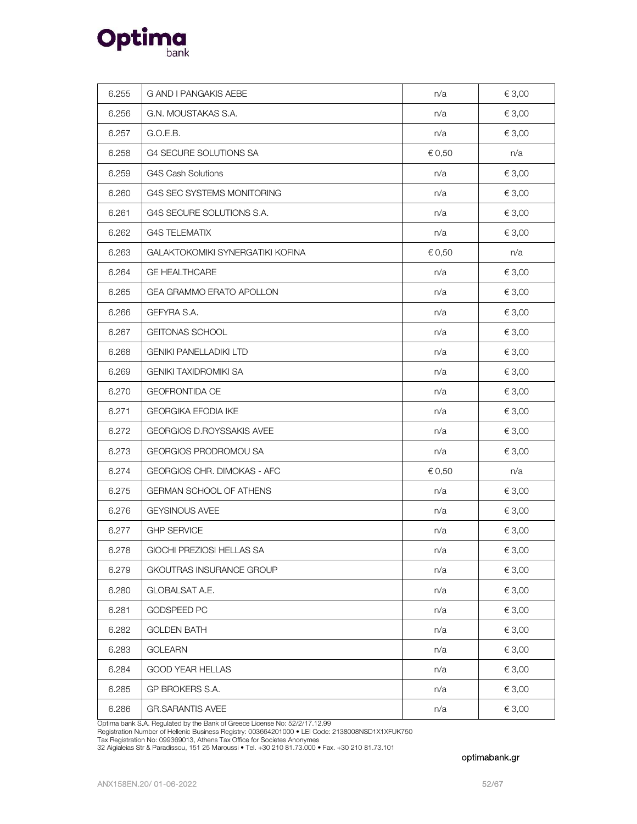

| 6.255 | G AND I PANGAKIS AEBE            | n/a    | € 3,00     |
|-------|----------------------------------|--------|------------|
| 6.256 | G.N. MOUSTAKAS S.A.              | n/a    | € 3,00     |
| 6.257 | G.O.E.B.                         | n/a    | € 3,00     |
| 6.258 | G4 SECURE SOLUTIONS SA           | € 0,50 | n/a        |
| 6.259 | <b>G4S Cash Solutions</b>        | n/a    | € 3,00     |
|       | G4S SEC SYSTEMS MONITORING       | n/a    |            |
| 6.260 |                                  |        | € 3,00     |
| 6.261 | G4S SECURE SOLUTIONS S.A.        | n/a    | € 3,00     |
| 6.262 | <b>G4S TELEMATIX</b>             | n/a    | € 3,00     |
| 6.263 | GALAKTOKOMIKI SYNERGATIKI KOFINA | € 0,50 | n/a        |
| 6.264 | <b>GE HEALTHCARE</b>             | n/a    | € 3,00     |
| 6.265 | GEA GRAMMO ERATO APOLLON         | n/a    | € 3,00     |
| 6.266 | GEFYRA S.A.                      | n/a    | € 3,00     |
| 6.267 | <b>GEITONAS SCHOOL</b>           | n/a    | € 3,00     |
| 6.268 | <b>GENIKI PANELLADIKI LTD</b>    | n/a    | € 3,00     |
| 6.269 | <b>GENIKI TAXIDROMIKI SA</b>     | n/a    | € 3,00     |
| 6.270 | GEOFRONTIDA OE                   | n/a    | € 3,00     |
| 6.271 | GEORGIKA EFODIA IKE              | n/a    | € 3,00     |
| 6.272 | GEORGIOS D.ROYSSAKIS AVEE        | n/a    | € 3,00     |
| 6.273 | GEORGIOS PRODROMOU SA            | n/a    | € 3,00     |
| 6.274 | GEORGIOS CHR. DIMOKAS - AFC      | € 0,50 | n/a        |
| 6.275 | <b>GERMAN SCHOOL OF ATHENS</b>   | n/a    | € 3,00     |
| 6.276 | <b>GEYSINOUS AVEE</b>            | n/a    | € 3,00     |
| 6.277 | <b>GHP SERVICE</b>               | n/a    | € 3,00     |
| 6.278 | GIOCHI PREZIOSI HELLAS SA        | n/a    | $\in$ 3,00 |
| 6.279 | GKOUTRAS INSURANCE GROUP         | n/a    | € 3,00     |
| 6.280 | <b>GLOBALSAT A.E.</b>            | n/a    | € 3,00     |
| 6.281 | <b>GODSPEED PC</b>               | n/a    | € 3,00     |
| 6.282 | <b>GOLDEN BATH</b>               | n/a    | € 3,00     |
| 6.283 | <b>GOLEARN</b>                   | n/a    | € 3,00     |
| 6.284 | GOOD YEAR HELLAS                 | n/a    | € 3,00     |
| 6.285 | GP BROKERS S.A.                  | n/a    | € 3,00     |
| 6.286 | <b>GR.SARANTIS AVEE</b>          | n/a    | € 3,00     |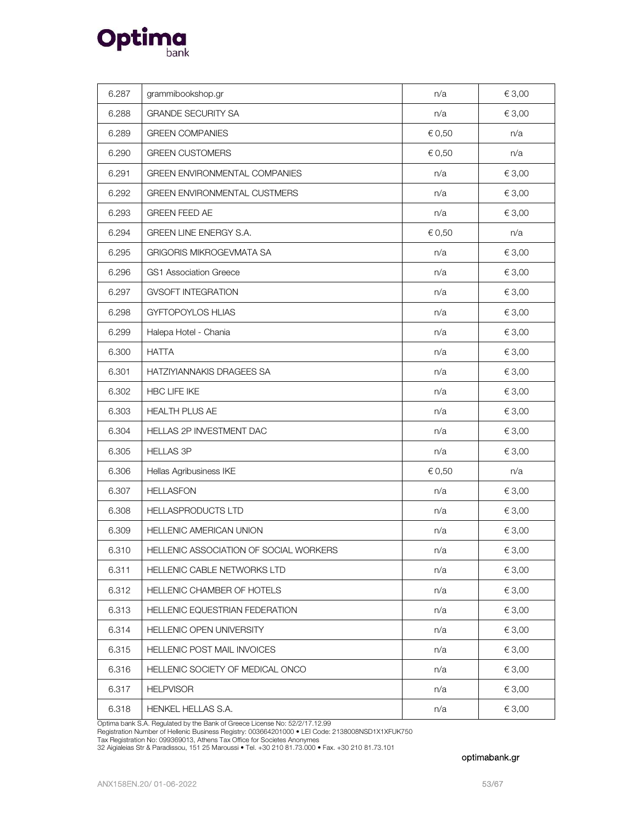

| 6.287 | grammibookshop.gr                      | n/a    | € 3,00 |
|-------|----------------------------------------|--------|--------|
| 6.288 | <b>GRANDE SECURITY SA</b>              | n/a    | € 3,00 |
| 6.289 | <b>GREEN COMPANIES</b>                 | € 0,50 | n/a    |
| 6.290 | <b>GREEN CUSTOMERS</b>                 | € 0,50 | n/a    |
| 6.291 | <b>GREEN ENVIRONMENTAL COMPANIES</b>   | n/a    | € 3,00 |
| 6.292 | <b>GREEN ENVIRONMENTAL CUSTMERS</b>    | n/a    | € 3,00 |
| 6.293 | <b>GREEN FEED AE</b>                   | n/a    | € 3,00 |
| 6.294 | GREEN LINE ENERGY S.A.                 | € 0,50 | n/a    |
| 6.295 | <b>GRIGORIS MIKROGEVMATA SA</b>        | n/a    | € 3,00 |
| 6.296 | <b>GS1 Association Greece</b>          | n/a    | € 3,00 |
| 6.297 | <b>GVSOFT INTEGRATION</b>              | n/a    | € 3,00 |
| 6.298 | GYFTOPOYLOS HLIAS                      | n/a    | € 3,00 |
| 6.299 | Halepa Hotel - Chania                  | n/a    | € 3,00 |
| 6.300 | <b>HATTA</b>                           | n/a    | € 3,00 |
| 6.301 | HATZIYIANNAKIS DRAGEES SA              | n/a    | € 3,00 |
| 6.302 | HBC LIFE IKE                           | n/a    | € 3,00 |
| 6.303 | <b>HEALTH PLUS AE</b>                  | n/a    | € 3,00 |
| 6.304 | HELLAS 2P INVESTMENT DAC               | n/a    | € 3,00 |
| 6.305 | <b>HELLAS 3P</b>                       | n/a    | € 3,00 |
| 6.306 | Hellas Agribusiness IKE                | € 0,50 | n/a    |
| 6.307 | <b>HELLASFON</b>                       | n/a    | € 3,00 |
| 6.308 | HELLASPRODUCTS LTD                     | n/a    | € 3,00 |
| 6.309 | <b>HELLENIC AMERICAN UNION</b>         | n/a    | € 3,00 |
| 6.310 | HELLENIC ASSOCIATION OF SOCIAL WORKERS | n/a    | € 3,00 |
| 6.311 | <b>HELLENIC CABLE NETWORKS LTD</b>     | n/a    | € 3,00 |
| 6.312 | HELLENIC CHAMBER OF HOTELS             | n/a    | € 3,00 |
| 6.313 | HELLENIC EQUESTRIAN FEDERATION         | n/a    | € 3,00 |
| 6.314 | HELLENIC OPEN UNIVERSITY               | n/a    | € 3,00 |
| 6.315 | HELLENIC POST MAIL INVOICES            | n/a    | € 3,00 |
| 6.316 | HELLENIC SOCIETY OF MEDICAL ONCO       | n/a    | € 3,00 |
| 6.317 | <b>HELPVISOR</b>                       | n/a    | € 3,00 |
| 6.318 | HENKEL HELLAS S.A.                     | n/a    | € 3,00 |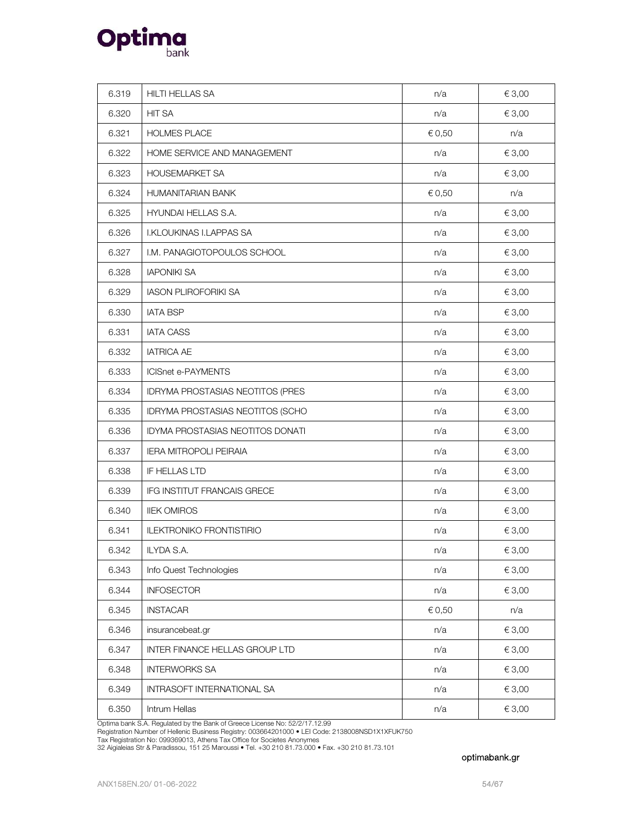

| 6.319 | HILTI HELLAS SA                         | n/a    | € 3,00 |
|-------|-----------------------------------------|--------|--------|
| 6.320 | <b>HIT SA</b>                           | n/a    | € 3,00 |
| 6.321 | <b>HOLMES PLACE</b>                     | € 0,50 | n/a    |
| 6.322 | HOME SERVICE AND MANAGEMENT             | n/a    | € 3,00 |
| 6.323 | HOUSEMARKET SA                          | n/a    | € 3,00 |
| 6.324 | <b>HUMANITARIAN BANK</b>                | € 0,50 | n/a    |
| 6.325 | HYUNDAI HELLAS S.A.                     | n/a    | € 3,00 |
| 6.326 | <b>I.KLOUKINAS I.LAPPAS SA</b>          | n/a    | € 3,00 |
| 6.327 | I.M. PANAGIOTOPOULOS SCHOOL             | n/a    | € 3,00 |
| 6.328 | <b>IAPONIKI SA</b>                      | n/a    | € 3,00 |
| 6.329 | <b>IASON PLIROFORIKI SA</b>             | n/a    | € 3,00 |
| 6.330 | <b>IATA BSP</b>                         | n/a    | € 3,00 |
| 6.331 | <b>IATA CASS</b>                        | n/a    | € 3,00 |
| 6.332 | <b>IATRICA AE</b>                       | n/a    | € 3,00 |
| 6.333 | <b>ICISnet e-PAYMENTS</b>               | n/a    | € 3,00 |
| 6.334 | IDRYMA PROSTASIAS NEOTITOS (PRES        | n/a    | € 3,00 |
| 6.335 | IDRYMA PROSTASIAS NEOTITOS (SCHO        | n/a    | € 3,00 |
| 6.336 | <b>IDYMA PROSTASIAS NEOTITOS DONATI</b> | n/a    | € 3,00 |
| 6.337 | <b>IERA MITROPOLI PEIRAIA</b>           | n/a    | € 3,00 |
| 6.338 | IF HELLAS LTD                           | n/a    | € 3,00 |
| 6.339 | IFG INSTITUT FRANCAIS GRECE             | n/a    | € 3,00 |
| 6.340 | <b>IIEK OMIROS</b>                      | n/a    | € 3,00 |
| 6.341 | <b>ILEKTRONIKO FRONTISTIRIO</b>         | n/a    | € 3,00 |
| 6.342 | ILYDA S.A.                              | n/a    | € 3,00 |
| 6.343 | Info Quest Technologies                 | n/a    | € 3,00 |
| 6.344 | <b>INFOSECTOR</b>                       | n/a    | € 3,00 |
| 6.345 | <b>INSTACAR</b>                         | € 0,50 | n/a    |
| 6.346 | insurancebeat.gr                        | n/a    | € 3,00 |
| 6.347 | INTER FINANCE HELLAS GROUP LTD          | n/a    | € 3,00 |
| 6.348 | <b>INTERWORKS SA</b>                    | n/a    | € 3,00 |
| 6.349 | INTRASOFT INTERNATIONAL SA              | n/a    | € 3,00 |
| 6.350 | Intrum Hellas                           | n/a    | € 3,00 |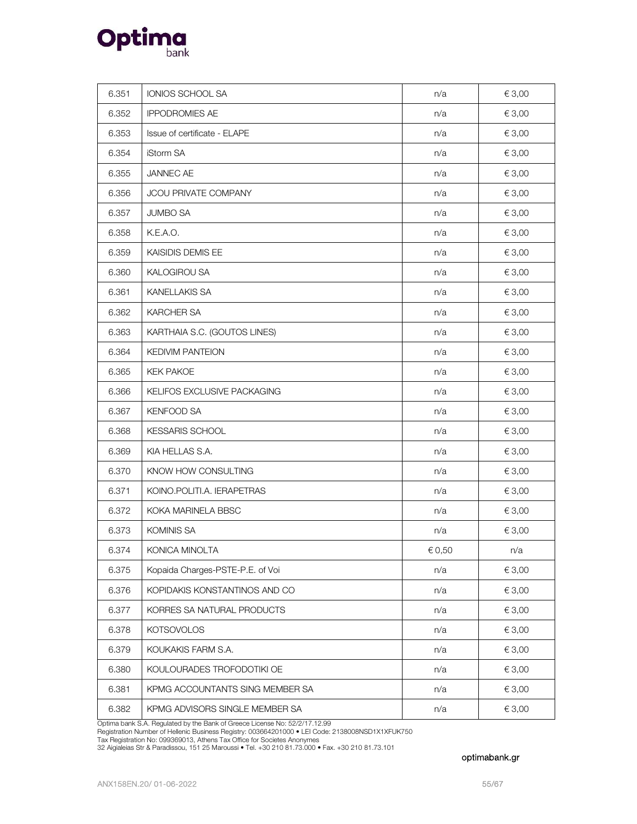

| 6.351 | IONIOS SCHOOL SA                 | n/a    | € 3,00          |
|-------|----------------------------------|--------|-----------------|
| 6.352 | <b>IPPODROMIES AE</b>            | n/a    | € 3,00          |
| 6.353 | Issue of certificate - ELAPE     | n/a    | € 3,00          |
| 6.354 | iStorm SA                        | n/a    | € 3,00          |
| 6.355 | JANNEC AE                        | n/a    | € 3,00          |
| 6.356 | JCOU PRIVATE COMPANY             | n/a    | € 3,00          |
| 6.357 | <b>JUMBO SA</b>                  | n/a    | € 3,00          |
| 6.358 | K.E.A.O.                         | n/a    | € 3,00          |
| 6.359 | KAISIDIS DEMIS EE                | n/a    | € 3,00          |
| 6.360 | KALOGIROU SA                     | n/a    | € 3,00          |
| 6.361 | KANELLAKIS SA                    | n/a    | € 3,00          |
| 6.362 | KARCHER SA                       | n/a    | € 3,00          |
| 6.363 | KARTHAIA S.C. (GOUTOS LINES)     | n/a    | € 3,00          |
| 6.364 | <b>KEDIVIM PANTEION</b>          | n/a    | € 3,00          |
| 6.365 | <b>KEK PAKOE</b>                 | n/a    | € 3,00          |
| 6.366 | KELIFOS EXCLUSIVE PACKAGING      | n/a    | € 3,00          |
| 6.367 | <b>KENFOOD SA</b>                | n/a    | € 3,00          |
| 6.368 | <b>KESSARIS SCHOOL</b>           | n/a    | € 3,00          |
| 6.369 | KIA HELLAS S.A.                  | n/a    | € 3,00          |
| 6.370 | KNOW HOW CONSULTING              | n/a    | € 3,00          |
| 6.371 | KOINO.POLITI.A. IERAPETRAS       | n/a    | € 3,00          |
| 6.372 | KOKA MARINELA BBSC               | n/a    | € 3,00          |
| 6.373 | KOMINIS SA                       | n/a    | € 3,00          |
| 6.374 | KONICA MINOLTA                   | € 0,50 | n/a             |
| 6.375 | Kopaida Charges-PSTE-P.E. of Voi | n/a    | € 3,00          |
| 6.376 | KOPIDAKIS KONSTANTINOS AND CO    | n/a    | $\epsilon$ 3,00 |
| 6.377 | KORRES SA NATURAL PRODUCTS       | n/a    | € 3,00          |
| 6.378 | <b>KOTSOVOLOS</b>                | n/a    | € 3,00          |
| 6.379 | KOUKAKIS FARM S.A.               | n/a    | € 3,00          |
| 6.380 | KOULOURADES TROFODOTIKI OE       | n/a    | € 3,00          |
| 6.381 | KPMG ACCOUNTANTS SING MEMBER SA  | n/a    | € 3,00          |
| 6.382 | KPMG ADVISORS SINGLE MEMBER SA   | n/a    | € 3,00          |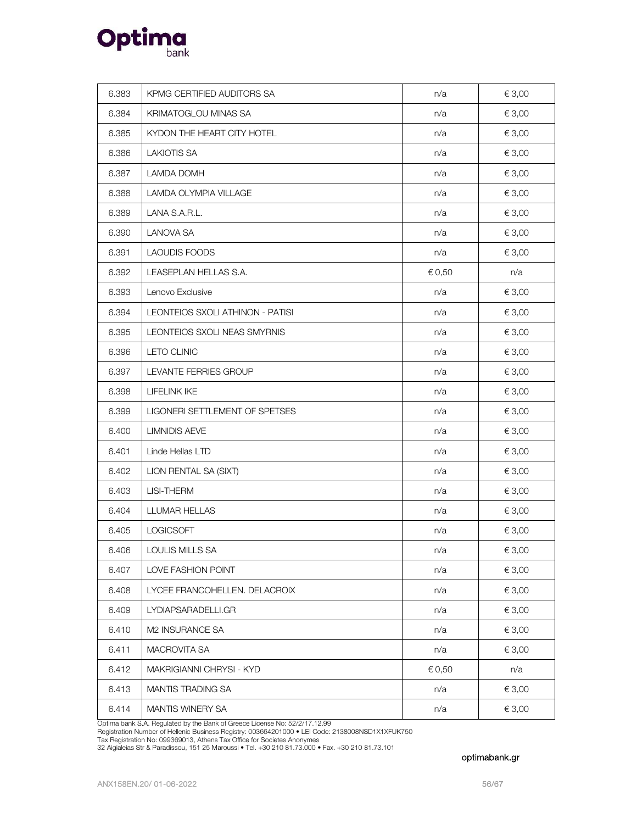

| 6.383 | KPMG CERTIFIED AUDITORS SA       | n/a    | € 3,00 |
|-------|----------------------------------|--------|--------|
| 6.384 | KRIMATOGLOU MINAS SA             | n/a    | € 3,00 |
| 6.385 | KYDON THE HEART CITY HOTEL       | n/a    | € 3,00 |
| 6.386 | <b>LAKIOTIS SA</b>               | n/a    | € 3,00 |
| 6.387 | <b>LAMDA DOMH</b>                | n/a    | € 3,00 |
| 6.388 | LAMDA OLYMPIA VILLAGE            | n/a    | € 3,00 |
| 6.389 | LANA S.A.R.L.                    | n/a    | € 3,00 |
| 6.390 | <b>LANOVA SA</b>                 | n/a    | € 3,00 |
| 6.391 | <b>LAOUDIS FOODS</b>             | n/a    | € 3,00 |
| 6.392 | LEASEPLAN HELLAS S.A.            | € 0,50 | n/a    |
| 6.393 | Lenovo Exclusive                 | n/a    | € 3,00 |
| 6.394 | LEONTEIOS SXOLI ATHINON - PATISI | n/a    | € 3,00 |
| 6.395 | LEONTEIOS SXOLI NEAS SMYRNIS     | n/a    | € 3,00 |
| 6.396 | <b>LETO CLINIC</b>               | n/a    | € 3,00 |
| 6.397 | LEVANTE FERRIES GROUP            | n/a    | € 3,00 |
| 6.398 | <b>LIFELINK IKE</b>              | n/a    | € 3,00 |
| 6.399 | LIGONERI SETTLEMENT OF SPETSES   | n/a    | € 3,00 |
| 6.400 | <b>LIMNIDIS AEVE</b>             | n/a    | € 3,00 |
| 6.401 | Linde Hellas LTD                 | n/a    | € 3,00 |
| 6.402 | LION RENTAL SA (SIXT)            | n/a    | € 3,00 |
| 6.403 | LISI-THERM                       | n/a    | € 3,00 |
| 6.404 | LLUMAR HELLAS                    | n/a    | € 3,00 |
| 6.405 | LOGICSOFT                        | n/a    | € 3,00 |
| 6.406 | LOULIS MILLS SA                  | n/a    | € 3,00 |
| 6.407 | LOVE FASHION POINT               | n/a    | € 3,00 |
| 6.408 | LYCEE FRANCOHELLEN. DELACROIX    | n/a    | € 3,00 |
| 6.409 | LYDIAPSARADELLI.GR               | n/a    | € 3,00 |
| 6.410 | M2 INSURANCE SA                  | n/a    | € 3,00 |
| 6.411 | MACROVITA SA                     | n/a    | € 3,00 |
| 6.412 | MAKRIGIANNI CHRYSI - KYD         | € 0,50 | n/a    |
| 6.413 | MANTIS TRADING SA                | n/a    | € 3,00 |
| 6.414 | MANTIS WINERY SA                 | n/a    | € 3,00 |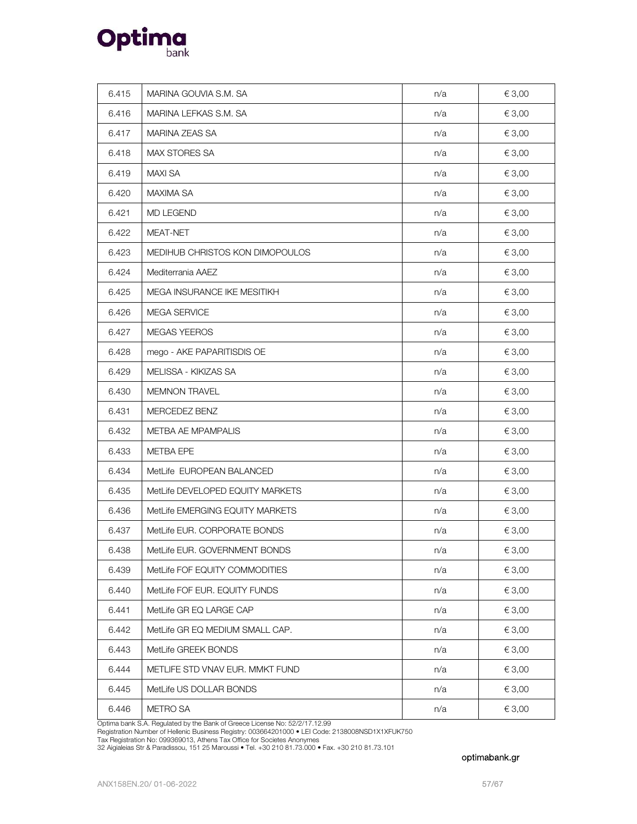

| 6.415 | MARINA GOUVIA S.M. SA            | n/a | € 3,00 |
|-------|----------------------------------|-----|--------|
| 6.416 | MARINA LEFKAS S.M. SA            | n/a | € 3,00 |
| 6.417 | MARINA ZEAS SA                   | n/a | € 3,00 |
| 6.418 | MAX STORES SA                    | n/a | € 3,00 |
| 6.419 | <b>MAXI SA</b>                   | n/a | € 3,00 |
| 6.420 | <b>MAXIMA SA</b>                 | n/a | € 3,00 |
| 6.421 | MD LEGEND                        | n/a | € 3,00 |
| 6.422 | MEAT-NET                         | n/a | € 3,00 |
| 6.423 | MEDIHUB CHRISTOS KON DIMOPOULOS  | n/a | € 3,00 |
| 6.424 | Mediterrania AAEZ                | n/a | € 3,00 |
| 6.425 | MEGA INSURANCE IKE MESITIKH      | n/a | € 3,00 |
| 6.426 | MEGA SERVICE                     | n/a | € 3,00 |
| 6.427 | <b>MEGAS YEEROS</b>              | n/a | € 3,00 |
| 6.428 | mego - AKE PAPARITISDIS OE       | n/a | € 3,00 |
| 6.429 | MELISSA - KIKIZAS SA             | n/a | € 3,00 |
| 6.430 | <b>MEMNON TRAVEL</b>             | n/a | € 3,00 |
| 6.431 | MERCEDEZ BENZ                    | n/a | € 3,00 |
| 6.432 | METBA AE MPAMPALIS               | n/a | € 3,00 |
| 6.433 | METBA EPE                        | n/a | € 3,00 |
| 6.434 | MetLife EUROPEAN BALANCED        | n/a | € 3,00 |
| 6.435 | MetLife DEVELOPED EQUITY MARKETS | n/a | € 3,00 |
| 6.436 | MetLife EMERGING EQUITY MARKETS  | n/a | € 3,00 |
| 6.437 | MetLife EUR. CORPORATE BONDS     | n/a | € 3,00 |
| 6.438 | MetLife EUR. GOVERNMENT BONDS    | n/a | € 3,00 |
| 6.439 | MetLife FOF EQUITY COMMODITIES   | n/a | € 3,00 |
| 6.440 | MetLife FOF EUR. EQUITY FUNDS    | n/a | € 3,00 |
| 6.441 | MetLife GR EQ LARGE CAP          | n/a | € 3,00 |
| 6.442 | MetLife GR EQ MEDIUM SMALL CAP.  | n/a | € 3,00 |
| 6.443 | MetLife GREEK BONDS              | n/a | € 3,00 |
| 6.444 | METLIFE STD VNAV EUR. MMKT FUND  | n/a | € 3,00 |
| 6.445 | MetLife US DOLLAR BONDS          | n/a | € 3,00 |
| 6.446 | <b>METRO SA</b>                  | n/a | € 3,00 |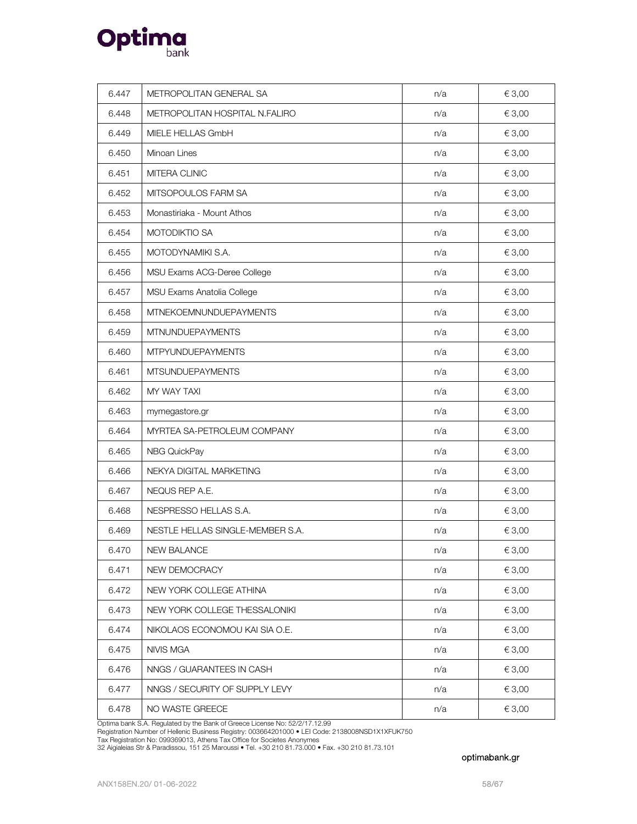

| 6.447 | METROPOLITAN GENERAL SA          | n/a | € 3,00 |
|-------|----------------------------------|-----|--------|
| 6.448 | METROPOLITAN HOSPITAL N.FALIRO   | n/a | € 3,00 |
| 6.449 | MIELE HELLAS GmbH                | n/a | € 3,00 |
| 6.450 | Minoan Lines                     | n/a | € 3,00 |
| 6.451 | MITERA CLINIC                    | n/a | € 3,00 |
| 6.452 | MITSOPOULOS FARM SA              | n/a | € 3,00 |
| 6.453 | Monastiriaka - Mount Athos       | n/a | € 3,00 |
| 6.454 | MOTODIKTIO SA                    | n/a | € 3,00 |
| 6.455 | MOTODYNAMIKI S.A.                | n/a | € 3,00 |
| 6.456 | MSU Exams ACG-Deree College      | n/a | € 3,00 |
| 6.457 | MSU Exams Anatolia College       | n/a | € 3,00 |
| 6.458 | <b>MTNEKOEMNUNDUEPAYMENTS</b>    | n/a | € 3,00 |
| 6.459 | <b>MTNUNDUEPAYMENTS</b>          | n/a | € 3,00 |
| 6.460 | <b>MTPYUNDUEPAYMENTS</b>         | n/a | € 3,00 |
| 6.461 | <b>MTSUNDUEPAYMENTS</b>          | n/a | € 3,00 |
| 6.462 | MY WAY TAXI                      | n/a | € 3,00 |
| 6.463 | mymegastore.gr                   | n/a | € 3,00 |
| 6.464 | MYRTEA SA-PETROLEUM COMPANY      | n/a | € 3,00 |
| 6.465 | NBG QuickPay                     | n/a | € 3,00 |
| 6.466 | NEKYA DIGITAL MARKETING          | n/a | € 3,00 |
| 6.467 | NEQUS REP A.E.                   | n/a | € 3,00 |
| 6.468 | NESPRESSO HELLAS S.A.            | n/a | € 3,00 |
| 6.469 | NESTLE HELLAS SINGLE-MEMBER S.A. | n/a | € 3,00 |
| 6.470 | NEW BALANCE                      | n/a | € 3,00 |
| 6.471 | NEW DEMOCRACY                    | n/a | € 3,00 |
| 6.472 | NEW YORK COLLEGE ATHINA          | n/a | € 3,00 |
| 6.473 | NEW YORK COLLEGE THESSALONIKI    | n/a | € 3,00 |
| 6.474 | NIKOLAOS ECONOMOU KAI SIA O.E.   | n/a | € 3,00 |
| 6.475 | NIVIS MGA                        | n/a | € 3,00 |
| 6.476 | NNGS / GUARANTEES IN CASH        | n/a | € 3,00 |
| 6.477 | NNGS / SECURITY OF SUPPLY LEVY   | n/a | € 3,00 |
| 6.478 | NO WASTE GREECE                  | n/a | € 3,00 |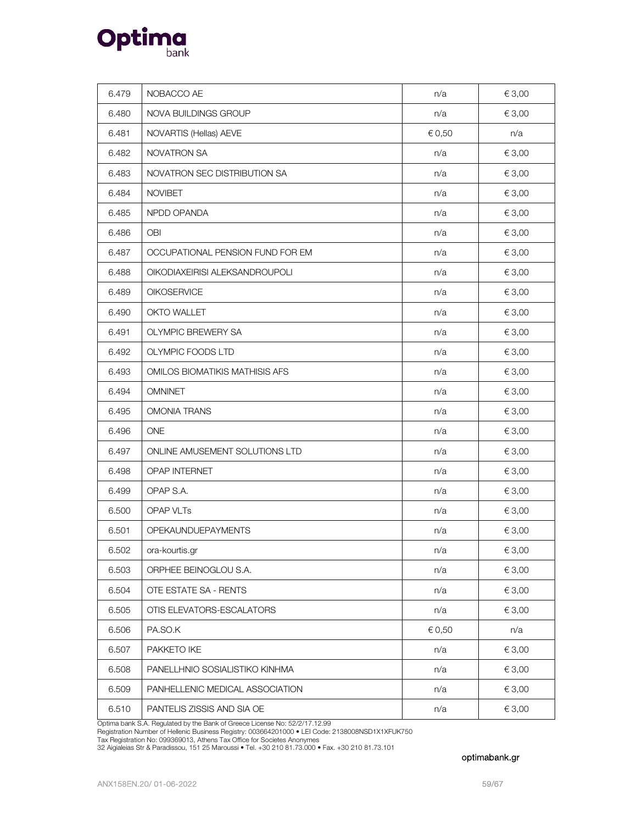

| 6.479 | NOBACCO AE                       | n/a    | € 3,00 |
|-------|----------------------------------|--------|--------|
| 6.480 | NOVA BUILDINGS GROUP             | n/a    | € 3,00 |
| 6.481 | NOVARTIS (Hellas) AEVE           | € 0,50 | n/a    |
| 6.482 | <b>NOVATRON SA</b>               | n/a    | € 3,00 |
| 6.483 | NOVATRON SEC DISTRIBUTION SA     | n/a    | € 3,00 |
| 6.484 | <b>NOVIBET</b>                   | n/a    | € 3,00 |
| 6.485 | NPDD OPANDA                      | n/a    | € 3,00 |
| 6.486 | <b>OBI</b>                       | n/a    | € 3,00 |
| 6.487 | OCCUPATIONAL PENSION FUND FOR EM | n/a    | € 3,00 |
| 6.488 | OIKODIAXEIRISI ALEKSANDROUPOLI   | n/a    | € 3,00 |
| 6.489 | OIKOSERVICE                      | n/a    | € 3,00 |
| 6.490 | OKTO WALLET                      | n/a    | € 3,00 |
| 6.491 | <b>OLYMPIC BREWERY SA</b>        | n/a    | € 3,00 |
| 6.492 | OLYMPIC FOODS LTD                | n/a    | € 3,00 |
| 6.493 | OMILOS BIOMATIKIS MATHISIS AFS   | n/a    | € 3,00 |
| 6.494 | <b>OMNINET</b>                   | n/a    | € 3,00 |
| 6.495 | <b>OMONIA TRANS</b>              | n/a    | € 3,00 |
| 6.496 | <b>ONE</b>                       | n/a    | € 3,00 |
| 6.497 | ONLINE AMUSEMENT SOLUTIONS LTD   | n/a    | € 3,00 |
| 6.498 | OPAP INTERNET                    | n/a    | € 3,00 |
| 6.499 | OPAP S.A.                        | n/a    | € 3,00 |
| 6.500 | OPAP VLTs                        | n/a    | € 3,00 |
| 6.501 | OPEKAUNDUEPAYMENTS               | n/a    | € 3,00 |
| 6.502 | ora-kourtis.gr                   | n/a    | € 3,00 |
| 6.503 | ORPHEE BEINOGLOU S.A.            | n/a    | € 3,00 |
| 6.504 | OTE ESTATE SA - RENTS            | n/a    | € 3,00 |
| 6.505 | OTIS ELEVATORS-ESCALATORS        | n/a    | € 3,00 |
| 6.506 | PA.SO.K                          | € 0,50 | n/a    |
| 6.507 | PAKKETO IKE                      | n/a    | € 3,00 |
| 6.508 | PANELLHNIO SOSIALISTIKO KINHMA   | n/a    | € 3,00 |
| 6.509 | PANHELLENIC MEDICAL ASSOCIATION  | n/a    | € 3,00 |
| 6.510 | PANTELIS ZISSIS AND SIA OE       | n/a    | € 3,00 |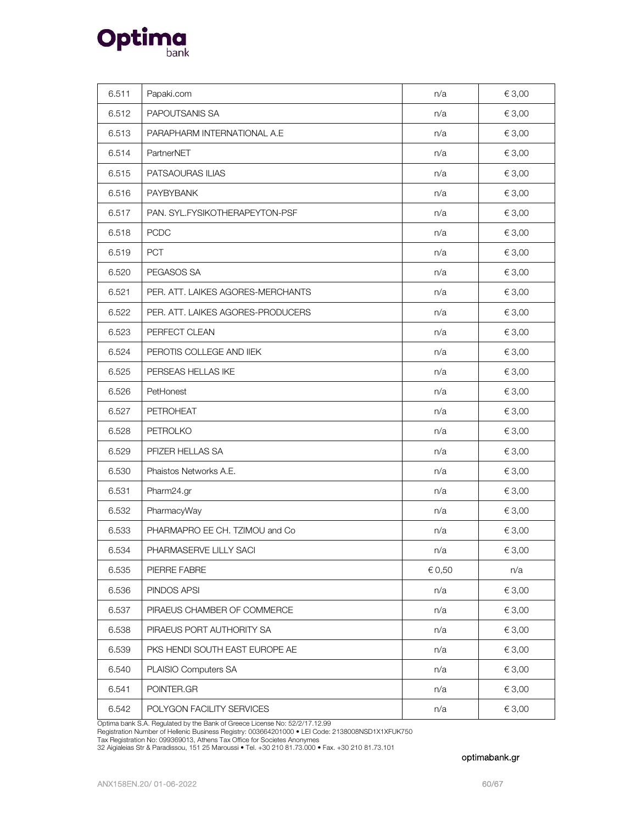

| 6.511 | Papaki.com                        | n/a    | € 3,00     |
|-------|-----------------------------------|--------|------------|
| 6.512 | PAPOUTSANIS SA                    | n/a    | € 3,00     |
| 6.513 | PARAPHARM INTERNATIONAL A.E       | n/a    | € 3,00     |
| 6.514 | PartnerNET                        | n/a    | € 3,00     |
| 6.515 | PATSAOURAS ILIAS                  | n/a    | € 3,00     |
| 6.516 | PAYBYBANK                         | n/a    | € 3,00     |
| 6.517 | PAN. SYL.FYSIKOTHERAPEYTON-PSF    | n/a    | € 3,00     |
| 6.518 | <b>PCDC</b>                       | n/a    | € 3,00     |
| 6.519 | <b>PCT</b>                        | n/a    | € 3,00     |
| 6.520 | PEGASOS SA                        | n/a    | € 3,00     |
| 6.521 | PER. ATT. LAIKES AGORES-MERCHANTS | n/a    | € 3,00     |
| 6.522 | PER. ATT. LAIKES AGORES-PRODUCERS | n/a    | € 3,00     |
| 6.523 | PERFECT CLEAN                     | n/a    | € 3,00     |
| 6.524 | PEROTIS COLLEGE AND IIEK          | n/a    | € 3,00     |
| 6.525 | PERSEAS HELLAS IKE                | n/a    | € 3,00     |
| 6.526 | PetHonest                         | n/a    | € 3,00     |
| 6.527 | PETROHEAT                         | n/a    | € 3,00     |
| 6.528 | PETROLKO                          | n/a    | € 3,00     |
| 6.529 | PFIZER HELLAS SA                  | n/a    | € 3,00     |
| 6.530 | Phaistos Networks A.E.            | n/a    | € 3,00     |
| 6.531 | Pharm24.gr                        | n/a    | € 3,00     |
| 6.532 | PharmacyWay                       | n/a    | € 3,00     |
| 6.533 | PHARMAPRO EE CH. TZIMOU and Co.   | n/a    | € 3,00     |
| 6.534 | PHARMASERVE LILLY SACI            | n/a    | $\in$ 3,00 |
| 6.535 | PIERRE FABRE                      | € 0,50 | n/a        |
| 6.536 | PINDOS APSI                       | n/a    | € 3,00     |
| 6.537 | PIRAEUS CHAMBER OF COMMERCE       | n/a    | € 3,00     |
| 6.538 | PIRAEUS PORT AUTHORITY SA         | n/a    | € 3,00     |
| 6.539 | PKS HENDI SOUTH EAST EUROPE AE    | n/a    | € 3,00     |
| 6.540 | PLAISIO Computers SA              | n/a    | € 3,00     |
| 6.541 | POINTER.GR                        | n/a    | € 3,00     |
| 6.542 | POLYGON FACILITY SERVICES         | n/a    | € 3,00     |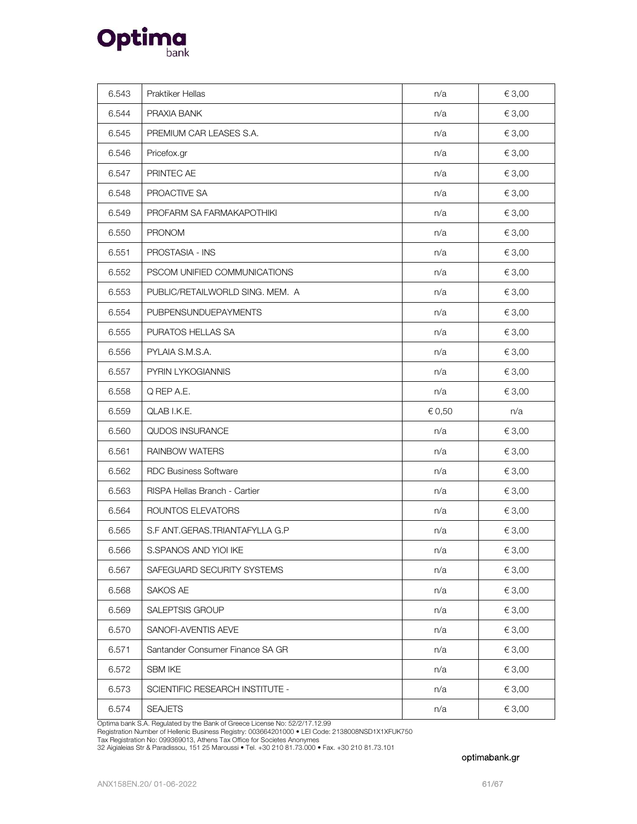

| 6.543 | Praktiker Hellas                 | n/a    | € 3,00 |
|-------|----------------------------------|--------|--------|
| 6.544 | PRAXIA BANK                      | n/a    | € 3,00 |
| 6.545 | PREMIUM CAR LEASES S.A.          | n/a    | € 3,00 |
| 6.546 | Pricefox.gr                      | n/a    | € 3,00 |
| 6.547 | PRINTEC AE                       | n/a    | € 3,00 |
| 6.548 | PROACTIVE SA                     | n/a    | € 3,00 |
| 6.549 | PROFARM SA FARMAKAPOTHIKI        | n/a    | € 3,00 |
| 6.550 | <b>PRONOM</b>                    | n/a    | € 3,00 |
| 6.551 | PROSTASIA - INS                  | n/a    | € 3,00 |
| 6.552 | PSCOM UNIFIED COMMUNICATIONS     | n/a    | € 3,00 |
| 6.553 | PUBLIC/RETAILWORLD SING. MEM. A  | n/a    | € 3,00 |
| 6.554 | <b>PUBPENSUNDUEPAYMENTS</b>      | n/a    | € 3,00 |
| 6.555 | PURATOS HELLAS SA                | n/a    | € 3,00 |
| 6.556 | PYLAIA S.M.S.A.                  | n/a    | € 3,00 |
| 6.557 | PYRIN LYKOGIANNIS                | n/a    | € 3,00 |
| 6.558 | Q REP A.E.                       | n/a    | € 3,00 |
|       |                                  |        |        |
| 6.559 | QLAB I.K.E.                      | € 0,50 | n/a    |
| 6.560 | QUDOS INSURANCE                  | n/a    | € 3,00 |
| 6.561 | <b>RAINBOW WATERS</b>            | n/a    | € 3,00 |
| 6.562 | <b>RDC Business Software</b>     | n/a    | € 3,00 |
| 6.563 | RISPA Hellas Branch - Cartier    | n/a    | € 3,00 |
| 6.564 | ROUNTOS ELEVATORS                | n/a    | € 3,00 |
| 6.565 | S.F ANT.GERAS.TRIANTAFYLLA G.P   | n/a    | € 3,00 |
| 6.566 | S.SPANOS AND YIOI IKE            | n/a    | €3,00  |
| 6.567 | SAFEGUARD SECURITY SYSTEMS       | n/a    | € 3,00 |
| 6.568 | SAKOS AE                         | n/a    | € 3,00 |
| 6.569 | <b>SALEPTSIS GROUP</b>           | n/a    | € 3,00 |
| 6.570 | SANOFI-AVENTIS AEVE              | n/a    | € 3,00 |
| 6.571 | Santander Consumer Finance SA GR | n/a    | € 3,00 |
| 6.572 | <b>SBM IKE</b>                   | n/a    | € 3,00 |
| 6.573 | SCIENTIFIC RESEARCH INSTITUTE -  | n/a    | € 3,00 |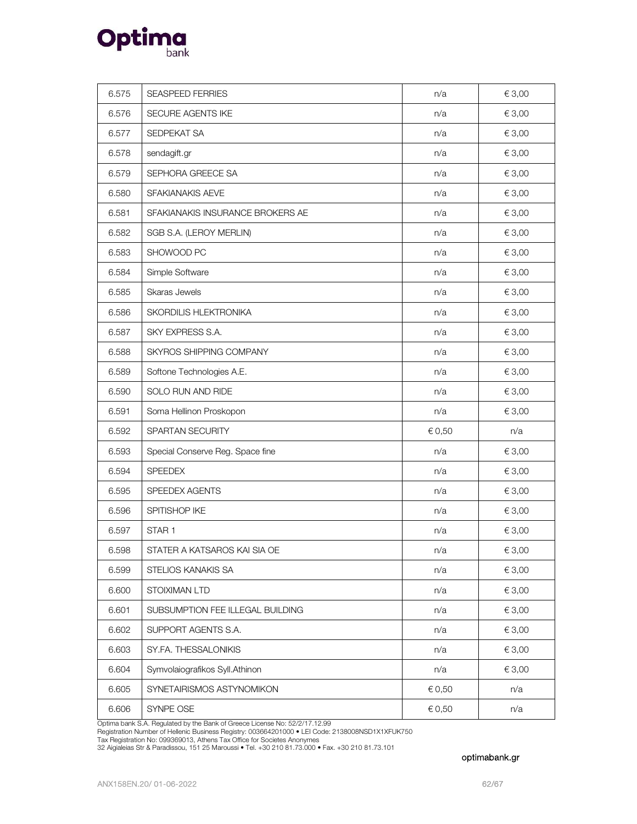

| 6.575 | <b>SEASPEED FERRIES</b>          | n/a    | € 3,00 |
|-------|----------------------------------|--------|--------|
| 6.576 | SECURE AGENTS IKE                | n/a    | € 3,00 |
| 6.577 | SEDPEKAT SA                      | n/a    | € 3,00 |
| 6.578 | sendagift.gr                     | n/a    | € 3,00 |
| 6.579 | SEPHORA GREECE SA                | n/a    | € 3,00 |
| 6.580 | SFAKIANAKIS AEVE                 | n/a    | € 3,00 |
| 6.581 | SFAKIANAKIS INSURANCE BROKERS AE | n/a    | € 3,00 |
| 6.582 | SGB S.A. (LEROY MERLIN)          | n/a    | € 3,00 |
| 6.583 | SHOWOOD PC                       | n/a    | € 3,00 |
| 6.584 | Simple Software                  | n/a    | € 3,00 |
| 6.585 | Skaras Jewels                    | n/a    | € 3,00 |
| 6.586 | SKORDILIS HLEKTRONIKA            | n/a    | € 3,00 |
| 6.587 | SKY EXPRESS S.A.                 | n/a    | € 3,00 |
| 6.588 | SKYROS SHIPPING COMPANY          | n/a    | € 3,00 |
| 6.589 | Softone Technologies A.E.        | n/a    | € 3,00 |
| 6.590 | SOLO RUN AND RIDE                | n/a    | € 3,00 |
| 6.591 | Soma Hellinon Proskopon          | n/a    | € 3,00 |
| 6.592 | SPARTAN SECURITY                 | € 0,50 | n/a    |
| 6.593 | Special Conserve Reg. Space fine | n/a    | € 3,00 |
| 6.594 | <b>SPEEDEX</b>                   | n/a    | € 3,00 |
| 6.595 | SPEEDEX AGENTS                   | n/a    | € 3,00 |
| 6.596 | SPITISHOP IKE                    | n/a    | € 3,00 |
| 6.597 | STAR <sub>1</sub>                | n/a    | € 3,00 |
| 6.598 | STATER A KATSAROS KAI SIA OE     | n/a    | € 3,00 |
| 6.599 | STELIOS KANAKIS SA               | n/a    | € 3,00 |
| 6.600 | STOIXIMAN LTD                    | n/a    | € 3,00 |
| 6.601 | SUBSUMPTION FEE ILLEGAL BUILDING | n/a    | € 3,00 |
| 6.602 | SUPPORT AGENTS S.A.              | n/a    | € 3,00 |
| 6.603 | SY.FA. THESSALONIKIS             | n/a    | € 3,00 |
| 6.604 | Symvolaiografikos Syll.Athinon   | n/a    | € 3,00 |
| 6.605 | SYNETAIRISMOS ASTYNOMIKON        | € 0,50 | n/a    |
| 6.606 | SYNPE OSE                        | € 0,50 | n/a    |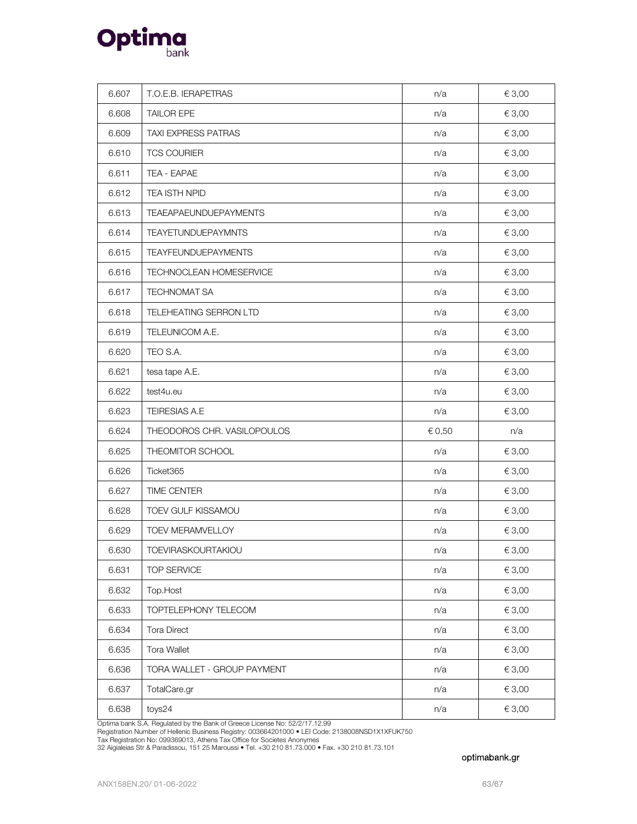

| 6.607 | T.O.E.B. IERAPETRAS          | n/a    | € 3,00 |
|-------|------------------------------|--------|--------|
| 6.608 | <b>TAILOR EPE</b>            | n/a    | € 3,00 |
| 6.609 | <b>TAXI EXPRESS PATRAS</b>   | n/a    | € 3,00 |
| 6.610 | <b>TCS COURIER</b>           | n/a    | € 3,00 |
| 6.611 | TEA - EAPAE                  | n/a    | € 3,00 |
| 6.612 | TEA ISTH NPID                | n/a    | € 3,00 |
| 6.613 | <b>TEAEAPAEUNDUEPAYMENTS</b> | n/a    | € 3,00 |
| 6.614 | <b>TEAYETUNDUEPAYMNTS</b>    | n/a    | € 3,00 |
| 6.615 | <b>TEAYFEUNDUEPAYMENTS</b>   | n/a    | € 3,00 |
| 6.616 | TECHNOCLEAN HOMESERVICE      | n/a    | € 3,00 |
| 6.617 | TECHNOMAT SA                 | n/a    | € 3,00 |
| 6.618 | TELEHEATING SERRON LTD       | n/a    | € 3,00 |
| 6.619 | TELEUNICOM A.E.              | n/a    | € 3,00 |
| 6.620 | TEO S.A.                     | n/a    | € 3,00 |
| 6.621 | tesa tape A.E.               | n/a    | € 3,00 |
| 6.622 | test4u.eu                    | n/a    | € 3,00 |
| 6.623 | TEIRESIAS A.E                | n/a    | € 3,00 |
| 6.624 | THEODOROS CHR. VASILOPOULOS  | € 0,50 | n/a    |
| 6.625 | THEOMITOR SCHOOL             | n/a    | € 3,00 |
| 6.626 | Ticket365                    | n/a    | € 3,00 |
| 6.627 | TIME CENTER                  | n/a    | € 3,00 |
| 6.628 | TOEV GULF KISSAMOU           | n/a    | € 3,00 |
| 6.629 | TOEV MERAMVELLOY             | n/a    | € 3,00 |
| 6.630 | TOEVIRASKOURTAKIOU           | n/a    | € 3,00 |
| 6.631 | TOP SERVICE                  | n/a    | € 3,00 |
| 6.632 | Top.Host                     | n/a    | € 3,00 |
| 6.633 | TOPTELEPHONY TELECOM         | n/a    | € 3,00 |
| 6.634 | Tora Direct                  | n/a    | € 3,00 |
| 6.635 | Tora Wallet                  | n/a    | € 3,00 |
| 6.636 | TORA WALLET - GROUP PAYMENT  | n/a    | € 3,00 |
| 6.637 | TotalCare.gr                 | n/a    | € 3,00 |
| 6.638 | toys24                       | n/a    | € 3,00 |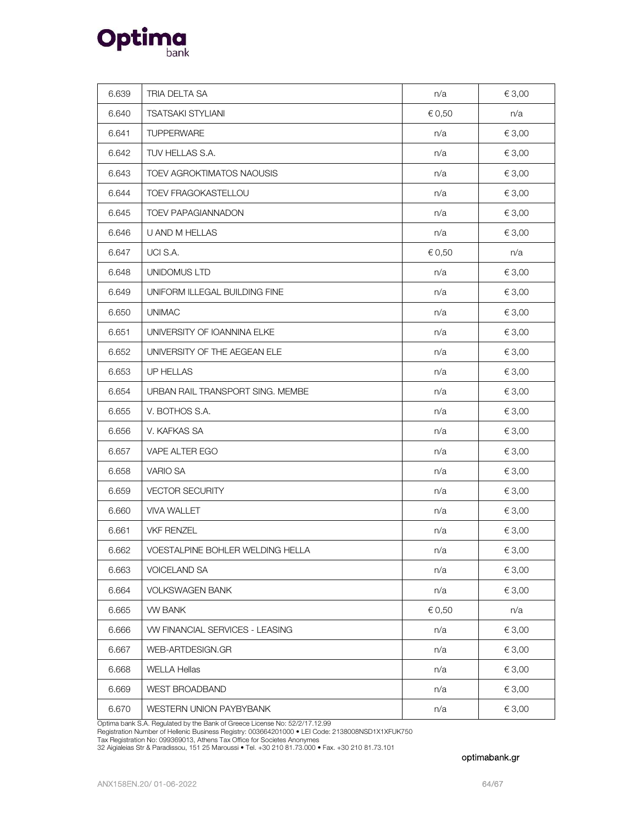

| 6.639 | TRIA DELTA SA                    | n/a    | € 3,00     |
|-------|----------------------------------|--------|------------|
| 6.640 | <b>TSATSAKI STYLIANI</b>         | € 0,50 | n/a        |
| 6.641 | <b>TUPPERWARE</b>                | n/a    | € 3,00     |
| 6.642 | TUV HELLAS S.A.                  | n/a    | € 3,00     |
| 6.643 | TOEV AGROKTIMATOS NAOUSIS        | n/a    | € 3,00     |
| 6.644 | TOEV FRAGOKASTELLOU              | n/a    | € 3,00     |
| 6.645 | <b>TOEV PAPAGIANNADON</b>        | n/a    | € 3,00     |
| 6.646 | U AND M HELLAS                   | n/a    | € 3,00     |
| 6.647 | UCI S.A.                         | € 0,50 | n/a        |
| 6.648 | UNIDOMUS LTD                     | n/a    | € 3,00     |
| 6.649 | UNIFORM ILLEGAL BUILDING FINE    | n/a    | € 3,00     |
| 6.650 | <b>UNIMAC</b>                    | n/a    | € 3,00     |
| 6.651 | UNIVERSITY OF IOANNINA ELKE      | n/a    | € 3,00     |
| 6.652 | UNIVERSITY OF THE AEGEAN ELE     | n/a    | € 3,00     |
| 6.653 | UP HELLAS                        | n/a    | € 3,00     |
| 6.654 | URBAN RAIL TRANSPORT SING. MEMBE | n/a    | € 3,00     |
| 6.655 | V. BOTHOS S.A.                   | n/a    | € 3,00     |
| 6.656 | V. KAFKAS SA                     | n/a    | € 3,00     |
| 6.657 | VAPE ALTER EGO                   | n/a    | € 3,00     |
| 6.658 | <b>VARIO SA</b>                  | n/a    | € 3,00     |
| 6.659 | <b>VECTOR SECURITY</b>           | n/a    | € 3,00     |
| 6.660 | <b>VIVA WALLET</b>               | n/a    | € 3,00     |
| 6.661 | <b>VKF RENZEL</b>                | n/a    | € 3,00     |
| 6.662 | VOESTALPINE BOHLER WELDING HELLA | n/a    | $\in$ 3,00 |
| 6.663 | <b>VOICELAND SA</b>              | n/a    | € 3,00     |
| 6.664 | <b>VOLKSWAGEN BANK</b>           | n/a    | € 3,00     |
| 6.665 | VW BANK                          | € 0,50 | n/a        |
| 6.666 | VW FINANCIAL SERVICES - LEASING  | n/a    | € 3,00     |
| 6.667 | WEB-ARTDESIGN.GR                 | n/a    | € 3,00     |
| 6.668 | <b>WELLA Hellas</b>              | n/a    | € 3,00     |
| 6.669 | <b>WEST BROADBAND</b>            | n/a    | € 3,00     |
| 6.670 | WESTERN UNION PAYBYBANK          | n/a    | € 3,00     |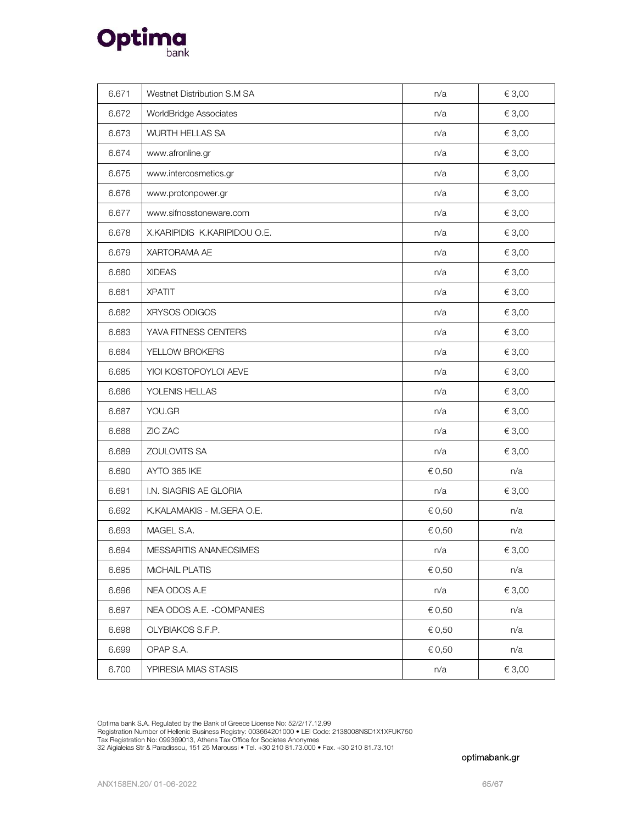

| 6.671 | Westnet Distribution S.M SA  | n/a    | € 3,00 |
|-------|------------------------------|--------|--------|
| 6.672 | WorldBridge Associates       | n/a    | € 3,00 |
| 6.673 | WURTH HELLAS SA              | n/a    | € 3,00 |
| 6.674 | www.afronline.gr             | n/a    | € 3,00 |
| 6.675 | www.intercosmetics.gr        | n/a    | € 3,00 |
| 6.676 | www.protonpower.gr           | n/a    | € 3,00 |
| 6.677 | www.sifnosstoneware.com      | n/a    | € 3,00 |
| 6.678 | X.KARIPIDIS K.KARIPIDOU O.E. | n/a    | € 3,00 |
| 6.679 | XARTORAMA AE                 | n/a    | € 3,00 |
| 6.680 | <b>XIDEAS</b>                | n/a    | € 3,00 |
| 6.681 | <b>XPATIT</b>                | n/a    | € 3,00 |
| 6.682 | XRYSOS ODIGOS                | n/a    | € 3,00 |
| 6.683 | YAVA FITNESS CENTERS         | n/a    | € 3,00 |
| 6.684 | YELLOW BROKERS               | n/a    | € 3,00 |
| 6.685 | YIOI KOSTOPOYLOI AEVE        | n/a    | € 3,00 |
| 6.686 | YOLENIS HELLAS               | n/a    | € 3,00 |
| 6.687 | YOU.GR                       | n/a    | € 3,00 |
| 6.688 | ZIC ZAC                      | n/a    | € 3,00 |
| 6.689 | ZOULOVITS SA                 | n/a    | € 3,00 |
| 6.690 | AYTO 365 IKE                 | € 0,50 | n/a    |
| 6.691 | I.N. SIAGRIS AE GLORIA       | n/a    | € 3,00 |
| 6.692 | K.KALAMAKIS - M.GERA O.E.    | € 0,50 | n/a    |
| 6.693 | MAGEL S.A.                   | € 0,50 | n/a    |
| 6.694 | MESSARITIS ANANEOSIMES       | n/a    | €3,00  |
| 6.695 | MICHAIL PLATIS               | € 0,50 | n/a    |
| 6.696 | NEA ODOS A.E                 | n/a    | € 3,00 |
| 6.697 | NEA ODOS A.E. - COMPANIES    | € 0,50 | n/a    |
| 6.698 | OLYBIAKOS S.F.P.             | € 0,50 | n/a    |
| 6.699 | OPAP S.A.                    | € 0,50 | n/a    |
| 6.700 | YPIRESIA MIAS STASIS         | n/a    | € 3,00 |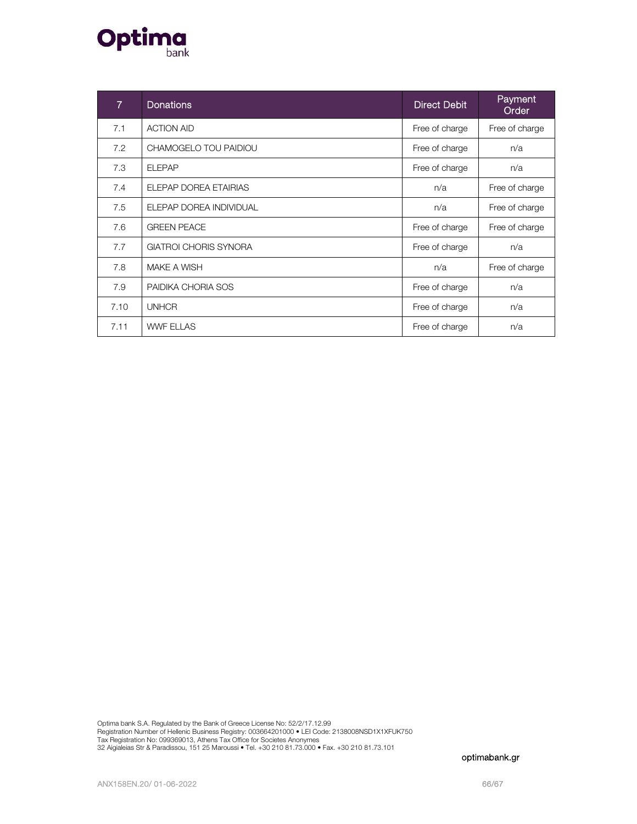

| $\overline{7}$ | <b>Donations</b>             | <b>Direct Debit</b> | Payment<br>Order |
|----------------|------------------------------|---------------------|------------------|
| 7.1            | <b>ACTION AID</b>            | Free of charge      | Free of charge   |
| 7.2            | CHAMOGELO TOU PAIDIOU        | Free of charge      | n/a              |
| 7.3            | <b>ELEPAP</b>                | Free of charge      | n/a              |
| 7.4            | ELEPAP DOREA ETAIRIAS        | n/a                 | Free of charge   |
| 7.5            | ELEPAP DOREA INDIVIDUAL      | n/a                 | Free of charge   |
| 7.6            | <b>GREEN PEACE</b>           | Free of charge      | Free of charge   |
| 7.7            | <b>GIATROI CHORIS SYNORA</b> | Free of charge      | n/a              |
| 7.8            | MAKE A WISH                  | n/a                 | Free of charge   |
| 7.9            | PAIDIKA CHORIA SOS           | Free of charge      | n/a              |
| 7.10           | <b>UNHCR</b>                 | Free of charge      | n/a              |
| 7.11           | <b>WWF ELLAS</b>             | Free of charge      | n/a              |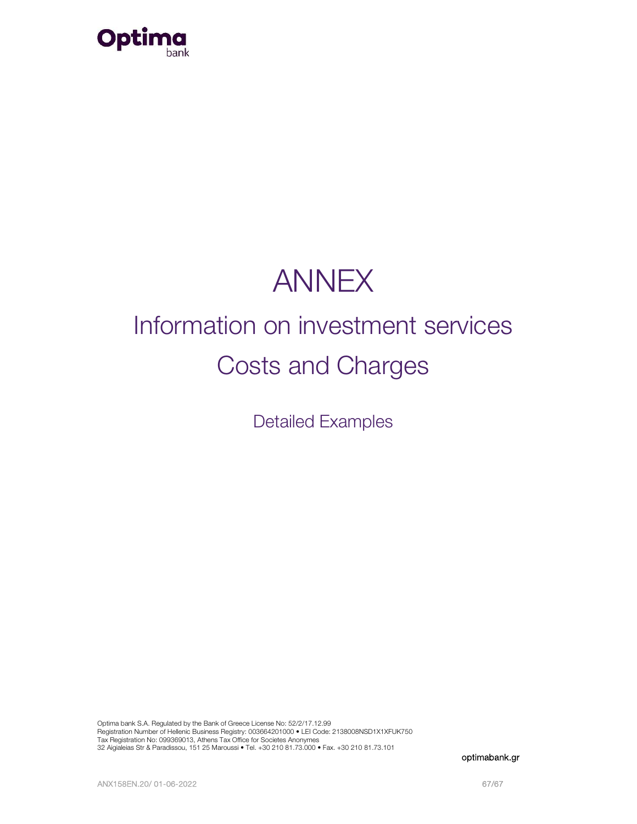

## ANNEX

# Information on investment services Costs and Charges

Detailed Examples

Optima bank S.A. Regulated by the Bank of Greece License No: 52/2/17.12.99 Registration Number of Hellenic Business Registry: 003664201000 • LEI Code: 2138008NSD1X1XFUK750<br>Tax Registration No: 099369013, Athens Tax Office for Societes Anonymes 32 Aigialeias Str & Paradissou, 151 25 Maroussi • Tel. +30 210 81.73.000 • Fax. +30 210 81.73.101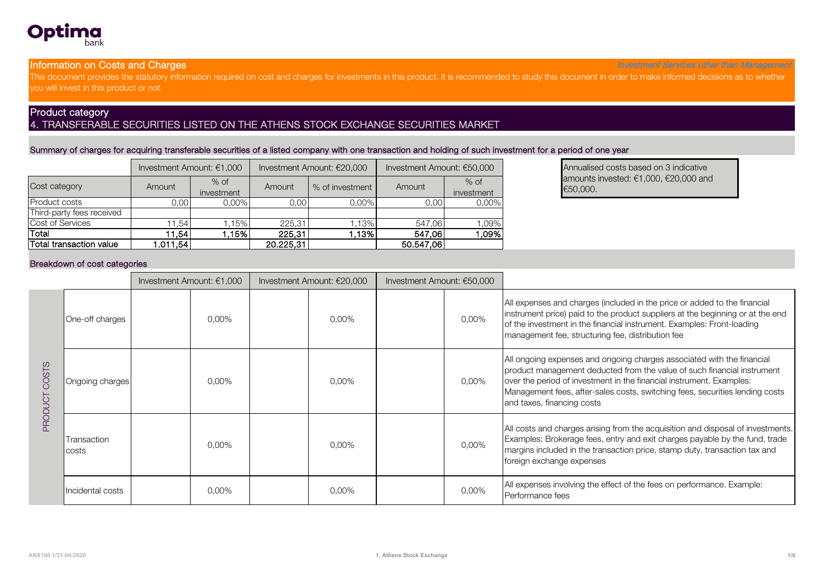

## Information on Costs and Charges

Investment Services other than Management

This document provides the statutory information required on cost and charges for investments in this product. It is recommended to study this document in order to make informed decisions as to whether you will invest in this product or not.

### Product category 4. TRANSFERABLE SECURITIES LISTED ON THE ATHENS STOCK EXCHANGE SECURITIES MARKET

## Summary of charges for acquiring transferable securities of a listed company with one transaction and holding of such investment for a period of one year

|                           |          | Investment Amount: €1,000 |           | Investment Amount: €20,000 | Investment Amount: €50,000 |                      |  |
|---------------------------|----------|---------------------------|-----------|----------------------------|----------------------------|----------------------|--|
| Cost category             | Amount   | $%$ of<br>investment      | Amount    | % of investment            | Amount                     | $%$ of<br>investment |  |
| <b>Product costs</b>      | 0.00     | $0.00\%$                  | 0.00      | $0.00\%$                   | 0.00                       | 0,00%                |  |
| Third-party fees received |          |                           |           |                            |                            |                      |  |
| Cost of Services          | 1.54     | 1.15%                     | 225,31    | 1.13%                      | 547,06                     | 1,09%                |  |
| Total                     | 1.54     | 1.15%                     | 225,31    | $ .13\% $                  |                            | ,09%<br>547,06       |  |
| Total transaction value   | 1.011.54 |                           | 20.225.31 |                            | 50.547.06                  |                      |  |

Annualised costs based on 3 indicative<br>amounts invested: €1,000, €20,000 and €50,000.

#### Breakdown of cost categories

|              |                      | Investment Amount: €1,000 |          | Investment Amount: €20,000 | Investment Amount: €50,000 |          |                                                                                                                                                                                                                                                                                                                                         |
|--------------|----------------------|---------------------------|----------|----------------------------|----------------------------|----------|-----------------------------------------------------------------------------------------------------------------------------------------------------------------------------------------------------------------------------------------------------------------------------------------------------------------------------------------|
|              | One-off charges      |                           | 0,00%    | 0.00%                      |                            | 0,00%    | All expenses and charges (included in the price or added to the financial<br>instrument price) paid to the product suppliers at the beginning or at the end<br>of the investment in the financial instrument. Examples: Front-loading<br>management fee, structuring fee, distribution fee                                              |
| COSTS        | Ongoing charges      |                           | 0,00%    | 0.00%                      |                            | 0,00%    | All ongoing expenses and ongoing charges associated with the financial<br>product management deducted from the value of such financial instrument<br>over the period of investment in the financial instrument. Examples:<br>Management fees, after-sales costs, switching fees, securities lending costs<br>and taxes, financing costs |
| <b>PRODL</b> | Transaction<br>costs |                           | $0.00\%$ | 0.00%                      |                            | 0,00%    | All costs and charges arising from the acquisition and disposal of investments.<br>Examples: Brokerage fees, entry and exit charges payable by the fund, trade<br>margins included in the transaction price, stamp duty, transaction tax and<br>foreign exchange expenses                                                               |
|              | Incidental costs     |                           | $0,00\%$ | 0,00%                      |                            | $0.00\%$ | All expenses involving the effect of the fees on performance. Example:<br>Performance fees                                                                                                                                                                                                                                              |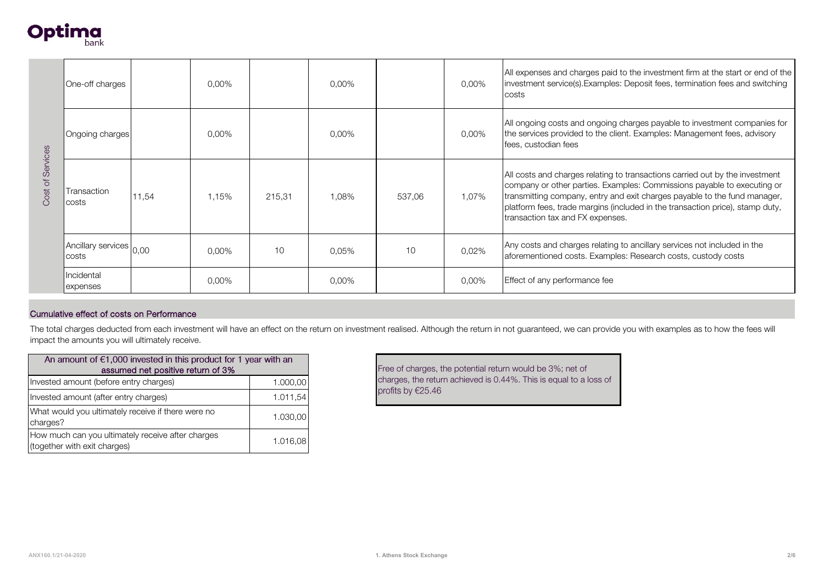

|                                       | One-off charges                                                           |                                   | 0,00%    |          | 0,00% |                   | 0,00% | All expenses and charges paid to the investment firm at the start or end of the<br>investment service(s). Examples: Deposit fees, termination fees and switching<br>costs                                                                                                                                                                                 |  |  |
|---------------------------------------|---------------------------------------------------------------------------|-----------------------------------|----------|----------|-------|-------------------|-------|-----------------------------------------------------------------------------------------------------------------------------------------------------------------------------------------------------------------------------------------------------------------------------------------------------------------------------------------------------------|--|--|
|                                       | Ongoing charges                                                           |                                   | 0,00%    |          | 0,00% |                   | 0,00% | All ongoing costs and ongoing charges payable to investment companies for<br>the services provided to the client. Examples: Management fees, advisory<br>fees, custodian fees                                                                                                                                                                             |  |  |
| Services<br>Cost of                   | Transaction<br>costs                                                      | 11,54                             | 1.15%    | 215,31   | 1,08% | 537,06            | 1,07% | All costs and charges relating to transactions carried out by the investment<br>company or other parties. Examples: Commissions payable to executing or<br>transmitting company, entry and exit charges payable to the fund manager,<br>platform fees, trade margins (included in the transaction price), stamp duty,<br>transaction tax and FX expenses. |  |  |
|                                       | Ancillary services $\big _{0,00}$<br>costs                                |                                   | $0.00\%$ | 10       | 0.05% | 10                | 0,02% | Any costs and charges relating to ancillary services not included in the<br>aforementioned costs. Examples: Research costs, custody costs                                                                                                                                                                                                                 |  |  |
|                                       | Incidental<br>expenses                                                    |                                   | $0.00\%$ |          | 0,00% |                   | 0,00% | Effect of any performance fee                                                                                                                                                                                                                                                                                                                             |  |  |
|                                       |                                                                           |                                   |          |          |       |                   |       |                                                                                                                                                                                                                                                                                                                                                           |  |  |
|                                       | Cumulative effect of costs on Performance                                 |                                   |          |          |       |                   |       |                                                                                                                                                                                                                                                                                                                                                           |  |  |
|                                       | impact the amounts you will ultimately receive.                           |                                   |          |          |       |                   |       | The total charges deducted from each investment will have an effect on the return on investment realised. Although the return in not guaranteed, we can provide you with examples as to how the fees will                                                                                                                                                 |  |  |
|                                       | An amount of $\epsilon$ 1,000 invested in this product for 1 year with an | assumed net positive return of 3% |          |          |       |                   |       | Free of charges, the potential return would be 3%; net of                                                                                                                                                                                                                                                                                                 |  |  |
|                                       | Invested amount (before entry charges)                                    |                                   |          | 1.000,00 |       |                   |       | charges, the return achieved is 0.44%. This is equal to a loss of                                                                                                                                                                                                                                                                                         |  |  |
| Invested amount (after entry charges) |                                                                           |                                   |          | 1.011,54 |       | profits by €25.46 |       |                                                                                                                                                                                                                                                                                                                                                           |  |  |

#### Cumulative effect of costs on Performance

| An amount of $\epsilon$ 1,000 invested in this product for 1 year with an<br>assumed net positive return of 3% |          |  |  |  |
|----------------------------------------------------------------------------------------------------------------|----------|--|--|--|
| Invested amount (before entry charges)                                                                         | 1.000,00 |  |  |  |
| Invested amount (after entry charges)                                                                          | 1.011,54 |  |  |  |
| What would you ultimately receive if there were no<br>charges?                                                 | 1.030.00 |  |  |  |
| How much can you ultimately receive after charges<br>(together with exit charges)                              | 1.016.08 |  |  |  |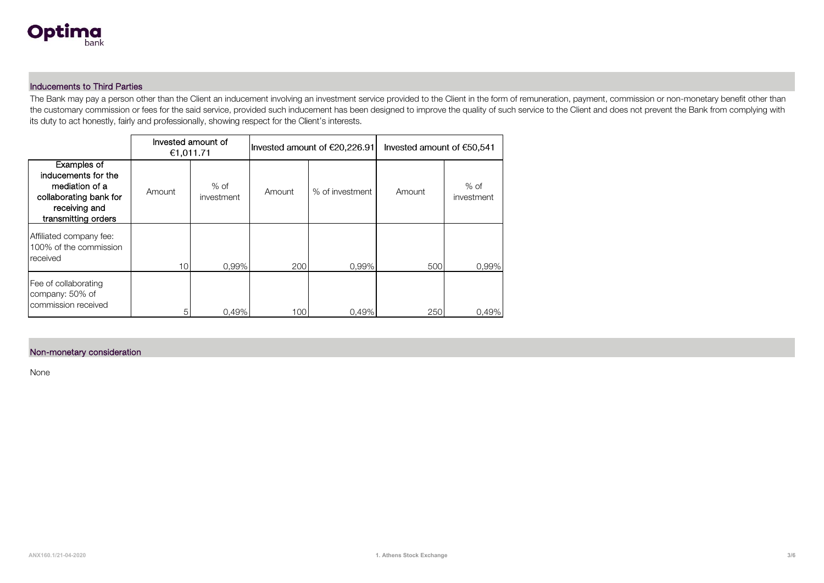

#### Inducements to Third Parties

The Bank may pay a person other than the Client an inducement involving an investment service provided to the Client in the form of remuneration, payment, commission or non-monetary benefit other than the customary commission or fees for the said service, provided such inducement has been designed to improve the quality of such service to the Client and does not prevent the Bank from complying with<br>its duty to act hones

|                                                                                                                        | €1,011.71 | Invested amount of   |        | Invested amount of €20,226.91 | Invested amount of €50,541 |                      |
|------------------------------------------------------------------------------------------------------------------------|-----------|----------------------|--------|-------------------------------|----------------------------|----------------------|
| Examples of<br>inducements for the<br>mediation of a<br>collaborating bank for<br>receiving and<br>transmitting orders | Amount    | $%$ of<br>investment | Amount | % of investment               | Amount                     | $%$ of<br>investment |
| Affiliated company fee:<br>100% of the commission<br>received                                                          | 10        | $0.99\%$             | 200    | $0.99\%$                      | 500                        | 0.99%                |
| Fee of collaborating<br>company: 50% of<br>commission received                                                         | 5         | 0.49%                | 100    | 0.49%                         | 250                        | 0.49%                |

#### Non-monetary consideration

None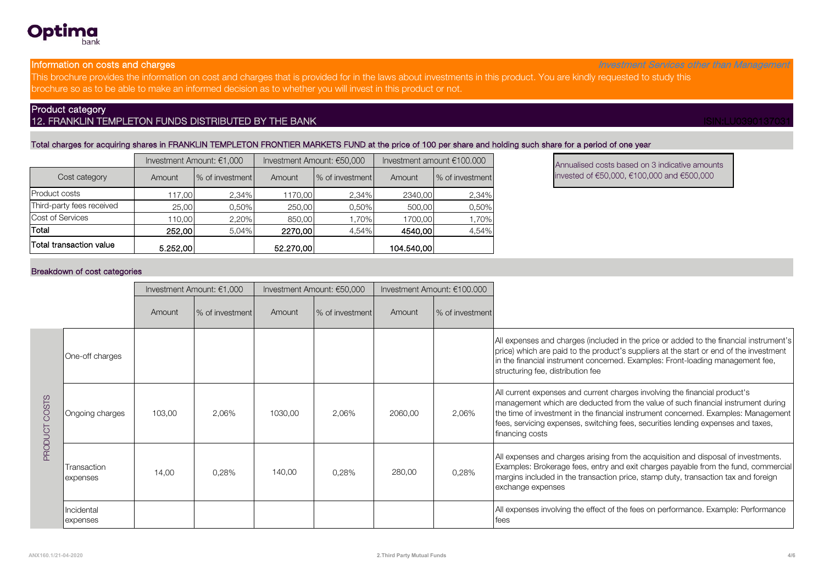#### Information on costs and charges

han

This brochure provides the information on cost and charges that is provided for in the laws about investments in this product. You are kindly requested to study this brochure so as to be able to make an informed decision as to whether you will invest in this product or not.

## Product category

Optima

## 12. FRANKLIN TEMPLETON FUNDS DISTRIBUTED BY THE BANK **ISIN:LU039013703** ISIN:LU039013703

#### Total charges for acquiring shares in FRANKLIN TEMPLETON FRONTIER MARKETS FUND at the price of 100 per share and holding such share for a period of one year

|                           |          | Investment Amount: €1,000 |           | Investment Amount: €50,000 | Investment amount €100.000 |                  |
|---------------------------|----------|---------------------------|-----------|----------------------------|----------------------------|------------------|
| Cost category             | Amount   | % of investment           | Amount    | % of investment            | Amount                     | Ⅰ% of investment |
| Product costs             | 117.00   | 2,34%                     | 1170,00   | 2,34%                      | 2340,00                    | 2,34%            |
| Third-party fees received | 25,00    | 0,50%                     | 250,00    | 0,50%                      | 500.00                     | 0,50%            |
| Cost of Services          | 110.00   | 2,20%                     | 850,00    | 1,70%                      | 1700,00                    | 1,70%            |
| Total                     | 252.00   | 5.04%                     | 2270.00   | 4.54%                      | 4540.00                    | 4,54%            |
| Total transaction value   | 5.252,00 |                           | 52,270,00 |                            | 104.540.00                 |                  |

#### Breakdown of cost categories

| Investment Amount: €1,000 |                                 | Investment Amount: €50,000 |                 | Investment Amount: €100.000 |                  |         |                  |                                                                                                                                                                                                                                                                                                                                                             |
|---------------------------|---------------------------------|----------------------------|-----------------|-----------------------------|------------------|---------|------------------|-------------------------------------------------------------------------------------------------------------------------------------------------------------------------------------------------------------------------------------------------------------------------------------------------------------------------------------------------------------|
|                           |                                 | Amount                     | % of investment | Amount                      | Ⅰ% of investment | Amount  | Ⅰ% of investment |                                                                                                                                                                                                                                                                                                                                                             |
| COSTS<br><b>PRODU</b>     | One-off charges                 |                            |                 |                             |                  |         |                  | All expenses and charges (included in the price or added to the financial instrument's<br>price) which are paid to the product's suppliers at the start or end of the investment<br>in the financial instrument concerned. Examples: Front-loading management fee,<br>structuring fee, distribution fee                                                     |
|                           | Ongoing charges                 | 103,00                     | 2,06%           | 1030,00                     | 2,06%            | 2060,00 | 2,06%            | All current expenses and current charges involving the financial product's<br>management which are deducted from the value of such financial instrument during<br>the time of investment in the financial instrument concerned. Examples: Management<br>fees, servicing expenses, switching fees, securities lending expenses and taxes,<br>financing costs |
|                           | Transaction<br><b>Lexpenses</b> | 14,00                      | 0,28%           | 140,00                      | 0,28%            | 280,00  | 0,28%            | All expenses and charges arising from the acquisition and disposal of investments.<br>[Examples: Brokerage fees, entry and exit charges payable from the fund, commercial]<br>margins included in the transaction price, stamp duty, transaction tax and foreign<br>exchange expenses                                                                       |
|                           | Incidental<br>expenses          |                            |                 |                             |                  |         |                  | All expenses involving the effect of the fees on performance. Example: Performance<br>fees                                                                                                                                                                                                                                                                  |

Annualised costs based on 3 indicative amounts<br>invested of €50,000, €100,000 and €500,000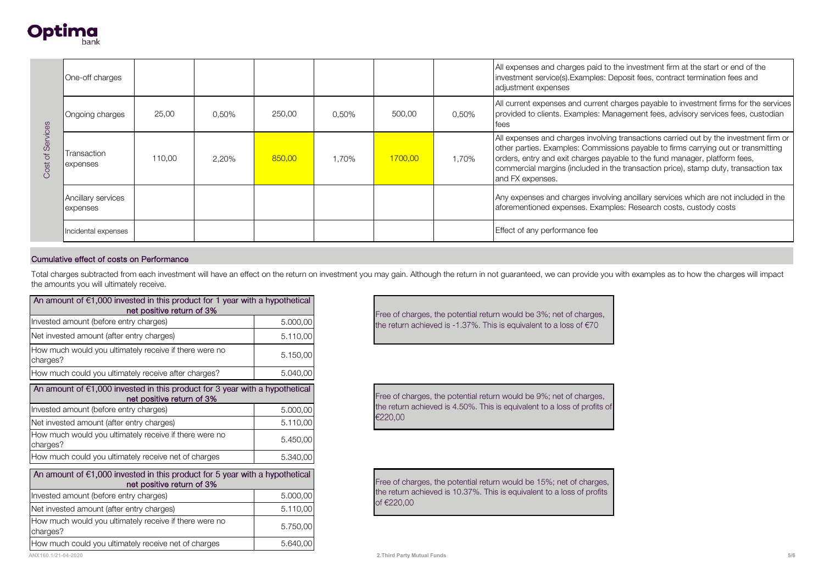

|                                                                                | One-off charges                                                                       |                           |       |                                                                                                                                                    |       |         |       | All expenses and charges paid to the investment firm at the start or end of the<br>investment service(s). Examples: Deposit fees, contract termination fees and<br>adjustment expenses                                                                                                                                                                               |  |
|--------------------------------------------------------------------------------|---------------------------------------------------------------------------------------|---------------------------|-------|----------------------------------------------------------------------------------------------------------------------------------------------------|-------|---------|-------|----------------------------------------------------------------------------------------------------------------------------------------------------------------------------------------------------------------------------------------------------------------------------------------------------------------------------------------------------------------------|--|
|                                                                                | Ongoing charges                                                                       | 25,00                     | 0,50% | 250.00                                                                                                                                             | 0,50% | 500.00  | 0,50% | All current expenses and current charges payable to investment firms for the services<br>provided to clients. Examples: Management fees, advisory services fees, custodian<br>fees                                                                                                                                                                                   |  |
| of Services<br>Cost                                                            | Transaction<br>expenses                                                               | 110,00                    | 2,20% | 850.00                                                                                                                                             | 1,70% | 1700.00 | 1,70% | All expenses and charges involving transactions carried out by the investment firm or<br>other parties. Examples: Commissions payable to firms carrying out or transmitting<br>orders, entry and exit charges payable to the fund manager, platform fees,<br>commercial margins (included in the transaction price), stamp duty, transaction tax<br>and FX expenses. |  |
|                                                                                | Ancillary services<br>expenses                                                        |                           |       |                                                                                                                                                    |       |         |       | Any expenses and charges involving ancillary services which are not included in the<br>aforementioned expenses. Examples: Research costs, custody costs                                                                                                                                                                                                              |  |
|                                                                                | Incidental expenses                                                                   |                           |       |                                                                                                                                                    |       |         |       | Effect of any performance fee                                                                                                                                                                                                                                                                                                                                        |  |
|                                                                                | Cumulative effect of costs on Performance                                             |                           |       |                                                                                                                                                    |       |         |       |                                                                                                                                                                                                                                                                                                                                                                      |  |
|                                                                                | the amounts you will ultimately receive.                                              |                           |       |                                                                                                                                                    |       |         |       | Total charges subtracted from each investment will have an effect on the return on investment you may gain. Although the return in not guaranteed, we can provide you with examples as to how the charges will impact                                                                                                                                                |  |
|                                                                                | An amount of $\epsilon$ 1,000 invested in this product for 1 year with a hypothetical | net positive return of 3% |       |                                                                                                                                                    |       |         |       |                                                                                                                                                                                                                                                                                                                                                                      |  |
| Invested amount (before entry charges)<br>5.000,00                             |                                                                                       |                           |       | Free of charges, the potential return would be 3%; net of charges,<br>the return achieved is -1.37%. This is equivalent to a loss of $\epsilon$ 70 |       |         |       |                                                                                                                                                                                                                                                                                                                                                                      |  |
| Net invested amount (after entry charges)<br>5.110,00                          |                                                                                       |                           |       |                                                                                                                                                    |       |         |       |                                                                                                                                                                                                                                                                                                                                                                      |  |
| How much would you ultimately receive if there were no<br>5.150,00<br>charges? |                                                                                       |                           |       |                                                                                                                                                    |       |         |       |                                                                                                                                                                                                                                                                                                                                                                      |  |

#### Cumulative effect of costs on Performance

| An amount of $\epsilon$ i,000 invested in this product for T year with a hypothetical<br>net positive return of 3% |          |  |  |  |  |  |
|--------------------------------------------------------------------------------------------------------------------|----------|--|--|--|--|--|
| Invested amount (before entry charges)                                                                             | 5.000,00 |  |  |  |  |  |
| Net invested amount (after entry charges)                                                                          | 5.110,00 |  |  |  |  |  |
| How much would you ultimately receive if there were no<br>charges?                                                 | 5.150,00 |  |  |  |  |  |
| How much could you ultimately receive after charges?                                                               | 5.040,00 |  |  |  |  |  |
| An amount of $\epsilon$ 1,000 invested in this product for 3 year with a hypothetical<br>net positive return of 3% |          |  |  |  |  |  |
| Invested amount (before entry charges)                                                                             | 5.000,00 |  |  |  |  |  |
| Net invested amount (after entry charges)                                                                          | 5.110,00 |  |  |  |  |  |
| How much would you ultimately receive if there were no<br>charges?                                                 | 5.450,00 |  |  |  |  |  |
| How much could you ultimately receive net of charges                                                               | 5.340,00 |  |  |  |  |  |
| An amount of $\epsilon$ 1,000 invested in this product for 5 year with a hypothetical<br>net positive return of 3% |          |  |  |  |  |  |
| Invested amount (before entry charges)                                                                             | 5.000,00 |  |  |  |  |  |
| Net invested amount (after entry charges)                                                                          | 5.110,00 |  |  |  |  |  |
| How much would you ultimately receive if there were no<br>charges?                                                 | 5.750,00 |  |  |  |  |  |
| How much could you ultimately receive net of charges                                                               | 5.640,00 |  |  |  |  |  |

Free of charges, the potential return would be 9%; net of charges, the return achieved is 4.50%. This is equivalent to a loss of profits of €220,00

Free of charges, the potential return would be 15%; net of charges, the return achieved is 10.37%. This is equivalent to a loss of profits of €220.00